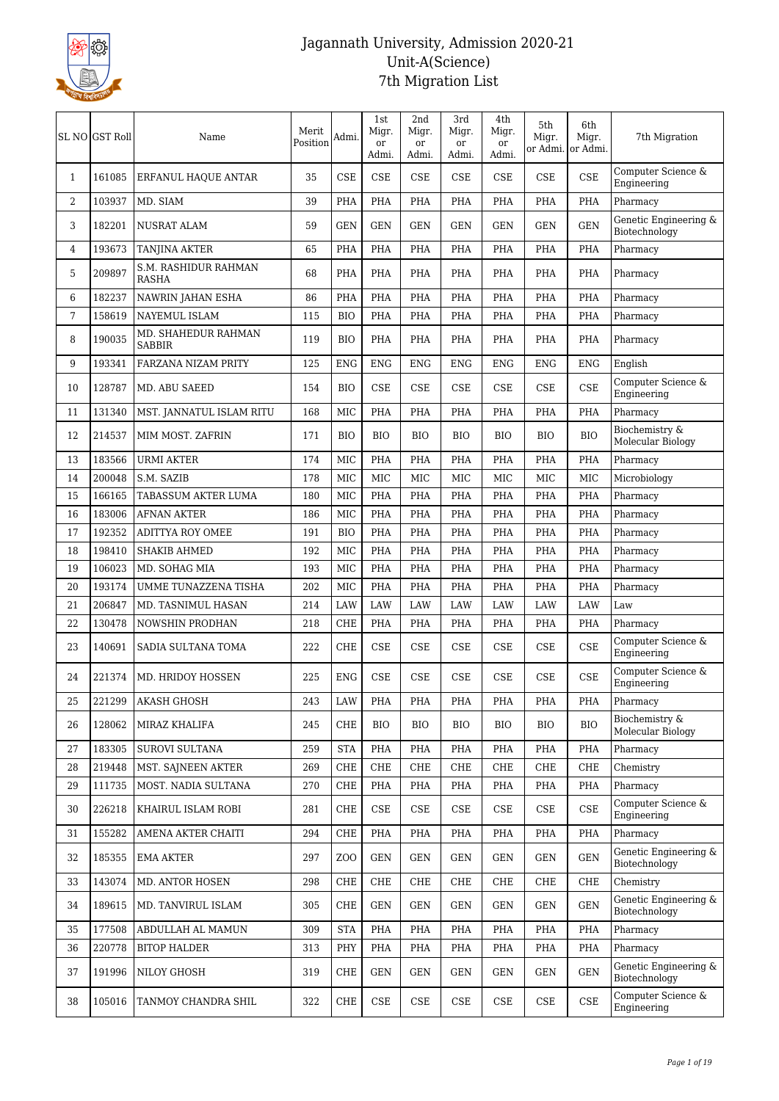

|                | SL NO GST Roll | Name                                 | Merit<br>Position | Admi.            | 1st<br>Migr.<br><sub>or</sub><br>Admi. | 2nd<br>Migr.<br>or<br>Admi. | 3rd<br>Migr.<br>or<br>Admi. | 4th<br>Migr.<br>or<br>Admi. | 5th<br>Migr.<br>or Admi. | 6th<br>Migr.<br>or Admi. | 7th Migration                          |
|----------------|----------------|--------------------------------------|-------------------|------------------|----------------------------------------|-----------------------------|-----------------------------|-----------------------------|--------------------------|--------------------------|----------------------------------------|
| 1              | 161085         | ERFANUL HAQUE ANTAR                  | 35                | <b>CSE</b>       | CSE                                    | <b>CSE</b>                  | CSE                         | <b>CSE</b>                  | <b>CSE</b>               | <b>CSE</b>               | Computer Science &<br>Engineering      |
| $\overline{2}$ | 103937         | MD. SIAM                             | 39                | PHA              | PHA                                    | PHA                         | PHA                         | PHA                         | PHA                      | PHA                      | Pharmacy                               |
| 3              | 182201         | <b>NUSRAT ALAM</b>                   | 59                | <b>GEN</b>       | <b>GEN</b>                             | <b>GEN</b>                  | <b>GEN</b>                  | <b>GEN</b>                  | <b>GEN</b>               | <b>GEN</b>               | Genetic Engineering &<br>Biotechnology |
| 4              | 193673         | <b>TANJINA AKTER</b>                 | 65                | PHA              | PHA                                    | PHA                         | PHA                         | PHA                         | PHA                      | PHA                      | Pharmacy                               |
| 5              | 209897         | S.M. RASHIDUR RAHMAN<br><b>RASHA</b> | 68                | PHA              | PHA                                    | PHA                         | <b>PHA</b>                  | <b>PHA</b>                  | PHA                      | PHA                      | Pharmacy                               |
| 6              | 182237         | <b>NAWRIN JAHAN ESHA</b>             | 86                | PHA              | PHA                                    | PHA                         | PHA                         | PHA                         | PHA                      | PHA                      | Pharmacy                               |
| 7              | 158619         | NAYEMUL ISLAM                        | 115               | <b>BIO</b>       | PHA                                    | PHA                         | PHA                         | PHA                         | PHA                      | <b>PHA</b>               | Pharmacy                               |
| 8              | 190035         | MD. SHAHEDUR RAHMAN<br><b>SABBIR</b> | 119               | <b>BIO</b>       | <b>PHA</b>                             | <b>PHA</b>                  | <b>PHA</b>                  | <b>PHA</b>                  | <b>PHA</b>               | <b>PHA</b>               | Pharmacy                               |
| 9              | 193341         | FARZANA NIZAM PRITY                  | 125               | <b>ENG</b>       | <b>ENG</b>                             | <b>ENG</b>                  | <b>ENG</b>                  | <b>ENG</b>                  | <b>ENG</b>               | <b>ENG</b>               | English                                |
| 10             | 128787         | MD. ABU SAEED                        | 154               | <b>BIO</b>       | <b>CSE</b>                             | <b>CSE</b>                  | <b>CSE</b>                  | CSE                         | <b>CSE</b>               | <b>CSE</b>               | Computer Science &<br>Engineering      |
| 11             | 131340         | MST. JANNATUL ISLAM RITU             | 168               | MIC              | PHA                                    | PHA                         | <b>PHA</b>                  | <b>PHA</b>                  | <b>PHA</b>               | PHA                      | Pharmacy                               |
| 12             | 214537         | MIM MOST. ZAFRIN                     | 171               | <b>BIO</b>       | <b>BIO</b>                             | <b>BIO</b>                  | <b>BIO</b>                  | <b>BIO</b>                  | <b>BIO</b>               | <b>BIO</b>               | Biochemistry &<br>Molecular Biology    |
| 13             | 183566         | <b>URMI AKTER</b>                    | 174               | MIC              | PHA                                    | <b>PHA</b>                  | PHA                         | PHA                         | <b>PHA</b>               | PHA                      | Pharmacy                               |
| 14             | 200048         | S.M. SAZIB                           | 178               | MIC              | <b>MIC</b>                             | MIC                         | <b>MIC</b>                  | MIC                         | MIC                      | MIC                      | Microbiology                           |
| 15             | 166165         | TABASSUM AKTER LUMA                  | 180               | MIC              | PHA                                    | PHA                         | PHA                         | PHA                         | PHA                      | PHA                      | Pharmacy                               |
| 16             | 183006         | <b>AFNAN AKTER</b>                   | 186               | MIC              | PHA                                    | PHA                         | PHA                         | <b>PHA</b>                  | <b>PHA</b>               | PHA                      | Pharmacy                               |
| 17             | 192352         | <b>ADITTYA ROY OMEE</b>              | 191               | <b>BIO</b>       | PHA                                    | <b>PHA</b>                  | PHA                         | PHA                         | PHA                      | PHA                      | Pharmacy                               |
| 18             | 198410         | <b>SHAKIB AHMED</b>                  | 192               | MIC              | PHA                                    | PHA                         | PHA                         | PHA                         | PHA                      | PHA                      | Pharmacy                               |
| 19             | 106023         | MD. SOHAG MIA                        | 193               | MIC              | PHA                                    | PHA                         | PHA                         | <b>PHA</b>                  | <b>PHA</b>               | PHA                      | Pharmacy                               |
| 20             | 193174         | UMME TUNAZZENA TISHA                 | 202               | MIC              | PHA                                    | PHA                         | <b>PHA</b>                  | <b>PHA</b>                  | <b>PHA</b>               | PHA                      | Pharmacy                               |
| 21             | 206847         | MD. TASNIMUL HASAN                   | 214               | LAW              | <b>LAW</b>                             | <b>LAW</b>                  | <b>LAW</b>                  | LAW                         | <b>LAW</b>               | LAW                      | Law                                    |
| 22             | 130478         | NOWSHIN PRODHAN                      | 218               | CHE              | PHA                                    | PHA                         | PHA                         | <b>PHA</b>                  | PHA                      | <b>PHA</b>               | Pharmacy                               |
| 23             | 140691         | SADIA SULTANA TOMA                   | 222               | CHE              | <b>CSE</b>                             | <b>CSE</b>                  | <b>CSE</b>                  | CSE                         | CSE                      | <b>CSE</b>               | Computer Science &<br>Engineering      |
| 24             | 221374         | MD. HRIDOY HOSSEN                    | 225               | <b>ENG</b>       | <b>CSE</b>                             | <b>CSE</b>                  | <b>CSE</b>                  | <b>CSE</b>                  | <b>CSE</b>               | <b>CSE</b>               | Computer Science &<br>Engineering      |
| 25             | 221299         | <b>AKASH GHOSH</b>                   | 243               | LAW              | PHA                                    | PHA                         | PHA                         | PHA                         | PHA                      | PHA                      | Pharmacy                               |
| 26             | 128062         | MIRAZ KHALIFA                        | 245               | CHE              | BIO                                    | <b>BIO</b>                  | BIO                         | <b>BIO</b>                  | <b>BIO</b>               | <b>BIO</b>               | Biochemistry &<br>Molecular Biology    |
| 27             | 183305         | <b>SUROVI SULTANA</b>                | 259               | <b>STA</b>       | PHA                                    | PHA                         | <b>PHA</b>                  | PHA                         | PHA                      | PHA                      | Pharmacy                               |
| 28             | 219448         | MST. SAJNEEN AKTER                   | 269               | <b>CHE</b>       | <b>CHE</b>                             | CHE                         | <b>CHE</b>                  | CHE                         | <b>CHE</b>               | <b>CHE</b>               | Chemistry                              |
| 29             | 111735         | MOST. NADIA SULTANA                  | 270               | <b>CHE</b>       | PHA                                    | PHA                         | PHA                         | PHA                         | PHA                      | PHA                      | Pharmacy                               |
| 30             | 226218         | KHAIRUL ISLAM ROBI                   | 281               | <b>CHE</b>       | CSE                                    | CSE                         | CSE                         | <b>CSE</b>                  | CSE                      | <b>CSE</b>               | Computer Science &<br>Engineering      |
| 31             | 155282         | AMENA AKTER CHAITI                   | 294               | <b>CHE</b>       | PHA                                    | PHA                         | PHA                         | PHA                         | PHA                      | PHA                      | Pharmacy                               |
| 32             | 185355         | <b>EMA AKTER</b>                     | 297               | Z <sub>O</sub> O | <b>GEN</b>                             | <b>GEN</b>                  | GEN                         | GEN                         | <b>GEN</b>               | <b>GEN</b>               | Genetic Engineering &<br>Biotechnology |
| 33             | 143074         | MD. ANTOR HOSEN                      | 298               | CHE              | CHE                                    | CHE                         | CHE                         | CHE                         | CHE                      | <b>CHE</b>               | Chemistry                              |
| 34             | 189615         | MD. TANVIRUL ISLAM                   | 305               | <b>CHE</b>       | <b>GEN</b>                             | <b>GEN</b>                  | <b>GEN</b>                  | <b>GEN</b>                  | <b>GEN</b>               | <b>GEN</b>               | Genetic Engineering &<br>Biotechnology |
| 35             | 177508         | ABDULLAH AL MAMUN                    | 309               | <b>STA</b>       | PHA                                    | PHA                         | <b>PHA</b>                  | <b>PHA</b>                  | PHA                      | PHA                      | Pharmacy                               |
| 36             | 220778         | <b>BITOP HALDER</b>                  | 313               | PHY              | PHA                                    | PHA                         | PHA                         | <b>PHA</b>                  | PHA                      | PHA                      | Pharmacy                               |
| 37             | 191996         | NILOY GHOSH                          | 319               | CHE              | <b>GEN</b>                             | <b>GEN</b>                  | <b>GEN</b>                  | <b>GEN</b>                  | <b>GEN</b>               | <b>GEN</b>               | Genetic Engineering &<br>Biotechnology |
| 38             | 105016         | TANMOY CHANDRA SHIL                  | 322               | CHE              | CSE                                    | $\ensuremath{\mathsf{CSE}}$ | CSE                         | CSE                         | CSE                      | CSE                      | Computer Science &<br>Engineering      |
|                |                |                                      |                   |                  |                                        |                             |                             |                             |                          |                          |                                        |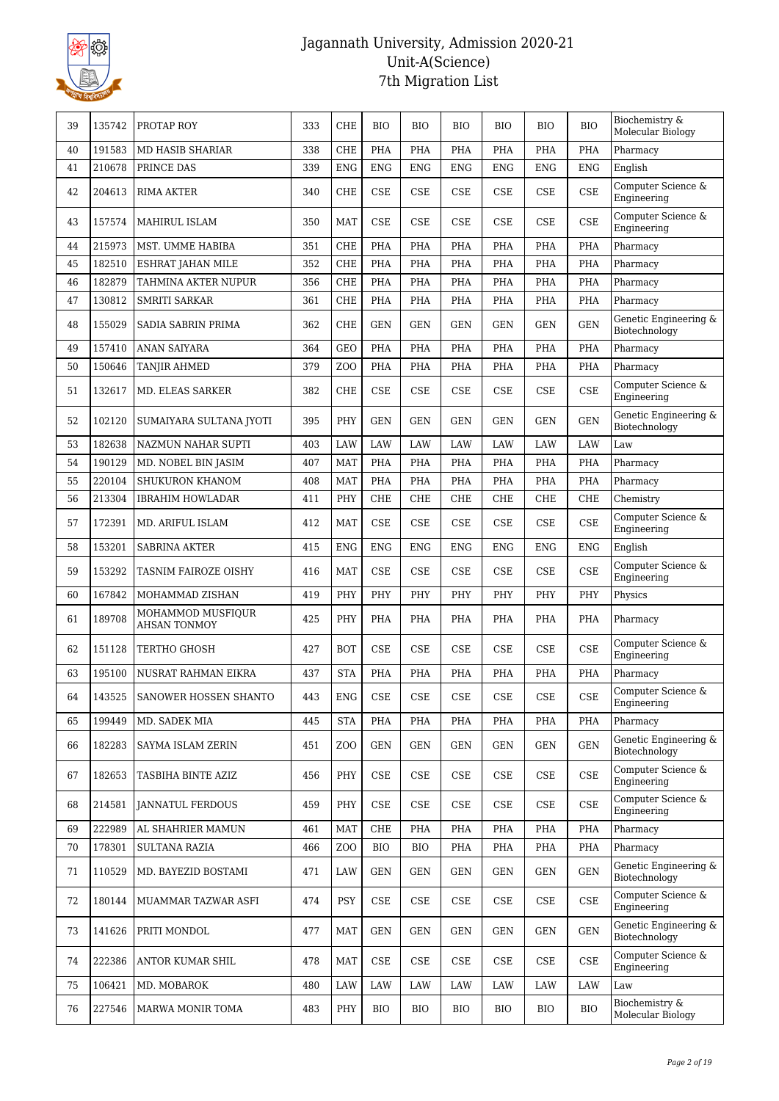

| 39 | 135742 | PROTAP ROY                        | 333 | CHE              | <b>BIO</b> | <b>BIO</b>                  | <b>BIO</b> | <b>BIO</b>                  | <b>BIO</b>                  | <b>BIO</b> | Biochemistry &<br>Molecular Biology    |
|----|--------|-----------------------------------|-----|------------------|------------|-----------------------------|------------|-----------------------------|-----------------------------|------------|----------------------------------------|
| 40 | 191583 | <b>MD HASIB SHARIAR</b>           | 338 | <b>CHE</b>       | <b>PHA</b> | <b>PHA</b>                  | <b>PHA</b> | <b>PHA</b>                  | <b>PHA</b>                  | <b>PHA</b> | Pharmacy                               |
| 41 | 210678 | PRINCE DAS                        | 339 | <b>ENG</b>       | <b>ENG</b> | <b>ENG</b>                  | <b>ENG</b> | <b>ENG</b>                  | <b>ENG</b>                  | <b>ENG</b> | English                                |
| 42 | 204613 | <b>RIMA AKTER</b>                 | 340 | <b>CHE</b>       | <b>CSE</b> | CSE                         | <b>CSE</b> | <b>CSE</b>                  | <b>CSE</b>                  | <b>CSE</b> | Computer Science &<br>Engineering      |
| 43 | 157574 | MAHIRUL ISLAM                     | 350 | <b>MAT</b>       | CSE        | <b>CSE</b>                  | CSE        | <b>CSE</b>                  | <b>CSE</b>                  | <b>CSE</b> | Computer Science &<br>Engineering      |
| 44 | 215973 | MST. UMME HABIBA                  | 351 | <b>CHE</b>       | PHA        | PHA                         | <b>PHA</b> | <b>PHA</b>                  | <b>PHA</b>                  | PHA        | Pharmacy                               |
| 45 | 182510 | ESHRAT JAHAN MILE                 | 352 | <b>CHE</b>       | PHA        | PHA                         | PHA        | PHA                         | PHA                         | PHA        | Pharmacy                               |
| 46 | 182879 | TAHMINA AKTER NUPUR               | 356 | <b>CHE</b>       | PHA        | PHA                         | PHA        | PHA                         | PHA                         | PHA        | Pharmacy                               |
| 47 | 130812 | <b>SMRITI SARKAR</b>              | 361 | <b>CHE</b>       | PHA        | PHA                         | PHA        | <b>PHA</b>                  | PHA                         | PHA        | Pharmacy                               |
| 48 | 155029 | SADIA SABRIN PRIMA                | 362 | <b>CHE</b>       | <b>GEN</b> | <b>GEN</b>                  | <b>GEN</b> | <b>GEN</b>                  | <b>GEN</b>                  | <b>GEN</b> | Genetic Engineering &<br>Biotechnology |
| 49 | 157410 | <b>ANAN SAIYARA</b>               | 364 | <b>GEO</b>       | <b>PHA</b> | <b>PHA</b>                  | <b>PHA</b> | <b>PHA</b>                  | <b>PHA</b>                  | PHA        | Pharmacy                               |
| 50 | 150646 | <b>TANJIR AHMED</b>               | 379 | Z <sub>O</sub> O | PHA        | PHA                         | PHA        | PHA                         | PHA                         | PHA        | Pharmacy                               |
| 51 | 132617 | <b>MD. ELEAS SARKER</b>           | 382 | <b>CHE</b>       | CSE        | <b>CSE</b>                  | <b>CSE</b> | <b>CSE</b>                  | CSE                         | <b>CSE</b> | Computer Science &<br>Engineering      |
| 52 | 102120 | SUMAIYARA SULTANA JYOTI           | 395 | PHY              | <b>GEN</b> | <b>GEN</b>                  | <b>GEN</b> | <b>GEN</b>                  | <b>GEN</b>                  | <b>GEN</b> | Genetic Engineering &<br>Biotechnology |
| 53 | 182638 | NAZMUN NAHAR SUPTI                | 403 | LAW              | LAW        | <b>LAW</b>                  | <b>LAW</b> | LAW                         | LAW                         | LAW        | Law                                    |
| 54 | 190129 | MD. NOBEL BIN JASIM               | 407 | <b>MAT</b>       | PHA        | PHA                         | PHA        | PHA                         | PHA                         | PHA        | Pharmacy                               |
| 55 | 220104 | <b>SHUKURON KHANOM</b>            | 408 | <b>MAT</b>       | PHA        | PHA                         | <b>PHA</b> | <b>PHA</b>                  | PHA                         | PHA        | Pharmacy                               |
| 56 | 213304 | <b>IBRAHIM HOWLADAR</b>           | 411 | PHY              | <b>CHE</b> | <b>CHE</b>                  | <b>CHE</b> | <b>CHE</b>                  | <b>CHE</b>                  | <b>CHE</b> | Chemistry                              |
| 57 | 172391 | MD. ARIFUL ISLAM                  | 412 | <b>MAT</b>       | <b>CSE</b> | <b>CSE</b>                  | <b>CSE</b> | <b>CSE</b>                  | <b>CSE</b>                  | <b>CSE</b> | Computer Science &<br>Engineering      |
| 58 | 153201 | <b>SABRINA AKTER</b>              | 415 | <b>ENG</b>       | <b>ENG</b> | <b>ENG</b>                  | <b>ENG</b> | <b>ENG</b>                  | <b>ENG</b>                  | <b>ENG</b> | English                                |
| 59 | 153292 | TASNIM FAIROZE OISHY              | 416 | <b>MAT</b>       | <b>CSE</b> | CSE                         | <b>CSE</b> | <b>CSE</b>                  | <b>CSE</b>                  | <b>CSE</b> | Computer Science &<br>Engineering      |
| 60 | 167842 | MOHAMMAD ZISHAN                   | 419 | PHY              | PHY        | PHY                         | PHY        | PHY                         | PHY                         | PHY        | Physics                                |
| 61 | 189708 | MOHAMMOD MUSFIQUR<br>AHSAN TONMOY | 425 | PHY              | PHA        | PHA                         | PHA        | PHA                         | PHA                         | PHA        | Pharmacy                               |
| 62 | 151128 | <b>TERTHO GHOSH</b>               | 427 | <b>BOT</b>       | CSE        | CSE                         | CSE        | CSE                         | CSE                         | <b>CSE</b> | Computer Science &<br>Engineering      |
| 63 | 195100 | NUSRAT RAHMAN EIKRA               | 437 | <b>STA</b>       | PHA        | PHA                         | <b>PHA</b> | PHA                         | PHA                         | PHA        | Pharmacy                               |
| 64 |        | 143525 SANOWER HOSSEN SHANTO      | 443 | ENG              | CSE        | CSE                         | $\rm CSE$  | $\ensuremath{\mathsf{CSE}}$ | $\ensuremath{\mathsf{CSE}}$ | <b>CSE</b> | Computer Science &<br>Engineering      |
| 65 | 199449 | MD. SADEK MIA                     | 445 | <b>STA</b>       | PHA        | PHA                         | PHA        | PHA                         | PHA                         | PHA        | Pharmacy                               |
| 66 | 182283 | SAYMA ISLAM ZERIN                 | 451 | Z <sub>O</sub> O | GEN        | <b>GEN</b>                  | GEN        | GEN                         | GEN                         | <b>GEN</b> | Genetic Engineering &<br>Biotechnology |
| 67 | 182653 | TASBIHA BINTE AZIZ                | 456 | PHY              | CSE        | CSE                         | CSE        | CSE                         | CSE                         | <b>CSE</b> | Computer Science &<br>Engineering      |
| 68 | 214581 | JANNATUL FERDOUS                  | 459 | PHY              | CSE        | CSE                         | CSE        | CSE                         | CSE                         | CSE        | Computer Science &<br>Engineering      |
| 69 | 222989 | AL SHAHRIER MAMUN                 | 461 | MAT              | CHE        | PHA                         | PHA        | PHA                         | PHA                         | PHA        | Pharmacy                               |
| 70 | 178301 | <b>SULTANA RAZIA</b>              | 466 | ZO <sub>O</sub>  | BIO        | <b>BIO</b>                  | PHA        | PHA                         | PHA                         | PHA        | Pharmacy                               |
| 71 | 110529 | MD. BAYEZID BOSTAMI               | 471 | LAW              | <b>GEN</b> | <b>GEN</b>                  | GEN        | GEN                         | GEN                         | <b>GEN</b> | Genetic Engineering &<br>Biotechnology |
| 72 | 180144 | MUAMMAR TAZWAR ASFI               | 474 | PSY              | CSE        | $\ensuremath{\mathsf{CSE}}$ | CSE        | CSE                         | CSE                         | <b>CSE</b> | Computer Science &<br>Engineering      |
| 73 | 141626 | <b>PRITI MONDOL</b>               | 477 | <b>MAT</b>       | <b>GEN</b> | <b>GEN</b>                  | <b>GEN</b> | <b>GEN</b>                  | <b>GEN</b>                  | <b>GEN</b> | Genetic Engineering &<br>Biotechnology |
| 74 | 222386 | ANTOR KUMAR SHIL                  | 478 | <b>MAT</b>       | CSE        | CSE                         | CSE        | CSE                         | CSE                         | CSE        | Computer Science &<br>Engineering      |
| 75 | 106421 | MD. MOBAROK                       | 480 | LAW              | LAW        | LAW                         | LAW        | LAW                         | LAW                         | LAW        | Law                                    |
| 76 | 227546 | MARWA MONIR TOMA                  | 483 | PHY              | BIO        | <b>BIO</b>                  | BIO        | <b>BIO</b>                  | <b>BIO</b>                  | <b>BIO</b> | Biochemistry &<br>Molecular Biology    |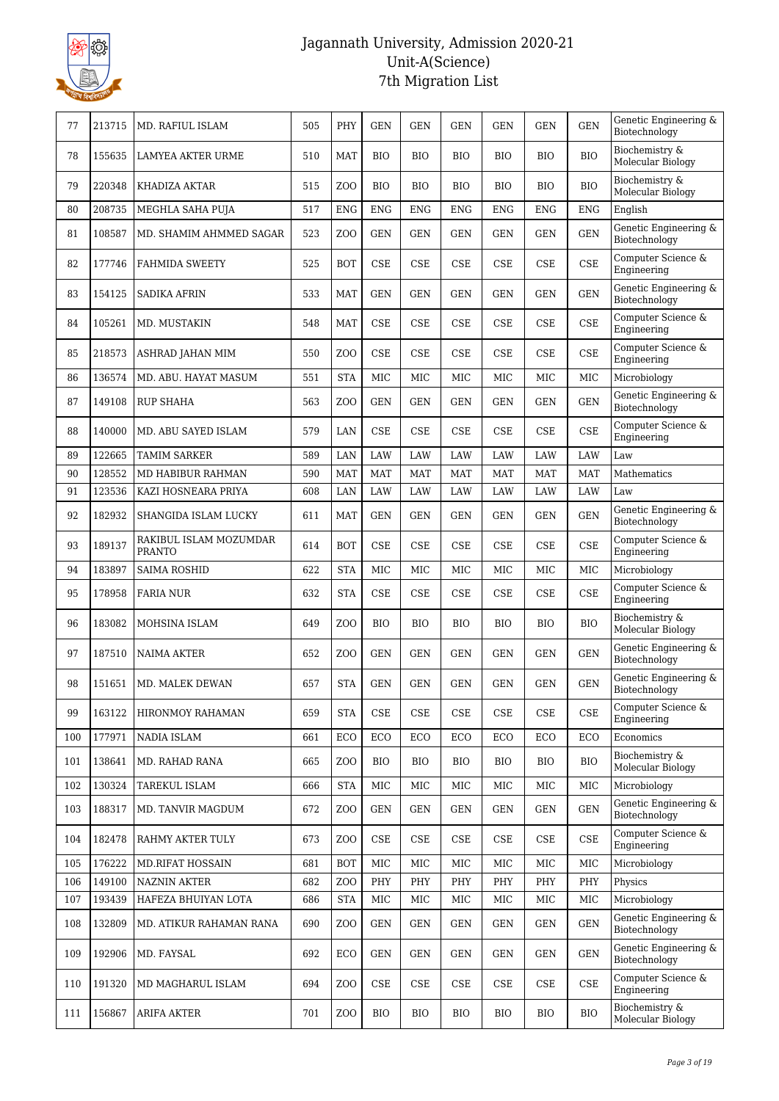

| 77  | 213715 | MD. RAFIUL ISLAM                        | 505 | PHY              | <b>GEN</b> | <b>GEN</b> | <b>GEN</b> | <b>GEN</b>                  | <b>GEN</b>   | <b>GEN</b> | Genetic Engineering &<br>Biotechnology |
|-----|--------|-----------------------------------------|-----|------------------|------------|------------|------------|-----------------------------|--------------|------------|----------------------------------------|
| 78  | 155635 | <b>LAMYEA AKTER URME</b>                | 510 | <b>MAT</b>       | <b>BIO</b> | <b>BIO</b> | <b>BIO</b> | <b>BIO</b>                  | <b>BIO</b>   | <b>BIO</b> | Biochemistry &<br>Molecular Biology    |
| 79  | 220348 | KHADIZA AKTAR                           | 515 | ZO <sub>O</sub>  | <b>BIO</b> | <b>BIO</b> | <b>BIO</b> | <b>BIO</b>                  | <b>BIO</b>   | <b>BIO</b> | Biochemistry &<br>Molecular Biology    |
| 80  | 208735 | MEGHLA SAHA PUJA                        | 517 | <b>ENG</b>       | <b>ENG</b> | <b>ENG</b> | <b>ENG</b> | <b>ENG</b>                  | <b>ENG</b>   | <b>ENG</b> | English                                |
| 81  | 108587 | MD. SHAMIM AHMMED SAGAR                 | 523 | ZO <sub>O</sub>  | <b>GEN</b> | <b>GEN</b> | GEN        | <b>GEN</b>                  | <b>GEN</b>   | <b>GEN</b> | Genetic Engineering &<br>Biotechnology |
| 82  | 177746 | <b>FAHMIDA SWEETY</b>                   | 525 | <b>BOT</b>       | <b>CSE</b> | <b>CSE</b> | CSE        | CSE                         | <b>CSE</b>   | CSE        | Computer Science &<br>Engineering      |
| 83  | 154125 | <b>SADIKA AFRIN</b>                     | 533 | <b>MAT</b>       | <b>GEN</b> | <b>GEN</b> | <b>GEN</b> | <b>GEN</b>                  | <b>GEN</b>   | <b>GEN</b> | Genetic Engineering &<br>Biotechnology |
| 84  | 105261 | MD. MUSTAKIN                            | 548 | <b>MAT</b>       | <b>CSE</b> | <b>CSE</b> | <b>CSE</b> | CSE                         | <b>CSE</b>   | CSE        | Computer Science &<br>Engineering      |
| 85  | 218573 | ASHRAD JAHAN MIM                        | 550 | ZO <sub>O</sub>  | <b>CSE</b> | <b>CSE</b> | <b>CSE</b> | $\ensuremath{\mathsf{CSE}}$ | <b>CSE</b>   | <b>CSE</b> | Computer Science &<br>Engineering      |
| 86  | 136574 | MD. ABU. HAYAT MASUM                    | 551 | <b>STA</b>       | MIC        | MIC        | MIC        | MIC                         | MIC          | <b>MIC</b> | Microbiology                           |
| 87  | 149108 | <b>RUP SHAHA</b>                        | 563 | ZO <sub>O</sub>  | <b>GEN</b> | <b>GEN</b> | <b>GEN</b> | <b>GEN</b>                  | <b>GEN</b>   | <b>GEN</b> | Genetic Engineering &<br>Biotechnology |
| 88  | 140000 | MD. ABU SAYED ISLAM                     | 579 | LAN              | <b>CSE</b> | CSE        | CSE        | CSE                         | CSE          | <b>CSE</b> | Computer Science &<br>Engineering      |
| 89  | 122665 | <b>TAMIM SARKER</b>                     | 589 | LAN              | LAW        | <b>LAW</b> | LAW        | <b>LAW</b>                  | <b>LAW</b>   | LAW        | Law                                    |
| 90  | 128552 | MD HABIBUR RAHMAN                       | 590 | <b>MAT</b>       | <b>MAT</b> | <b>MAT</b> | <b>MAT</b> | <b>MAT</b>                  | <b>MAT</b>   | <b>MAT</b> | Mathematics                            |
| 91  | 123536 | KAZI HOSNEARA PRIYA                     | 608 | LAN              | LAW        | LAW        | LAW        | LAW                         | LAW          | LAW        | Law                                    |
| 92  | 182932 | SHANGIDA ISLAM LUCKY                    | 611 | <b>MAT</b>       | <b>GEN</b> | <b>GEN</b> | GEN        | <b>GEN</b>                  | <b>GEN</b>   | <b>GEN</b> | Genetic Engineering &<br>Biotechnology |
| 93  | 189137 | RAKIBUL ISLAM MOZUMDAR<br><b>PRANTO</b> | 614 | <b>BOT</b>       | <b>CSE</b> | <b>CSE</b> | CSE        | CSE                         | <b>CSE</b>   | CSE        | Computer Science &<br>Engineering      |
| 94  | 183897 | <b>SAIMA ROSHID</b>                     | 622 | <b>STA</b>       | MIC        | MIC        | MIC        | MIC                         | $_{\rm MIC}$ | MIC        | Microbiology                           |
| 95  | 178958 | <b>FARIA NUR</b>                        | 632 | <b>STA</b>       | <b>CSE</b> | <b>CSE</b> | CSE        | CSE                         | <b>CSE</b>   | CSE        | Computer Science &<br>Engineering      |
| 96  | 183082 | MOHSINA ISLAM                           | 649 | ZO <sub>O</sub>  | <b>BIO</b> | <b>BIO</b> | <b>BIO</b> | <b>BIO</b>                  | <b>BIO</b>   | <b>BIO</b> | Biochemistry &<br>Molecular Biology    |
| 97  | 187510 | <b>NAIMA AKTER</b>                      | 652 | Z <sub>O</sub> O | <b>GEN</b> | <b>GEN</b> | GEN        | <b>GEN</b>                  | <b>GEN</b>   | <b>GEN</b> | Genetic Engineering &<br>Biotechnology |
| 98  | 151651 | MD. MALEK DEWAN                         | 657 | <b>STA</b>       | <b>GEN</b> | <b>GEN</b> | <b>GEN</b> | $\operatorname{GEN}$        | <b>GEN</b>   | <b>GEN</b> | Genetic Engineering &<br>Biotechnology |
| 99  | 163122 | HIRONMOY RAHAMAN                        | 659 | <b>STA</b>       | <b>CSE</b> | CSE        | CSE        | CSE                         | CSE          | <b>CSE</b> | Computer Science &<br>Engineering      |
| 100 | 177971 | NADIA ISLAM                             | 661 | ECO              | ECO        | ECO        | ECO        | ECO                         | ECO          | <b>ECO</b> | Economics                              |
| 101 | 138641 | MD. RAHAD RANA                          | 665 | Z <sub>O</sub> O | <b>BIO</b> | <b>BIO</b> | <b>BIO</b> | <b>BIO</b>                  | <b>BIO</b>   | <b>BIO</b> | Biochemistry &<br>Molecular Biology    |
| 102 | 130324 | TAREKUL ISLAM                           | 666 | <b>STA</b>       | MIC        | MIC        | MIC        | MIC                         | MIC          | MIC        | Microbiology                           |
| 103 | 188317 | MD. TANVIR MAGDUM                       | 672 | Z <sub>O</sub> O | <b>GEN</b> | GEN        | GEN        | GEN                         | GEN          | <b>GEN</b> | Genetic Engineering &<br>Biotechnology |
| 104 | 182478 | RAHMY AKTER TULY                        | 673 | Z <sub>0</sub>   | <b>CSE</b> | CSE        | CSE        | CSE                         | CSE          | <b>CSE</b> | Computer Science &<br>Engineering      |
| 105 | 176222 | <b>MD.RIFAT HOSSAIN</b>                 | 681 | <b>BOT</b>       | MIC        | MIC        | MIC        | MIC                         | MIC          | <b>MIC</b> | Microbiology                           |
| 106 | 149100 | <b>NAZNIN AKTER</b>                     | 682 | Z <sub>O</sub> O | PHY        | PHY        | PHY        | PHY                         | PHY          | PHY        | Physics                                |
| 107 | 193439 | HAFEZA BHUIYAN LOTA                     | 686 | <b>STA</b>       | MIC        | MIC        | MIC        | MIC                         | MIC          | MIC        | Microbiology                           |
| 108 | 132809 | MD. ATIKUR RAHAMAN RANA                 | 690 | Z <sub>O</sub> O | <b>GEN</b> | <b>GEN</b> | GEN        | <b>GEN</b>                  | <b>GEN</b>   | <b>GEN</b> | Genetic Engineering &<br>Biotechnology |
| 109 | 192906 | MD. FAYSAL                              | 692 | ECO              | <b>GEN</b> | <b>GEN</b> | <b>GEN</b> | <b>GEN</b>                  | <b>GEN</b>   | <b>GEN</b> | Genetic Engineering &<br>Biotechnology |
| 110 | 191320 | MD MAGHARUL ISLAM                       | 694 | Z <sub>O</sub> O | <b>CSE</b> | CSE        | CSE        | CSE                         | CSE          | <b>CSE</b> | Computer Science &<br>Engineering      |
| 111 | 156867 | <b>ARIFA AKTER</b>                      | 701 | Z <sub>0</sub>   | <b>BIO</b> | <b>BIO</b> | BIO        | <b>BIO</b>                  | <b>BIO</b>   | BIO        | Biochemistry &<br>Molecular Biology    |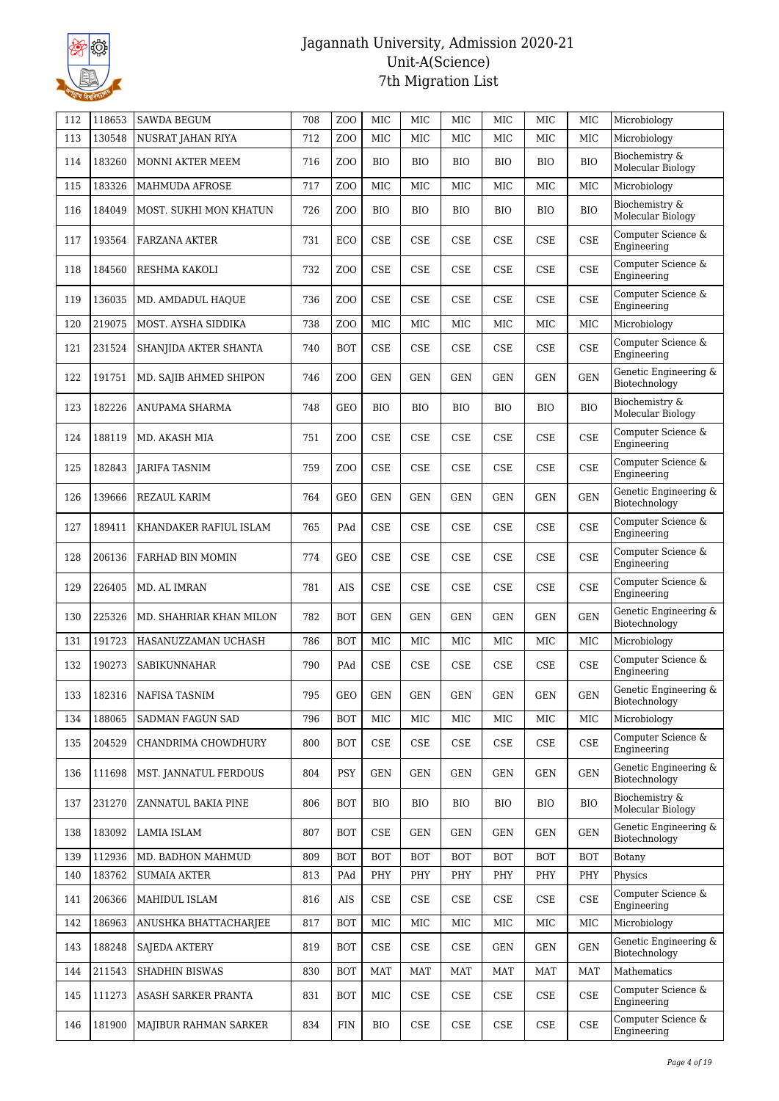

| 112 | 118653 | <b>SAWDA BEGUM</b>      | 708 | Z <sub>O</sub> O | MIC        | MIC                         | MIC                         | MIC                         | MIC                         | MIC        | Microbiology                           |
|-----|--------|-------------------------|-----|------------------|------------|-----------------------------|-----------------------------|-----------------------------|-----------------------------|------------|----------------------------------------|
| 113 | 130548 | NUSRAT JAHAN RIYA       | 712 | Z <sub>O</sub> O | <b>MIC</b> | <b>MIC</b>                  | MIC                         | MIC                         | <b>MIC</b>                  | MIC        | Microbiology                           |
| 114 | 183260 | MONNI AKTER MEEM        | 716 | Z <sub>O</sub> O | <b>BIO</b> | <b>BIO</b>                  | <b>BIO</b>                  | <b>BIO</b>                  | <b>BIO</b>                  | <b>BIO</b> | Biochemistry &<br>Molecular Biology    |
| 115 | 183326 | <b>MAHMUDA AFROSE</b>   | 717 | Z <sub>O</sub> O | MIC        | <b>MIC</b>                  | MIC                         | MIC                         | <b>MIC</b>                  | MIC        | Microbiology                           |
| 116 | 184049 | MOST. SUKHI MON KHATUN  | 726 | Z <sub>O</sub> O | <b>BIO</b> | <b>BIO</b>                  | BIO                         | <b>BIO</b>                  | <b>BIO</b>                  | <b>BIO</b> | Biochemistry &<br>Molecular Biology    |
| 117 | 193564 | <b>FARZANA AKTER</b>    | 731 | ECO              | <b>CSE</b> | <b>CSE</b>                  | CSE                         | <b>CSE</b>                  | <b>CSE</b>                  | CSE        | Computer Science &<br>Engineering      |
| 118 | 184560 | RESHMA KAKOLI           | 732 | Z <sub>O</sub> O | <b>CSE</b> | <b>CSE</b>                  | CSE                         | CSE                         | <b>CSE</b>                  | <b>CSE</b> | Computer Science &<br>Engineering      |
| 119 | 136035 | MD. AMDADUL HAQUE       | 736 | Z <sub>O</sub> O | <b>CSE</b> | <b>CSE</b>                  | CSE                         | <b>CSE</b>                  | <b>CSE</b>                  | CSE        | Computer Science &<br>Engineering      |
| 120 | 219075 | MOST. AYSHA SIDDIKA     | 738 | Z <sub>O</sub> O | MIC        | MIC                         | MIC                         | MIC                         | MIC                         | MIC        | Microbiology                           |
| 121 | 231524 | SHANJIDA AKTER SHANTA   | 740 | <b>BOT</b>       | <b>CSE</b> | <b>CSE</b>                  | CSE                         | CSE                         | <b>CSE</b>                  | CSE        | Computer Science &<br>Engineering      |
| 122 | 191751 | MD. SAJIB AHMED SHIPON  | 746 | Z <sub>O</sub> O | <b>GEN</b> | <b>GEN</b>                  | <b>GEN</b>                  | <b>GEN</b>                  | <b>GEN</b>                  | <b>GEN</b> | Genetic Engineering &<br>Biotechnology |
| 123 | 182226 | ANUPAMA SHARMA          | 748 | <b>GEO</b>       | <b>BIO</b> | <b>BIO</b>                  | <b>BIO</b>                  | <b>BIO</b>                  | <b>BIO</b>                  | <b>BIO</b> | Biochemistry &<br>Molecular Biology    |
| 124 | 188119 | MD. AKASH MIA           | 751 | Z <sub>O</sub> O | <b>CSE</b> | CSE                         | CSE                         | CSE                         | CSE                         | <b>CSE</b> | Computer Science &<br>Engineering      |
| 125 | 182843 | <b>JARIFA TASNIM</b>    | 759 | Z <sub>O</sub> O | <b>CSE</b> | CSE                         | CSE                         | CSE                         | <b>CSE</b>                  | CSE        | Computer Science &<br>Engineering      |
| 126 | 139666 | REZAUL KARIM            | 764 | <b>GEO</b>       | <b>GEN</b> | <b>GEN</b>                  | <b>GEN</b>                  | <b>GEN</b>                  | <b>GEN</b>                  | <b>GEN</b> | Genetic Engineering &<br>Biotechnology |
| 127 | 189411 | KHANDAKER RAFIUL ISLAM  | 765 | PAd              | <b>CSE</b> | <b>CSE</b>                  | CSE                         | CSE                         | <b>CSE</b>                  | CSE        | Computer Science &<br>Engineering      |
| 128 | 206136 | FARHAD BIN MOMIN        | 774 | <b>GEO</b>       | <b>CSE</b> | CSE                         | CSE                         | <b>CSE</b>                  | CSE                         | CSE        | Computer Science $\&$<br>Engineering   |
| 129 | 226405 | MD. AL IMRAN            | 781 | AIS              | <b>CSE</b> | <b>CSE</b>                  | CSE                         | <b>CSE</b>                  | <b>CSE</b>                  | <b>CSE</b> | Computer Science &<br>Engineering      |
| 130 | 225326 | MD. SHAHRIAR KHAN MILON | 782 | <b>BOT</b>       | <b>GEN</b> | <b>GEN</b>                  | <b>GEN</b>                  | <b>GEN</b>                  | <b>GEN</b>                  | <b>GEN</b> | Genetic Engineering &<br>Biotechnology |
| 131 | 191723 | HASANUZZAMAN UCHASH     | 786 | <b>BOT</b>       | MIC        | MIC                         | MIC                         | MIC                         | MIC                         | MIC        | Microbiology                           |
| 132 | 190273 | <b>SABIKUNNAHAR</b>     | 790 | PAd              | <b>CSE</b> | CSE                         | CSE                         | CSE                         | CSE                         | <b>CSE</b> | Computer Science &<br>Engineering      |
| 133 |        | 182316 NAFISA TASNIM    | 795 | GEO              | GEN        | GEN                         | GEN                         | GEN                         | $\operatorname{GEN}$        | <b>GEN</b> | Genetic Engineering &<br>Biotechnology |
| 134 | 188065 | SADMAN FAGUN SAD        | 796 | <b>BOT</b>       | MIC        | MIC                         | MIC                         | MIC                         | MIC                         | MIC        | Microbiology                           |
| 135 | 204529 | CHANDRIMA CHOWDHURY     | 800 | <b>BOT</b>       | CSE        | CSE                         | CSE                         | CSE                         | CSE                         | <b>CSE</b> | Computer Science &<br>Engineering      |
| 136 | 111698 | MST. JANNATUL FERDOUS   | 804 | <b>PSY</b>       | <b>GEN</b> | <b>GEN</b>                  | <b>GEN</b>                  | GEN                         | GEN                         | <b>GEN</b> | Genetic Engineering &<br>Biotechnology |
| 137 | 231270 | ZANNATUL BAKIA PINE     | 806 | <b>BOT</b>       | <b>BIO</b> | <b>BIO</b>                  | BIO                         | <b>BIO</b>                  | <b>BIO</b>                  | <b>BIO</b> | Biochemistry &<br>Molecular Biology    |
| 138 | 183092 | <b>LAMIA ISLAM</b>      | 807 | <b>BOT</b>       | CSE        | <b>GEN</b>                  | <b>GEN</b>                  | <b>GEN</b>                  | <b>GEN</b>                  | <b>GEN</b> | Genetic Engineering &<br>Biotechnology |
| 139 | 112936 | MD. BADHON MAHMUD       | 809 | <b>BOT</b>       | <b>BOT</b> | <b>BOT</b>                  | <b>BOT</b>                  | <b>BOT</b>                  | BOT                         | <b>BOT</b> | Botany                                 |
| 140 | 183762 | <b>SUMAIA AKTER</b>     | 813 | PAd              | PHY        | PHY                         | PHY                         | PHY                         | PHY                         | PHY        | Physics                                |
| 141 | 206366 | MAHIDUL ISLAM           | 816 | AIS              | CSE        | <b>CSE</b>                  | <b>CSE</b>                  | CSE                         | CSE                         | CSE        | Computer Science &<br>Engineering      |
| 142 | 186963 | ANUSHKA BHATTACHARJEE   | 817 | <b>BOT</b>       | MIC        | MIC                         | MIC                         | MIC                         | <b>MIC</b>                  | MIC        | Microbiology                           |
| 143 | 188248 | <b>SAJEDA AKTERY</b>    | 819 | <b>BOT</b>       | CSE        | CSE                         | <b>CSE</b>                  | GEN                         | GEN                         | <b>GEN</b> | Genetic Engineering &<br>Biotechnology |
| 144 | 211543 | SHADHIN BISWAS          | 830 | <b>BOT</b>       | <b>MAT</b> | MAT                         | MAT                         | MAT                         | MAT                         | <b>MAT</b> | Mathematics                            |
| 145 | 111273 | ASASH SARKER PRANTA     | 831 | <b>BOT</b>       | MIC        | CSE                         | $\ensuremath{\mathsf{CSE}}$ | CSE                         | $\ensuremath{\mathsf{CSE}}$ | <b>CSE</b> | Computer Science &<br>Engineering      |
| 146 | 181900 | MAJIBUR RAHMAN SARKER   | 834 | $\text{FIN}$     | <b>BIO</b> | $\ensuremath{\mathsf{CSE}}$ | $\ensuremath{\mathsf{CSE}}$ | $\ensuremath{\mathsf{CSE}}$ | $\ensuremath{\mathsf{CSE}}$ | <b>CSE</b> | Computer Science &<br>Engineering      |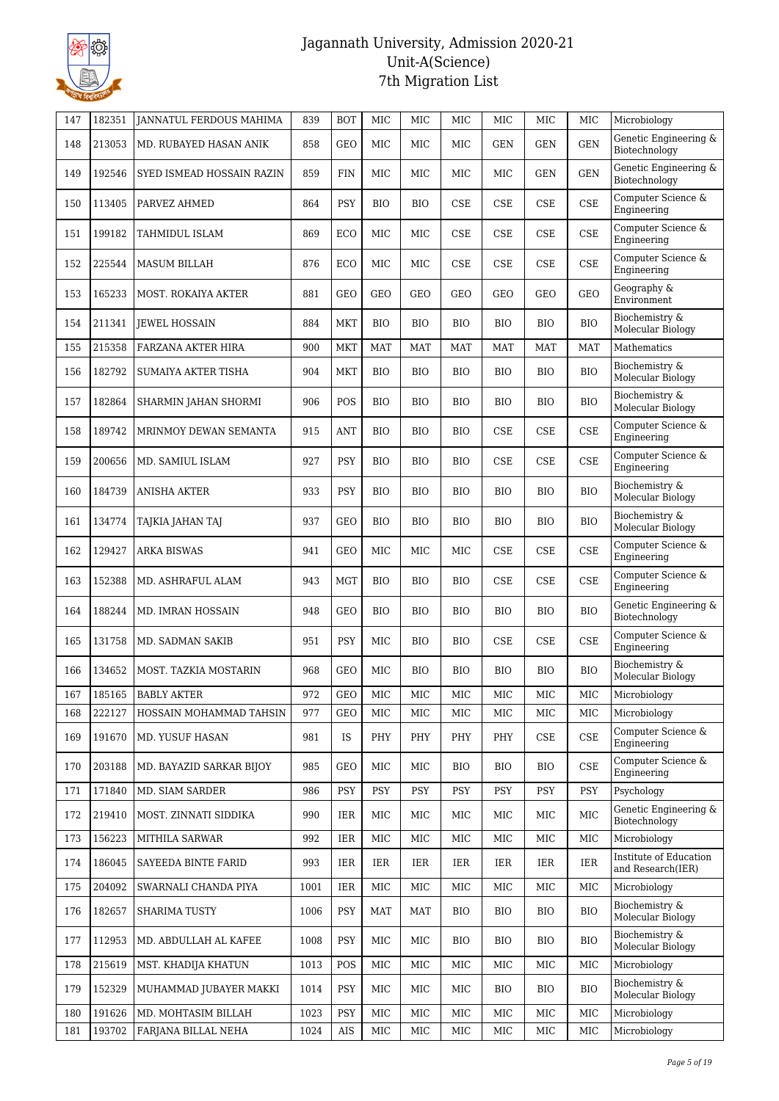

| 147 | 182351 | <b>JANNATUL FERDOUS MAHIMA</b> | 839  | <b>BOT</b> | MIC        | MIC        | MIC          | MIC          | MIC          | MIC        | Microbiology                                |
|-----|--------|--------------------------------|------|------------|------------|------------|--------------|--------------|--------------|------------|---------------------------------------------|
| 148 | 213053 | MD. RUBAYED HASAN ANIK         | 858  | <b>GEO</b> | <b>MIC</b> | MIC        | <b>MIC</b>   | <b>GEN</b>   | <b>GEN</b>   | <b>GEN</b> | Genetic Engineering &<br>Biotechnology      |
| 149 | 192546 | SYED ISMEAD HOSSAIN RAZIN      | 859  | <b>FIN</b> | <b>MIC</b> | MIC        | <b>MIC</b>   | MIC          | <b>GEN</b>   | <b>GEN</b> | Genetic Engineering &<br>Biotechnology      |
| 150 | 113405 | PARVEZ AHMED                   | 864  | PSY        | BIO        | <b>BIO</b> | CSE          | CSE          | <b>CSE</b>   | <b>CSE</b> | Computer Science &<br>Engineering           |
| 151 | 199182 | TAHMIDUL ISLAM                 | 869  | ECO        | <b>MIC</b> | MIC        | CSE          | <b>CSE</b>   | <b>CSE</b>   | <b>CSE</b> | Computer Science &<br>Engineering           |
| 152 | 225544 | MASUM BILLAH                   | 876  | ECO        | <b>MIC</b> | <b>MIC</b> | CSE          | <b>CSE</b>   | CSE          | <b>CSE</b> | Computer Science &<br>Engineering           |
| 153 | 165233 | <b>MOST. ROKAIYA AKTER</b>     | 881  | <b>GEO</b> | <b>GEO</b> | <b>GEO</b> | <b>GEO</b>   | <b>GEO</b>   | GEO          | GEO        | Geography &<br><b>Environment</b>           |
| 154 | 211341 | JEWEL HOSSAIN                  | 884  | MKT        | BIO        | <b>BIO</b> | BIO          | <b>BIO</b>   | <b>BIO</b>   | <b>BIO</b> | Biochemistry &<br>Molecular Biology         |
| 155 | 215358 | FARZANA AKTER HIRA             | 900  | <b>MKT</b> | <b>MAT</b> | <b>MAT</b> | <b>MAT</b>   | <b>MAT</b>   | <b>MAT</b>   | <b>MAT</b> | Mathematics                                 |
| 156 | 182792 | SUMAIYA AKTER TISHA            | 904  | <b>MKT</b> | <b>BIO</b> | <b>BIO</b> | <b>BIO</b>   | <b>BIO</b>   | <b>BIO</b>   | <b>BIO</b> | Biochemistry &<br>Molecular Biology         |
| 157 | 182864 | SHARMIN JAHAN SHORMI           | 906  | POS        | BIO        | <b>BIO</b> | BIO          | <b>BIO</b>   | <b>BIO</b>   | <b>BIO</b> | Biochemistry &<br>Molecular Biology         |
| 158 | 189742 | MRINMOY DEWAN SEMANTA          | 915  | ANT        | <b>BIO</b> | <b>BIO</b> | <b>BIO</b>   | CSE          | <b>CSE</b>   | <b>CSE</b> | Computer Science &<br>Engineering           |
| 159 | 200656 | MD. SAMIUL ISLAM               | 927  | <b>PSY</b> | <b>BIO</b> | <b>BIO</b> | <b>BIO</b>   | <b>CSE</b>   | <b>CSE</b>   | <b>CSE</b> | Computer Science &<br>Engineering           |
| 160 | 184739 | <b>ANISHA AKTER</b>            | 933  | <b>PSY</b> | <b>BIO</b> | <b>BIO</b> | <b>BIO</b>   | <b>BIO</b>   | <b>BIO</b>   | <b>BIO</b> | Biochemistry &<br>Molecular Biology         |
| 161 | 134774 | TAJKIA JAHAN TAJ               | 937  | <b>GEO</b> | BIO        | <b>BIO</b> | <b>BIO</b>   | <b>BIO</b>   | <b>BIO</b>   | <b>BIO</b> | Biochemistry &<br>Molecular Biology         |
| 162 | 129427 | <b>ARKA BISWAS</b>             | 941  | GEO        | MIC        | MIC        | MIC          | <b>CSE</b>   | CSE          | <b>CSE</b> | Computer Science &<br>Engineering           |
| 163 | 152388 | MD. ASHRAFUL ALAM              | 943  | <b>MGT</b> | <b>BIO</b> | <b>BIO</b> | <b>BIO</b>   | <b>CSE</b>   | <b>CSE</b>   | <b>CSE</b> | Computer Science &<br>Engineering           |
| 164 | 188244 | MD. IMRAN HOSSAIN              | 948  | <b>GEO</b> | <b>BIO</b> | <b>BIO</b> | <b>BIO</b>   | <b>BIO</b>   | <b>BIO</b>   | <b>BIO</b> | Genetic Engineering &<br>Biotechnology      |
| 165 | 131758 | MD. SADMAN SAKIB               | 951  | <b>PSY</b> | MIC        | <b>BIO</b> | BIO          | <b>CSE</b>   | CSE          | <b>CSE</b> | Computer Science &<br>Engineering           |
| 166 | 134652 | MOST. TAZKIA MOSTARIN          | 968  | <b>GEO</b> | MIC        | <b>BIO</b> | <b>BIO</b>   | <b>BIO</b>   | <b>BIO</b>   | <b>BIO</b> | Biochemistry &<br>Molecular Biology         |
| 167 |        | 185165   BABLY AKTER           | 972  | <b>GEO</b> | $\rm MIC$  | $\rm{MIC}$ | $_{\rm MIC}$ | $_{\rm MIC}$ | $_{\rm MIC}$ | MIC        | Microbiology                                |
| 168 | 222127 | HOSSAIN MOHAMMAD TAHSIN        | 977  | GEO        | MIC        | MIC        | MIC          | MIC          | MIC          | MIC        | Microbiology                                |
| 169 | 191670 | MD. YUSUF HASAN                | 981  | IS         | PHY        | PHY        | PHY          | PHY          | CSE          | <b>CSE</b> | Computer Science &<br>Engineering           |
| 170 | 203188 | MD. BAYAZID SARKAR BIJOY       | 985  | <b>GEO</b> | MIC        | MIC        | BIO          | <b>BIO</b>   | <b>BIO</b>   | <b>CSE</b> | Computer Science &<br>Engineering           |
| 171 | 171840 | MD. SIAM SARDER                | 986  | <b>PSY</b> | <b>PSY</b> | <b>PSY</b> | <b>PSY</b>   | <b>PSY</b>   | <b>PSY</b>   | <b>PSY</b> | Psychology                                  |
| 172 | 219410 | MOST. ZINNATI SIDDIKA          | 990  | IER        | MIC        | MIC        | MIC          | MIC          | МIС          | MIC        | Genetic Engineering &<br>Biotechnology      |
| 173 | 156223 | MITHILA SARWAR                 | 992  | IER        | MIC        | MIC        | MIC          | MIC          | МIС          | MIC        | Microbiology                                |
| 174 | 186045 | SAYEEDA BINTE FARID            | 993  | <b>IER</b> | IER        | IER        | IER          | IER          | IER          | IER        | Institute of Education<br>and Research(IER) |
| 175 | 204092 | SWARNALI CHANDA PIYA           | 1001 | IER        | MIC        | MIC        | MIC          | MIC          | MIC          | MIC        | Microbiology                                |
| 176 | 182657 | <b>SHARIMA TUSTY</b>           | 1006 | <b>PSY</b> | MAT        | MAT        | BIO          | <b>BIO</b>   | <b>BIO</b>   | <b>BIO</b> | Biochemistry &<br>Molecular Biology         |
| 177 | 112953 | MD. ABDULLAH AL KAFEE          | 1008 | PSY        | MIC        | MIC        | BIO          | <b>BIO</b>   | <b>BIO</b>   | BIO        | Biochemistry &<br>Molecular Biology         |
| 178 | 215619 | MST. KHADIJA KHATUN            | 1013 | POS        | MIC        | MIC        | MIC          | MIC          | MIC          | MIC        | Microbiology                                |
| 179 | 152329 | MUHAMMAD JUBAYER MAKKI         | 1014 | <b>PSY</b> | MIC        | MIC        | MIC          | <b>BIO</b>   | <b>BIO</b>   | <b>BIO</b> | Biochemistry &<br>Molecular Biology         |
| 180 | 191626 | MD. MOHTASIM BILLAH            | 1023 | <b>PSY</b> | MIC        | MIC        | MIC          | MIC          | MIC          | MIC        | Microbiology                                |
| 181 | 193702 | FARJANA BILLAL NEHA            | 1024 | AIS        | MIC        | MIC        | MIC          | MIC          | MIC          | MIC        | Microbiology                                |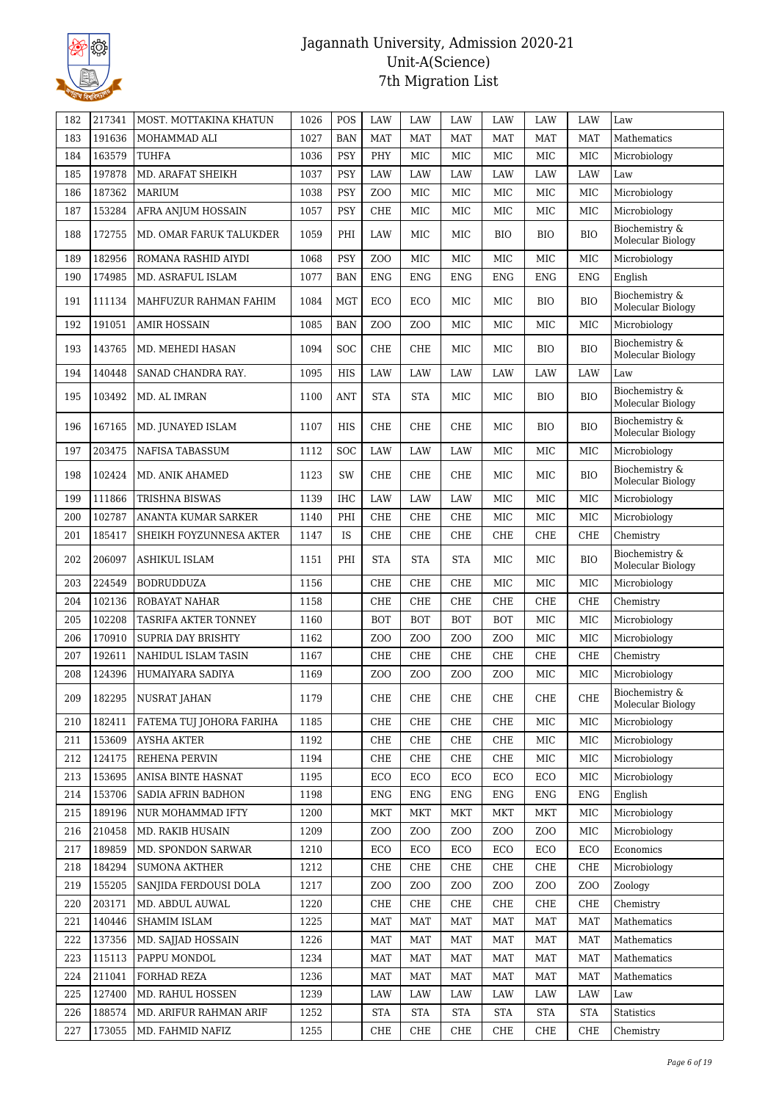

| 182 | 217341 | MOST. MOTTAKINA KHATUN      | 1026 | POS        | LAW              | LAW              | LAW             | LAW              | LAW              | LAW              | Law                                 |
|-----|--------|-----------------------------|------|------------|------------------|------------------|-----------------|------------------|------------------|------------------|-------------------------------------|
| 183 | 191636 | MOHAMMAD ALI                | 1027 | <b>BAN</b> | <b>MAT</b>       | <b>MAT</b>       | <b>MAT</b>      | <b>MAT</b>       | <b>MAT</b>       | <b>MAT</b>       | Mathematics                         |
| 184 | 163579 | TUHFA                       | 1036 | <b>PSY</b> | PHY              | MIC              | <b>MIC</b>      | MIC              | <b>MIC</b>       | <b>MIC</b>       | Microbiology                        |
| 185 | 197878 | MD. ARAFAT SHEIKH           | 1037 | <b>PSY</b> | LAW              | <b>LAW</b>       | <b>LAW</b>      | LAW              | LAW              | LAW              | Law                                 |
| 186 | 187362 | <b>MARIUM</b>               | 1038 | <b>PSY</b> | ZO <sub>O</sub>  | MIC              | MIC             | MIC              | MIC              | MIC              | Microbiology                        |
| 187 | 153284 | AFRA ANJUM HOSSAIN          | 1057 | <b>PSY</b> | <b>CHE</b>       | MIC              | MIC             | MIC              | MIC              | <b>MIC</b>       | Microbiology                        |
| 188 | 172755 | MD. OMAR FARUK TALUKDER     | 1059 | PHI        | LAW              | MIC              | <b>MIC</b>      | <b>BIO</b>       | <b>BIO</b>       | <b>BIO</b>       | Biochemistry &<br>Molecular Biology |
| 189 | 182956 | ROMANA RASHID AIYDI         | 1068 | PSY        | Z <sub>0</sub>   | MIC              | MIC             | MIC              | MIC              | <b>MIC</b>       | Microbiology                        |
| 190 | 174985 | MD. ASRAFUL ISLAM           | 1077 | <b>BAN</b> | <b>ENG</b>       | <b>ENG</b>       | <b>ENG</b>      | <b>ENG</b>       | <b>ENG</b>       | <b>ENG</b>       | English                             |
| 191 | 111134 | MAHFUZUR RAHMAN FAHIM       | 1084 | <b>MGT</b> | <b>ECO</b>       | ECO              | MIC             | MIC              | <b>BIO</b>       | <b>BIO</b>       | Biochemistry &<br>Molecular Biology |
| 192 | 191051 | <b>AMIR HOSSAIN</b>         | 1085 | <b>BAN</b> | Z <sub>O</sub> O | Z <sub>O</sub> O | <b>MIC</b>      | <b>MIC</b>       | <b>MIC</b>       | <b>MIC</b>       | Microbiology                        |
| 193 | 143765 | MD. MEHEDI HASAN            | 1094 | SOC        | <b>CHE</b>       | <b>CHE</b>       | MIC             | MIC              | <b>BIO</b>       | <b>BIO</b>       | Biochemistry &<br>Molecular Biology |
| 194 | 140448 | SANAD CHANDRA RAY.          | 1095 | HIS        | LAW              | LAW              | LAW             | LAW              | LAW              | LAW              | Law                                 |
| 195 | 103492 | MD. AL IMRAN                | 1100 | <b>ANT</b> | <b>STA</b>       | <b>STA</b>       | MIC             | MIC              | <b>BIO</b>       | <b>BIO</b>       | Biochemistry &<br>Molecular Biology |
| 196 | 167165 | MD. JUNAYED ISLAM           | 1107 | <b>HIS</b> | <b>CHE</b>       | <b>CHE</b>       | <b>CHE</b>      | MIC              | <b>BIO</b>       | <b>BIO</b>       | Biochemistry &<br>Molecular Biology |
| 197 | 203475 | NAFISA TABASSUM             | 1112 | <b>SOC</b> | LAW              | <b>LAW</b>       | LAW             | MIC              | MIC              | <b>MIC</b>       | Microbiology                        |
| 198 | 102424 | MD. ANIK AHAMED             | 1123 | SW         | <b>CHE</b>       | <b>CHE</b>       | <b>CHE</b>      | MIC              | MIC              | <b>BIO</b>       | Biochemistry &<br>Molecular Biology |
| 199 | 111866 | TRISHNA BISWAS              | 1139 | <b>IHC</b> | LAW              | LAW              | LAW             | <b>MIC</b>       | <b>MIC</b>       | <b>MIC</b>       | Microbiology                        |
| 200 | 102787 | ANANTA KUMAR SARKER         | 1140 | PHI        | <b>CHE</b>       | <b>CHE</b>       | <b>CHE</b>      | MIC              | MIC              | <b>MIC</b>       | Microbiology                        |
| 201 | 185417 | SHEIKH FOYZUNNESA AKTER     | 1147 | IS         | <b>CHE</b>       | <b>CHE</b>       | <b>CHE</b>      | CHE              | CHE              | <b>CHE</b>       | Chemistry                           |
| 202 | 206097 | <b>ASHIKUL ISLAM</b>        | 1151 | PHI        | <b>STA</b>       | <b>STA</b>       | <b>STA</b>      | MIC              | MIC              | <b>BIO</b>       | Biochemistry &<br>Molecular Biology |
| 203 | 224549 | <b>BODRUDDUZA</b>           | 1156 |            | <b>CHE</b>       | <b>CHE</b>       | <b>CHE</b>      | <b>MIC</b>       | <b>MIC</b>       | <b>MIC</b>       | Microbiology                        |
| 204 | 102136 | ROBAYAT NAHAR               | 1158 |            | <b>CHE</b>       | CHE              | CHE             | <b>CHE</b>       | <b>CHE</b>       | CHE              | Chemistry                           |
| 205 | 102208 | <b>TASRIFA AKTER TONNEY</b> | 1160 |            | <b>BOT</b>       | <b>BOT</b>       | <b>BOT</b>      | <b>BOT</b>       | MIC              | MIC              | Microbiology                        |
| 206 | 170910 | <b>SUPRIA DAY BRISHTY</b>   | 1162 |            | Z <sub>O</sub> O | Z <sub>O</sub> O | ZO <sub>O</sub> | ZO <sub>O</sub>  | MIC              | <b>MIC</b>       | Microbiology                        |
| 207 | 192611 | NAHIDUL ISLAM TASIN         | 1167 |            | <b>CHE</b>       | CHE              | <b>CHE</b>      | CHE              | <b>CHE</b>       | <b>CHE</b>       | Chemistry                           |
| 208 | 124396 | HUMAIYARA SADIYA            | 1169 |            | Z <sub>O</sub> O | Z <sub>O</sub> O | ZO <sub>O</sub> | ZO <sub>O</sub>  | MIC              | <b>MIC</b>       | Microbiology                        |
| 209 | 182295 | NUSRAT JAHAN                | 1179 |            | CHE              | CHE              | CHE             | CHE              | CHE              | CHE              | Biochemistry &<br>Molecular Biology |
| 210 | 182411 | FATEMA TUJ JOHORA FARIHA    | 1185 |            | <b>CHE</b>       | CHE              | CHE             | CHE              | MIC              | MIC              | Microbiology                        |
| 211 | 153609 | <b>AYSHA AKTER</b>          | 1192 |            | CHE              | CHE              | CHE             | CHE              | MIC              | MIC              | Microbiology                        |
| 212 | 124175 | REHENA PERVIN               | 1194 |            | CHE              | CHE              | CHE             | CHE              | MIC              | MIC              | Microbiology                        |
| 213 | 153695 | ANISA BINTE HASNAT          | 1195 |            | ECO              | ECO              | ECO             | ECO              | ECO              | MIC              | Microbiology                        |
| 214 | 153706 | SADIA AFRIN BADHON          | 1198 |            | ENG              | <b>ENG</b>       | <b>ENG</b>      | <b>ENG</b>       | <b>ENG</b>       | <b>ENG</b>       | English                             |
| 215 | 189196 | NUR MOHAMMAD IFTY           | 1200 |            | <b>MKT</b>       | <b>MKT</b>       | MKT             | MKT              | MKT              | MIC              | Microbiology                        |
| 216 | 210458 | MD. RAKIB HUSAIN            | 1209 |            | Z <sub>O</sub> O | Z <sub>O</sub> O | ZO <sub>O</sub> | Z <sub>O</sub> O | Z <sub>O</sub> O | MIC              | Microbiology                        |
| 217 | 189859 | MD. SPONDON SARWAR          | 1210 |            | ECO              | ECO              | ECO             | ECO              | ECO              | ECO              | Economics                           |
| 218 | 184294 | <b>SUMONA AKTHER</b>        | 1212 |            | CHE              | CHE              | CHE             | CHE              | CHE              | CHE              | Microbiology                        |
| 219 | 155205 | SANJIDA FERDOUSI DOLA       | 1217 |            | Z <sub>O</sub> O | Z <sub>O</sub> O | ZOO             | Z <sub>O</sub> O | Z <sub>O</sub> O | Z <sub>O</sub> O | Zoology                             |
| 220 | 203171 | MD. ABDUL AUWAL             | 1220 |            | CHE              | CHE              | CHE             | CHE              | CHE              | CHE              | Chemistry                           |
| 221 | 140446 | SHAMIM ISLAM                | 1225 |            | MAT              | MAT              | MAT             | MAT              | MAT              | <b>MAT</b>       | Mathematics                         |
| 222 | 137356 | MD. SAIJAD HOSSAIN          | 1226 |            | <b>MAT</b>       | <b>MAT</b>       | MAT             | MAT              | MAT              | <b>MAT</b>       | Mathematics                         |
| 223 | 115113 | PAPPU MONDOL                | 1234 |            | <b>MAT</b>       | MAT              | MAT             | MAT              | MAT              | <b>MAT</b>       | Mathematics                         |
| 224 | 211041 | FORHAD REZA                 | 1236 |            | MAT              | MAT              | MAT             | MAT              | MAT              | <b>MAT</b>       | Mathematics                         |
| 225 | 127400 | MD. RAHUL HOSSEN            | 1239 |            | LAW              | LAW              | LAW             | LAW              | LAW              | LAW              | Law                                 |
| 226 | 188574 | MD. ARIFUR RAHMAN ARIF      | 1252 |            | <b>STA</b>       | <b>STA</b>       | <b>STA</b>      | <b>STA</b>       | <b>STA</b>       | <b>STA</b>       | <b>Statistics</b>                   |
| 227 | 173055 | MD. FAHMID NAFIZ            | 1255 |            | CHE              | CHE              | CHE             | CHE              | CHE              | CHE              | Chemistry                           |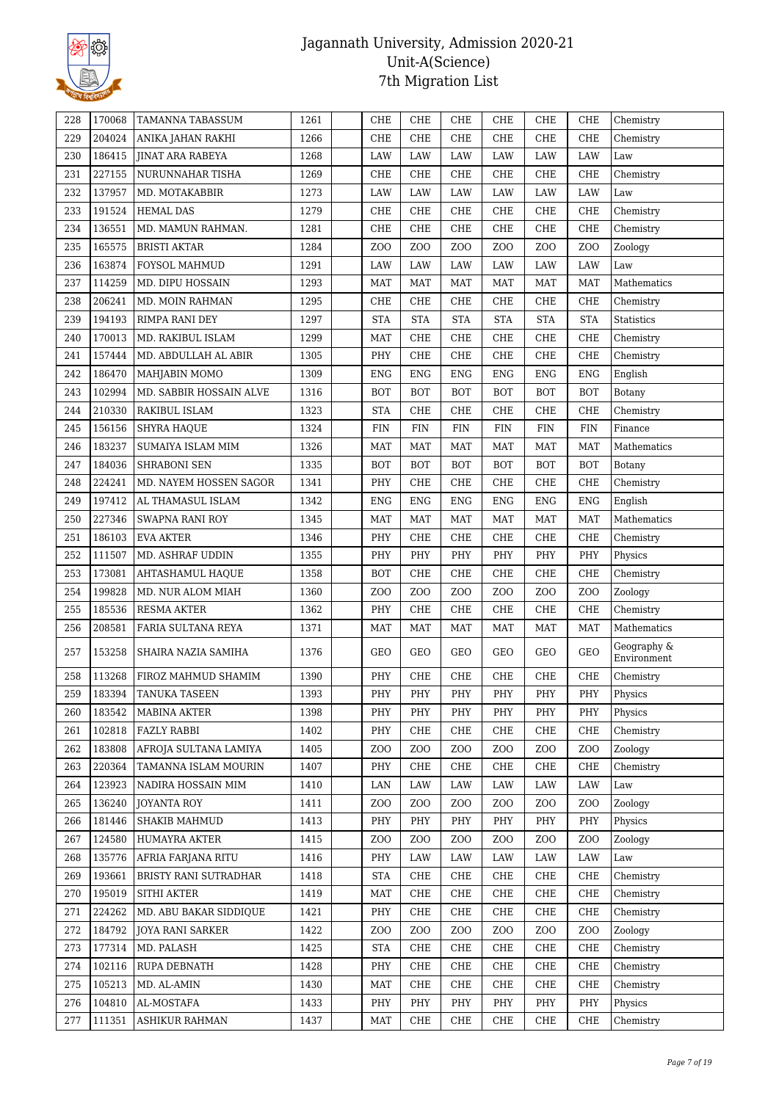

| 228 | 170068 | TAMANNA TABASSUM        | 1261 | CHE                                                                     | CHE                                | CHE              | CHE                                | CHE                                | CHE              | Chemistry                  |
|-----|--------|-------------------------|------|-------------------------------------------------------------------------|------------------------------------|------------------|------------------------------------|------------------------------------|------------------|----------------------------|
| 229 | 204024 | ANIKA JAHAN RAKHI       | 1266 | CHE                                                                     | CHE                                | CHE              | CHE                                | CHE                                | <b>CHE</b>       | Chemistry                  |
| 230 | 186415 | <b>JINAT ARA RABEYA</b> | 1268 | LAW                                                                     | LAW                                | LAW              | LAW                                | LAW                                | LAW              | Law                        |
| 231 | 227155 | NURUNNAHAR TISHA        | 1269 | CHE                                                                     | <b>CHE</b>                         | CHE              | CHE                                | CHE                                | CHE              | Chemistry                  |
| 232 | 137957 | MD. MOTAKABBIR          | 1273 | LAW                                                                     | LAW                                | LAW              | LAW                                | LAW                                | LAW              | Law                        |
| 233 | 191524 | <b>HEMAL DAS</b>        | 1279 | CHE                                                                     | CHE                                | CHE              | CHE                                | CHE                                | <b>CHE</b>       | Chemistry                  |
| 234 | 136551 | MD. MAMUN RAHMAN.       | 1281 | CHE                                                                     | <b>CHE</b>                         | CHE              | CHE                                | ${\rm CHE}$                        | CHE              | Chemistry                  |
| 235 | 165575 | <b>BRISTI AKTAR</b>     | 1284 | Z <sub>O</sub> O                                                        | Z <sub>O</sub> O                   | Z <sub>O</sub> O | Z <sub>O</sub> O                   | Z <sub>0</sub>                     | Z <sub>0</sub>   | Zoology                    |
| 236 | 163874 | FOYSOL MAHMUD           | 1291 | LAW                                                                     | LAW                                | LAW              | LAW                                | LAW                                | LAW              | Law                        |
| 237 | 114259 | MD. DIPU HOSSAIN        | 1293 | MAT                                                                     | MAT                                | MAT              | MAT                                | MAT                                | MAT              | Mathematics                |
| 238 | 206241 | MD. MOIN RAHMAN         | 1295 | CHE                                                                     | <b>CHE</b>                         | CHE              | CHE                                | CHE                                | CHE              | Chemistry                  |
| 239 | 194193 | RIMPA RANI DEY          | 1297 | <b>STA</b>                                                              | <b>STA</b>                         | <b>STA</b>       | <b>STA</b>                         | <b>STA</b>                         | <b>STA</b>       | Statistics                 |
| 240 | 170013 | MD. RAKIBUL ISLAM       | 1299 | MAT                                                                     | <b>CHE</b>                         | CHE              | CHE                                | CHE                                | CHE              | Chemistry                  |
| 241 | 157444 | MD. ABDULLAH AL ABIR    | 1305 | PHY                                                                     | <b>CHE</b>                         | CHE              | CHE                                | CHE                                | CHE              | Chemistry                  |
| 242 | 186470 | MAHJABIN MOMO           | 1309 | <b>ENG</b>                                                              | <b>ENG</b>                         | <b>ENG</b>       | <b>ENG</b>                         | <b>ENG</b>                         | <b>ENG</b>       | English                    |
| 243 | 102994 | MD. SABBIR HOSSAIN ALVE | 1316 | <b>BOT</b>                                                              | <b>BOT</b>                         | <b>BOT</b>       | <b>BOT</b>                         | <b>BOT</b>                         | <b>BOT</b>       | Botany                     |
| 244 | 210330 | RAKIBUL ISLAM           | 1323 | <b>STA</b>                                                              | <b>CHE</b>                         | CHE              | CHE                                | CHE                                | CHE              | Chemistry                  |
| 245 | 156156 | <b>SHYRA HAQUE</b>      | 1324 | <b>FIN</b>                                                              | <b>FIN</b>                         | <b>FIN</b>       | <b>FIN</b>                         | <b>FIN</b>                         | ${\rm FIN}$      | Finance                    |
| 246 | 183237 | SUMAIYA ISLAM MIM       | 1326 | <b>MAT</b>                                                              | <b>MAT</b>                         | <b>MAT</b>       | <b>MAT</b>                         | <b>MAT</b>                         | <b>MAT</b>       | Mathematics                |
| 247 | 184036 | <b>SHRABONI SEN</b>     | 1335 | <b>BOT</b>                                                              | <b>BOT</b>                         | <b>BOT</b>       | <b>BOT</b>                         | <b>BOT</b>                         | <b>BOT</b>       | Botany                     |
| 248 | 224241 | MD. NAYEM HOSSEN SAGOR  | 1341 | PHY                                                                     | CHE                                | CHE              | CHE                                | CHE                                | <b>CHE</b>       | Chemistry                  |
| 249 | 197412 | AL THAMASUL ISLAM       | 1342 | <b>ENG</b>                                                              | <b>ENG</b>                         | <b>ENG</b>       | <b>ENG</b>                         | <b>ENG</b>                         | <b>ENG</b>       | English                    |
| 250 | 227346 | <b>SWAPNA RANI ROY</b>  | 1345 | <b>MAT</b>                                                              | <b>MAT</b>                         | <b>MAT</b>       | <b>MAT</b>                         | <b>MAT</b>                         | <b>MAT</b>       | Mathematics                |
| 251 | 186103 | <b>EVA AKTER</b>        | 1346 | PHY                                                                     | CHE                                | CHE              | CHE                                | CHE                                | CHE              | Chemistry                  |
| 252 | 111507 | MD. ASHRAF UDDIN        | 1355 | PHY                                                                     | PHY                                | PHY              | PHY                                | PHY                                | PHY              | Physics                    |
| 253 | 173081 | <b>AHTASHAMUL HAQUE</b> | 1358 | <b>BOT</b>                                                              | <b>CHE</b>                         | CHE              | CHE                                | CHE                                | CHE              | Chemistry                  |
| 254 | 199828 | MD. NUR ALOM MIAH       | 1360 | Z <sub>O</sub> O                                                        | Z <sub>0</sub>                     | Z <sub>0</sub>   | Z <sub>0</sub>                     | Z <sub>0</sub>                     | Z <sub>00</sub>  | Zoology                    |
| 255 | 185536 | RESMA AKTER             | 1362 | PHY                                                                     | CHE                                | CHE              | CHE                                | CHE                                | CHE              | Chemistry                  |
| 256 | 208581 | FARIA SULTANA REYA      | 1371 | MAT                                                                     | MAT                                | MAT              | MAT                                | MAT                                | <b>MAT</b>       | Mathematics                |
| 257 | 153258 | SHAIRA NAZIA SAMIHA     | 1376 | GEO                                                                     | GEO                                | GEO              | GEO                                | GEO                                | <b>GEO</b>       | Geography &<br>Environment |
| 258 | 113268 | FIROZ MAHMUD SHAMIM     | 1390 | PHY                                                                     | <b>CHE</b>                         | CHE              | CHE                                | CHE                                | <b>CHE</b>       | Chemistry                  |
| 259 | 183394 | <b>TANUKA TASEEN</b>    | 1393 | $\ensuremath{\mathbf{P}}\ensuremath{\mathbf{H}}\ensuremath{\mathbf{Y}}$ | $\ensuremath{\mathsf{PHY}}\xspace$ | PHY              | $\ensuremath{\mathsf{PHY}}\xspace$ | $\ensuremath{\mathsf{PHY}}\xspace$ | PHY              | ${\rm Physics}$            |
| 260 | 183542 | MABINA AKTER            | 1398 | PHY                                                                     | PHY                                | PHY              | PHY                                | PHY                                | PHY              | Physics                    |
| 261 | 102818 | FAZLY RABBI             | 1402 | PHY                                                                     | CHE                                | CHE              | CHE                                | CHE                                | CHE              | Chemistry                  |
| 262 | 183808 | AFROJA SULTANA LAMIYA   | 1405 | Z <sub>0</sub>                                                          | Z <sub>O</sub> O                   | Z <sub>0</sub>   | Z <sub>0</sub>                     | Z <sub>0</sub>                     | ZOO              | Zoology                    |
| 263 | 220364 | TAMANNA ISLAM MOURIN    | 1407 | PHY                                                                     | CHE                                | CHE              | CHE                                | CHE                                | CHE              | Chemistry                  |
| 264 | 123923 | NADIRA HOSSAIN MIM      | 1410 | LAN                                                                     | LAW                                | LAW              | LAW                                | LAW                                | LAW              | Law                        |
| 265 | 136240 | JOYANTA ROY             | 1411 | Z <sub>O</sub> O                                                        | Z <sub>0</sub>                     | Z <sub>O</sub> O | Z <sub>O</sub> O                   | ZOO                                | Z <sub>O</sub> O | Zoology                    |
| 266 | 181446 | <b>SHAKIB MAHMUD</b>    | 1413 | PHY                                                                     | PHY                                | PHY              | PHY                                | PHY                                | PHY              | Physics                    |
| 267 | 124580 | HUMAYRA AKTER           | 1415 | Z <sub>O</sub> O                                                        | Z <sub>0</sub>                     | Z <sub>O</sub> O | Z <sub>0</sub>                     | Z <sub>0</sub>                     | Z <sub>O</sub> O | Zoology                    |
| 268 | 135776 | AFRIA FARJANA RITU      | 1416 | PHY                                                                     | LAW                                | LAW              | LAW                                | LAW                                | LAW              | Law                        |
| 269 | 193661 | BRISTY RANI SUTRADHAR   | 1418 | <b>STA</b>                                                              | CHE                                | CHE              | CHE                                | CHE                                | CHE              | Chemistry                  |
| 270 | 195019 | SITHI AKTER             | 1419 | <b>MAT</b>                                                              | CHE                                | CHE              | CHE                                | CHE                                | CHE              | Chemistry                  |
| 271 | 224262 | MD. ABU BAKAR SIDDIQUE  | 1421 | PHY                                                                     | CHE                                | CHE              | CHE                                | CHE                                | CHE              | Chemistry                  |
| 272 | 184792 | <b>JOYA RANI SARKER</b> | 1422 | Z <sub>O</sub> O                                                        | ZOO                                | Z <sub>O</sub> O | Z <sub>O</sub> O                   | Z <sub>0</sub>                     | Z <sub>O</sub> O | Zoology                    |
| 273 | 177314 | MD. PALASH              | 1425 | <b>STA</b>                                                              | CHE                                | CHE              | CHE                                | CHE                                | CHE              | Chemistry                  |
| 274 | 102116 | RUPA DEBNATH            | 1428 | PHY                                                                     | CHE                                | CHE              | CHE                                | CHE                                | CHE              | Chemistry                  |
| 275 | 105213 | MD. AL-AMIN             | 1430 | MAT                                                                     | CHE                                | CHE              | CHE                                | CHE                                | CHE              | Chemistry                  |
| 276 | 104810 | AL-MOSTAFA              | 1433 | PHY                                                                     | PHY                                | PHY              | PHY                                | PHY                                | PHY              | Physics                    |
| 277 | 111351 | ASHIKUR RAHMAN          | 1437 | <b>MAT</b>                                                              | CHE                                | CHE              | CHE                                | CHE                                | CHE              | Chemistry                  |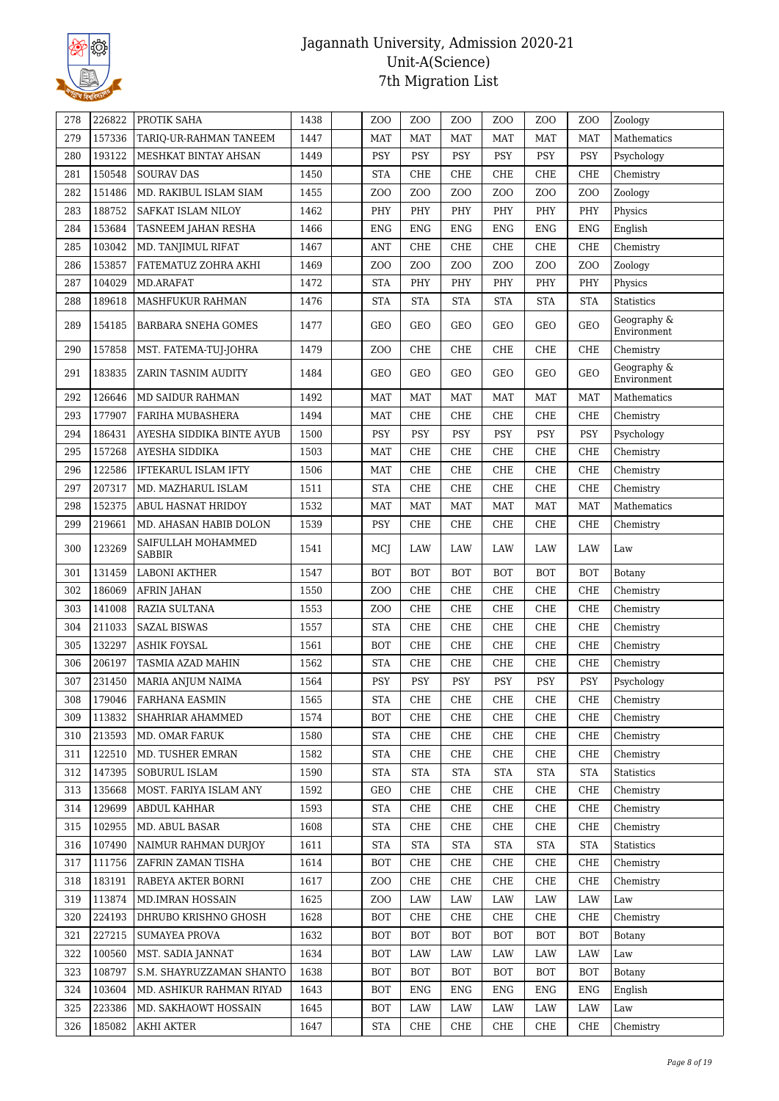

| 278 | 226822           | PROTIK SAHA                               | 1438         | Z <sub>O</sub> O | Z <sub>O</sub> O | ZO <sub>O</sub> | ZOO              | Z <sub>0</sub>  | Z <sub>O</sub> O | Zoology                    |
|-----|------------------|-------------------------------------------|--------------|------------------|------------------|-----------------|------------------|-----------------|------------------|----------------------------|
| 279 | 157336           | TARIQ-UR-RAHMAN TANEEM                    | 1447         | <b>MAT</b>       | <b>MAT</b>       | MAT             | <b>MAT</b>       | MAT             | <b>MAT</b>       | Mathematics                |
| 280 | 193122           | MESHKAT BINTAY AHSAN                      | 1449         | <b>PSY</b>       | <b>PSY</b>       | <b>PSY</b>      | PSY              | PSY             | <b>PSY</b>       | Psychology                 |
| 281 | 150548           | <b>SOURAV DAS</b>                         | 1450         | <b>STA</b>       | CHE              | <b>CHE</b>      | CHE              | CHE             | CHE              | Chemistry                  |
| 282 | 151486           | MD. RAKIBUL ISLAM SIAM                    | 1455         | Z <sub>O</sub> O | Z <sub>0</sub>   | ZO <sub>O</sub> | Z <sub>O</sub> O | ZO <sub>O</sub> | Z <sub>O</sub> O | Zoology                    |
| 283 | 188752           | SAFKAT ISLAM NILOY                        | 1462         | PHY              | PHY              | PHY             | PHY              | PHY             | PHY              | Physics                    |
| 284 | 153684           | TASNEEM JAHAN RESHA                       | 1466         | <b>ENG</b>       | <b>ENG</b>       | <b>ENG</b>      | <b>ENG</b>       | <b>ENG</b>      | <b>ENG</b>       | English                    |
| 285 | 103042           | MD. TANJIMUL RIFAT                        | 1467         | <b>ANT</b>       | CHE              | CHE             | CHE              | CHE             | CHE              | Chemistry                  |
| 286 | 153857           | FATEMATUZ ZOHRA AKHI                      | 1469         | Z <sub>O</sub> O | Z <sub>0</sub>   | ZOO             | ZOO              | ZOO             | Z <sub>O</sub> O | Zoology                    |
| 287 | 104029           | MD.ARAFAT                                 | 1472         | <b>STA</b>       | PHY              | PHY             | PHY              | PHY             | PHY              | Physics                    |
| 288 | 189618           | MASHFUKUR RAHMAN                          | 1476         | <b>STA</b>       | <b>STA</b>       | <b>STA</b>      | <b>STA</b>       | <b>STA</b>      | <b>STA</b>       | <b>Statistics</b>          |
|     |                  |                                           |              |                  |                  |                 |                  |                 |                  | Geography &                |
| 289 | 154185           | BARBARA SNEHA GOMES                       | 1477         | GEO              | <b>GEO</b>       | <b>GEO</b>      | GEO              | GEO             | <b>GEO</b>       | Environment                |
| 290 | 157858           | MST. FATEMA-TUJ-JOHRA                     | 1479         | Z <sub>O</sub> O | <b>CHE</b>       | CHE             | CHE              | <b>CHE</b>      | <b>CHE</b>       | Chemistry                  |
| 291 | 183835           | ZARIN TASNIM AUDITY                       | 1484         | <b>GEO</b>       | <b>GEO</b>       | <b>GEO</b>      | <b>GEO</b>       | GEO             | <b>GEO</b>       | Geography &<br>Environment |
| 292 | 126646           | MD SAIDUR RAHMAN                          | 1492         | <b>MAT</b>       | <b>MAT</b>       | <b>MAT</b>      | <b>MAT</b>       | MAT             | <b>MAT</b>       | Mathematics                |
| 293 | 177907           | FARIHA MUBASHERA                          | 1494         | <b>MAT</b>       | CHE              | CHE             | CHE              | CHE             | <b>CHE</b>       | Chemistry                  |
| 294 | 186431           | AYESHA SIDDIKA BINTE AYUB                 | 1500         | <b>PSY</b>       | PSY              | <b>PSY</b>      | PSY              | PSY             | PSY              | Psychology                 |
| 295 | 157268           | AYESHA SIDDIKA                            | 1503         | <b>MAT</b>       | <b>CHE</b>       | CHE             | CHE              | ${\rm CHE}$     | <b>CHE</b>       | Chemistry                  |
| 296 | 122586           | IFTEKARUL ISLAM IFTY                      | 1506         | <b>MAT</b>       | CHE              | CHE             | <b>CHE</b>       | CHE             | CHE              | Chemistry                  |
| 297 | 207317           | MD. MAZHARUL ISLAM                        | 1511         | <b>STA</b>       | CHE              | <b>CHE</b>      | CHE              | CHE             | <b>CHE</b>       | Chemistry                  |
| 298 | 152375           | <b>ABUL HASNAT HRIDOY</b>                 | 1532         | <b>MAT</b>       | MAT              | <b>MAT</b>      | <b>MAT</b>       | <b>MAT</b>      | <b>MAT</b>       | Mathematics                |
| 299 | 219661           | MD. AHASAN HABIB DOLON                    | 1539         | <b>PSY</b>       | CHE              | CHE             | CHE              | CHE             | CHE              | Chemistry                  |
| 300 | 123269           | SAIFULLAH MOHAMMED<br>SABBIR              | 1541         | MCJ              | LAW              | LAW             | LAW              | LAW             | LAW              | Law                        |
| 301 | 131459           | <b>LABONI AKTHER</b>                      | 1547         | <b>BOT</b>       | <b>BOT</b>       | <b>BOT</b>      | <b>BOT</b>       | <b>BOT</b>      | <b>BOT</b>       | Botany                     |
| 302 | 186069           | <b>AFRIN JAHAN</b>                        | 1550         | Z <sub>O</sub> O | CHE              | CHE             | CHE              | CHE             | <b>CHE</b>       | Chemistry                  |
| 303 | 141008           | RAZIA SULTANA                             | 1553         | Z <sub>O</sub> O | <b>CHE</b>       | CHE             | <b>CHE</b>       | ${\rm CHE}$     | CHE              | Chemistry                  |
| 304 | 211033           | <b>SAZAL BISWAS</b>                       | 1557         | <b>STA</b>       | <b>CHE</b>       | CHE             | <b>CHE</b>       | CHE             | CHE              | Chemistry                  |
| 305 | 132297           | <b>ASHIK FOYSAL</b>                       | 1561         | <b>BOT</b>       | CHE              | CHE             | CHE              | CHE             | <b>CHE</b>       | Chemistry                  |
| 306 | 206197           | TASMIA AZAD MAHIN                         | 1562         | <b>STA</b>       | CHE              | ${\rm CHE}$     | <b>CHE</b>       | ${\rm CHE}$     | CHE              | Chemistry                  |
| 307 | 231450           | MARIA ANJUM NAIMA                         | 1564         | <b>PSY</b>       | PSY              | PSY             | PSY              | <b>PSY</b>      | <b>PSY</b>       | Psychology                 |
| 308 | 179046           | FARHANA EASMIN                            | 1565         | <b>STA</b>       | CHE              | CHE             | CHE              | CHE             | CHE              | Chemistry                  |
| 309 | 113832           | SHAHRIAR AHAMMED                          | 1574         | <b>BOT</b>       | CHE              | CHE             | CHE              | CHE             | CHE              | Chemistry                  |
| 310 | 213593           | MD. OMAR FARUK                            | 1580         | <b>STA</b>       | CHE              | CHE             | CHE              | CHE             | CHE              | Chemistry                  |
| 311 | 122510           | MD. TUSHER EMRAN                          | 1582         | <b>STA</b>       | CHE              | CHE             | CHE              | CHE             | CHE              | Chemistry                  |
| 312 | 147395           | SOBURUL ISLAM                             | 1590         | <b>STA</b>       | <b>STA</b>       | <b>STA</b>      | <b>STA</b>       | <b>STA</b>      | <b>STA</b>       | <b>Statistics</b>          |
| 313 | 135668           | MOST. FARIYA ISLAM ANY                    | 1592         | GEO              | CHE              | CHE             | CHE              | CHE             | CHE              | Chemistry                  |
| 314 | 129699           | ABDUL KAHHAR                              | 1593         | STA              | CHE              | CHE             | CHE              | CHE             | CHE              | Chemistry                  |
| 315 | 102955           | MD. ABUL BASAR                            | 1608         | <b>STA</b>       | CHE              | CHE             | CHE              | CHE             | CHE              | Chemistry                  |
| 316 | 107490           | NAIMUR RAHMAN DURJOY                      | 1611         | <b>STA</b>       | <b>STA</b>       | <b>STA</b>      | <b>STA</b>       | <b>STA</b>      | <b>STA</b>       | <b>Statistics</b>          |
| 317 | 111756           | ZAFRIN ZAMAN TISHA                        | 1614         | <b>BOT</b>       | CHE              | CHE             | CHE              | CHE             | CHE              | Chemistry                  |
| 318 | 183191           | RABEYA AKTER BORNI                        | 1617         | Z <sub>O</sub> O | CHE              | CHE             | CHE              | CHE             | CHE              | Chemistry                  |
| 319 | 113874           |                                           | 1625         | Z <sub>O</sub> O | LAW              | LAW             | LAW              | LAW             | LAW              | Law                        |
| 320 | 224193           | MD.IMRAN HOSSAIN<br>DHRUBO KRISHNO GHOSH  | 1628         | <b>BOT</b>       | CHE              | CHE             | CHE              | CHE             | CHE              | Chemistry                  |
|     |                  |                                           |              |                  |                  |                 |                  |                 |                  |                            |
| 321 | 227215           | <b>SUMAYEA PROVA</b>                      | 1632         | <b>BOT</b>       | <b>BOT</b>       | <b>BOT</b>      | <b>BOT</b>       | <b>BOT</b>      | <b>BOT</b>       | Botany                     |
| 322 | 100560           | MST. SADIA JANNAT                         | 1634         | <b>BOT</b>       | LAW              | $\rm LAW$       | LAW              | LAW             | LAW              | Law                        |
| 323 | 108797           | S.M. SHAYRUZZAMAN SHANTO                  | 1638         | <b>BOT</b>       | <b>BOT</b>       | <b>BOT</b>      | <b>BOT</b>       | <b>BOT</b>      | <b>BOT</b>       | Botany                     |
| 324 | 103604           | MD. ASHIKUR RAHMAN RIYAD                  | 1643         | <b>BOT</b>       | ENG              | ENG             | <b>ENG</b>       | ENG             | <b>ENG</b>       | English                    |
| 325 |                  |                                           |              | <b>BOT</b>       |                  |                 | LAW              |                 | LAW              |                            |
| 326 | 223386<br>185082 | MD. SAKHAOWT HOSSAIN<br><b>AKHI AKTER</b> | 1645<br>1647 | <b>STA</b>       | LAW<br>CHE       | LAW<br>CHE      | CHE              | LAW<br>CHE      | CHE              | Law<br>Chemistry           |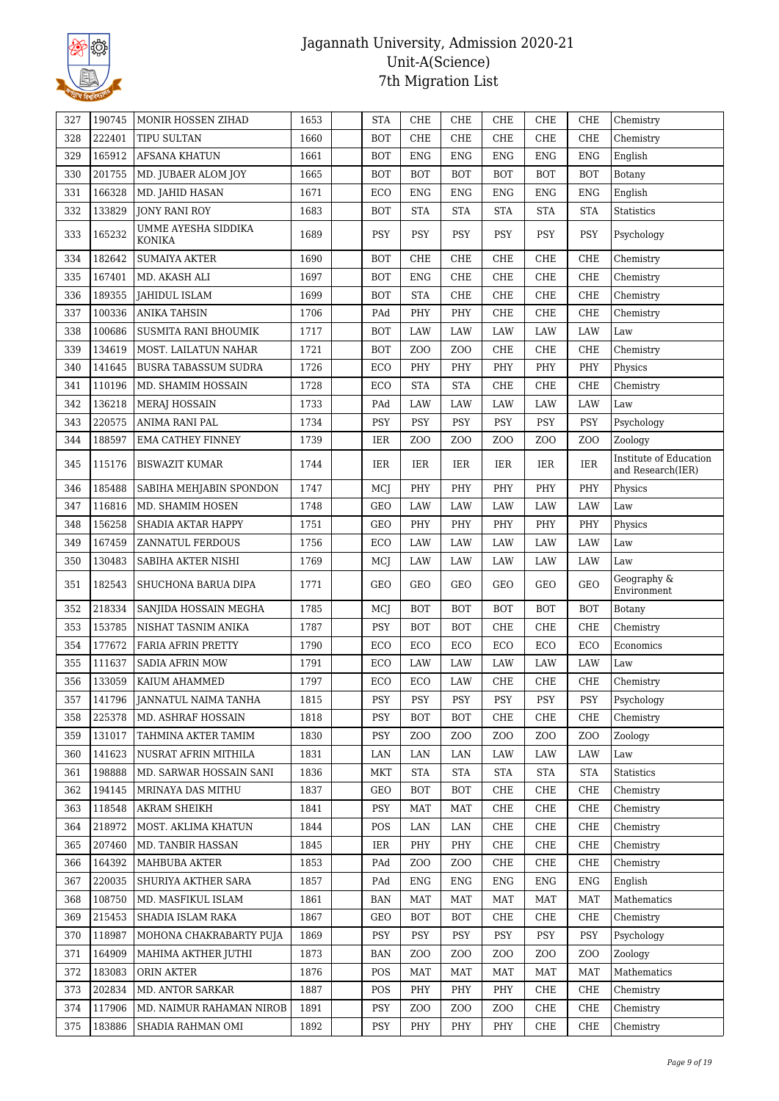

| 327 | 190745 | MONIR HOSSEN ZIHAD                   | 1653 | <b>STA</b> | CHE              | <b>CHE</b>       | CHE              | <b>CHE</b>       | CHE              | Chemistry                                   |
|-----|--------|--------------------------------------|------|------------|------------------|------------------|------------------|------------------|------------------|---------------------------------------------|
| 328 | 222401 | TIPU SULTAN                          | 1660 | <b>BOT</b> | <b>CHE</b>       | CHE              | <b>CHE</b>       | CHE              | <b>CHE</b>       | Chemistry                                   |
| 329 | 165912 | AFSANA KHATUN                        | 1661 | <b>BOT</b> | <b>ENG</b>       | <b>ENG</b>       | <b>ENG</b>       | ${\rm ENG}$      | <b>ENG</b>       | English                                     |
| 330 | 201755 | MD. JUBAER ALOM JOY                  | 1665 | <b>BOT</b> | <b>BOT</b>       | <b>BOT</b>       | <b>BOT</b>       | <b>BOT</b>       | <b>BOT</b>       | Botany                                      |
| 331 | 166328 | MD. JAHID HASAN                      | 1671 | ECO        | <b>ENG</b>       | <b>ENG</b>       | <b>ENG</b>       | ${\rm ENG}$      | <b>ENG</b>       | English                                     |
| 332 | 133829 | <b>JONY RANI ROY</b>                 | 1683 | <b>BOT</b> | <b>STA</b>       | <b>STA</b>       | <b>STA</b>       | <b>STA</b>       | <b>STA</b>       | <b>Statistics</b>                           |
| 333 | 165232 | UMME AYESHA SIDDIKA<br><b>KONIKA</b> | 1689 | <b>PSY</b> | <b>PSY</b>       | <b>PSY</b>       | <b>PSY</b>       | <b>PSY</b>       | <b>PSY</b>       | Psychology                                  |
| 334 | 182642 | <b>SUMAIYA AKTER</b>                 | 1690 | <b>BOT</b> | CHE              | CHE              | CHE              | CHE              | CHE              | Chemistry                                   |
| 335 | 167401 | MD. AKASH ALI                        | 1697 | <b>BOT</b> | <b>ENG</b>       | CHE              | <b>CHE</b>       | ${\rm CHE}$      | CHE              | Chemistry                                   |
| 336 | 189355 | <b>JAHIDUL ISLAM</b>                 | 1699 | <b>BOT</b> | <b>STA</b>       | CHE              | CHE              | ${\rm CHE}$      | CHE              | Chemistry                                   |
| 337 | 100336 | <b>ANIKA TAHSIN</b>                  | 1706 | PAd        | PHY              | PHY              | CHE              | ${\rm CHE}$      | CHE              | Chemistry                                   |
| 338 | 100686 | SUSMITA RANI BHOUMIK                 | 1717 | <b>BOT</b> | LAW              | LAW              | LAW              | LAW              | LAW              | Law                                         |
| 339 | 134619 | MOST. LAILATUN NAHAR                 | 1721 | <b>BOT</b> | Z <sub>O</sub> O | ZO <sub>O</sub>  | CHE              | ${\rm CHE}$      | CHE              | Chemistry                                   |
| 340 | 141645 | <b>BUSRA TABASSUM SUDRA</b>          | 1726 | ECO        | PHY              | PHY              | PHY              | PHY              | PHY              | Physics                                     |
| 341 | 110196 | MD. SHAMIM HOSSAIN                   | 1728 | ECO        | <b>STA</b>       | <b>STA</b>       | CHE              | CHE              | CHE              | Chemistry                                   |
| 342 | 136218 | <b>MERAJ HOSSAIN</b>                 | 1733 | PAd        | LAW              | LAW              | LAW              | LAW              | LAW              | Law                                         |
| 343 | 220575 | ANIMA RANI PAL                       | 1734 | PSY        | PSY              | PSY              | PSY              | PSY              | PSY              | Psychology                                  |
| 344 | 188597 | <b>EMA CATHEY FINNEY</b>             | 1739 | IER        | Z <sub>0</sub>   | Z <sub>O</sub> O | Z <sub>O</sub> O | Z <sub>O</sub> O | ZOO              | Zoology                                     |
| 345 | 115176 | <b>BISWAZIT KUMAR</b>                | 1744 | IER        | IER              | IER              | IER              | IER              | IER              | Institute of Education<br>and Research(IER) |
| 346 | 185488 | SABIHA MEHJABIN SPONDON              | 1747 | MCI        | PHY              | PHY              | PHY              | PHY              | PHY              | Physics                                     |
| 347 | 116816 | MD. SHAMIM HOSEN                     | 1748 | GEO        | LAW              | LAW              | LAW              | LAW              | LAW              | Law                                         |
| 348 | 156258 | SHADIA AKTAR HAPPY                   | 1751 | GEO        | PHY              | PHY              | PHY              | PHY              | PHY              | Physics                                     |
| 349 | 167459 | ZANNATUL FERDOUS                     | 1756 | ECO        | LAW              | LAW              | LAW              | LAW              | LAW              | Law                                         |
| 350 | 130483 | SABIHA AKTER NISHI                   | 1769 | MCI        | LAW              | LAW              | LAW              | LAW              | LAW              | Law                                         |
| 351 | 182543 | SHUCHONA BARUA DIPA                  | 1771 | GEO        | GEO              | <b>GEO</b>       | GEO              | GEO              | <b>GEO</b>       | Geography &<br>Environment                  |
| 352 | 218334 | SANJIDA HOSSAIN MEGHA                | 1785 | MCJ        | <b>BOT</b>       | <b>BOT</b>       | BOT              | <b>BOT</b>       | <b>BOT</b>       | Botany                                      |
| 353 | 153785 | NISHAT TASNIM ANIKA                  | 1787 | <b>PSY</b> | <b>BOT</b>       | <b>BOT</b>       | CHE              | CHE              | <b>CHE</b>       | Chemistry                                   |
| 354 | 177672 | <b>FARIA AFRIN PRETTY</b>            | 1790 | ECO        | ECO              | ECO              | ECO              | ECO              | ECO              | Economics                                   |
| 355 | 111637 | SADIA AFRIN MOW                      | 1791 | ECO        | LAW              | LAW              | LAW              | LAW              | LAW              | Law                                         |
| 356 | 133059 | KAIUM AHAMMED                        | 1797 | ECO        | ECO              | LAW              | CHE              | ${\rm CHE}$      | CHE              | Chemistry                                   |
| 357 | 141796 | JANNATUL NAIMA TANHA                 | 1815 | PSY        | PSY              | PSY              | PSY              | PSY              | PSY              | Psychology                                  |
| 358 | 225378 | MD. ASHRAF HOSSAIN                   | 1818 | PSY        | <b>BOT</b>       | BOT              | CHE              | CHE              | CHE              | Chemistry                                   |
| 359 | 131017 | TAHMINA AKTER TAMIM                  | 1830 | PSY        | Z <sub>0</sub>   | Z <sub>0</sub>   | Z <sub>O</sub> O | Z <sub>0</sub>   | ZOO              | Zoology                                     |
| 360 | 141623 | NUSRAT AFRIN MITHILA                 | 1831 | LAN        | LAN              | LAN              | LAW              | LAW              | LAW              | Law                                         |
| 361 | 198888 | MD. SARWAR HOSSAIN SANI              | 1836 | MKT        | <b>STA</b>       | <b>STA</b>       | <b>STA</b>       | <b>STA</b>       | <b>STA</b>       | Statistics                                  |
| 362 | 194145 | MRINAYA DAS MITHU                    | 1837 | GEO        | BOT              | <b>BOT</b>       | CHE              | CHE              | <b>CHE</b>       | Chemistry                                   |
| 363 | 118548 | AKRAM SHEIKH                         | 1841 | PSY        | MAT              | MAT              | CHE              | CHE              | CHE              | Chemistry                                   |
| 364 | 218972 | MOST. AKLIMA KHATUN                  | 1844 | POS        | LAN              | LAN              | CHE              | CHE              | CHE              | Chemistry                                   |
| 365 | 207460 | MD. TANBIR HASSAN                    | 1845 | IER        | PHY              | PHY              | CHE              | CHE              | CHE              | Chemistry                                   |
| 366 | 164392 | MAHBUBA AKTER                        | 1853 | PAd        | Z <sub>O</sub> O | Z <sub>O</sub> O | CHE              | CHE              | CHE              | Chemistry                                   |
| 367 | 220035 | SHURIYA AKTHER SARA                  | 1857 | PAd        | ENG              | <b>ENG</b>       | <b>ENG</b>       | <b>ENG</b>       | <b>ENG</b>       | English                                     |
| 368 | 108750 | MD. MASFIKUL ISLAM                   | 1861 | BAN        | MAT              | MAT              | MAT              | MAT              | MAT              | Mathematics                                 |
| 369 | 215453 | SHADIA ISLAM RAKA                    | 1867 | GEO        | <b>BOT</b>       | BOT              | CHE              | CHE              | CHE              | Chemistry                                   |
| 370 | 118987 | MOHONA CHAKRABARTY PUJA              | 1869 | <b>PSY</b> | <b>PSY</b>       | PSY              | <b>PSY</b>       | PSY              | <b>PSY</b>       | Psychology                                  |
| 371 | 164909 | MAHIMA AKTHER JUTHI                  | 1873 | BAN        | Z <sub>O</sub> O | Z <sub>0</sub>   | Z <sub>O</sub> O | Z <sub>0</sub>   | Z <sub>O</sub> O | Zoology                                     |
| 372 | 183083 | ORIN AKTER                           | 1876 | POS        | <b>MAT</b>       | <b>MAT</b>       | <b>MAT</b>       | <b>MAT</b>       | <b>MAT</b>       | Mathematics                                 |
| 373 | 202834 | MD. ANTOR SARKAR                     | 1887 | POS        | PHY              | PHY              | PHY              | CHE              | CHE              | Chemistry                                   |
| 374 | 117906 | MD. NAIMUR RAHAMAN NIROB             | 1891 | PSY        | ZOO              | ZO <sub>O</sub>  | Z <sub>O</sub> O | CHE              | CHE              | Chemistry                                   |
| 375 | 183886 | SHADIA RAHMAN OMI                    | 1892 | PSY        | PHY              | PHY              | PHY              | CHE              | CHE              | Chemistry                                   |
|     |        |                                      |      |            |                  |                  |                  |                  |                  |                                             |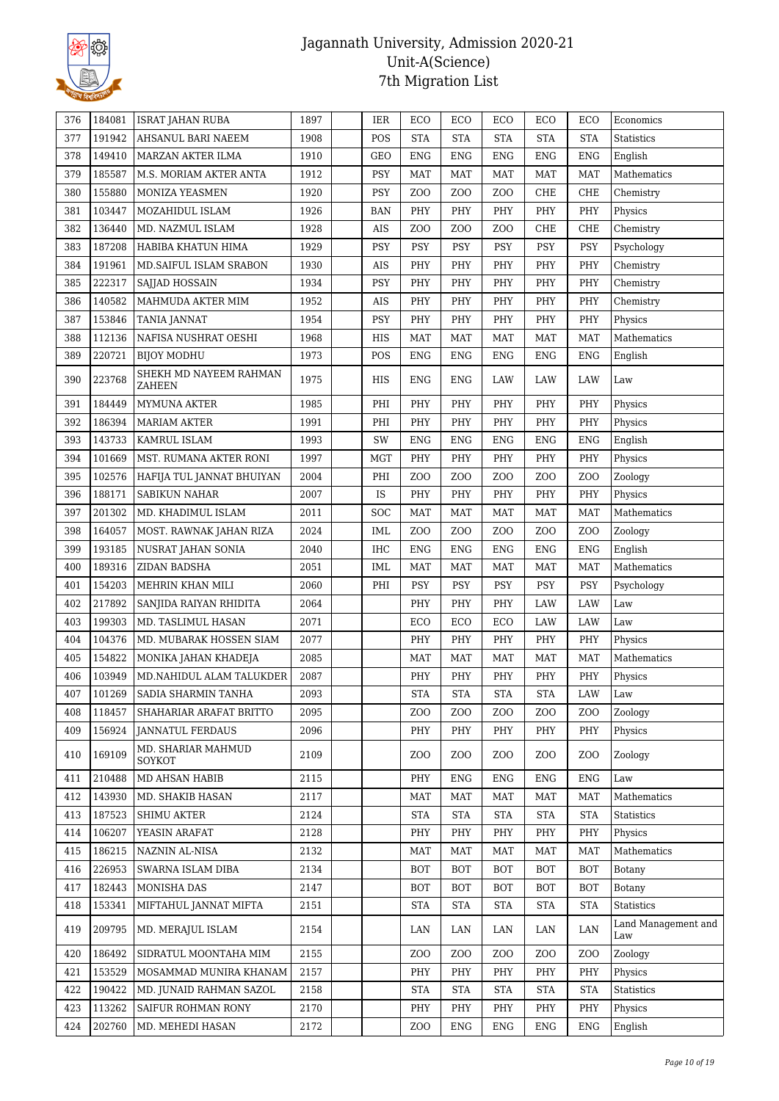

| 376 | 184081 | <b>ISRAT JAHAN RUBA</b>             | 1897 | IER        | ECO              | ECO                  | ECO                  | ECO                  | ECO              | Economics                  |
|-----|--------|-------------------------------------|------|------------|------------------|----------------------|----------------------|----------------------|------------------|----------------------------|
| 377 | 191942 | AHSANUL BARI NAEEM                  | 1908 | POS        | <b>STA</b>       | <b>STA</b>           | <b>STA</b>           | <b>STA</b>           | <b>STA</b>       | Statistics                 |
| 378 | 149410 | MARZAN AKTER ILMA                   | 1910 | <b>GEO</b> | <b>ENG</b>       | <b>ENG</b>           | <b>ENG</b>           | <b>ENG</b>           | <b>ENG</b>       | English                    |
| 379 | 185587 | M.S. MORIAM AKTER ANTA              | 1912 | <b>PSY</b> | <b>MAT</b>       | MAT                  | MAT                  | MAT                  | MAT              | Mathematics                |
| 380 | 155880 | MONIZA YEASMEN                      | 1920 | PSY        | Z <sub>O</sub> O | ZOO                  | Z <sub>O</sub> O     | CHE                  | CHE              | Chemistry                  |
| 381 | 103447 | MOZAHIDUL ISLAM                     | 1926 | <b>BAN</b> | PHY              | PHY                  | PHY                  | PHY                  | PHY              | Physics                    |
| 382 | 136440 | MD. NAZMUL ISLAM                    | 1928 | AIS        | Z <sub>O</sub> O | ZOO                  | Z <sub>O</sub> O     | <b>CHE</b>           | CHE              | Chemistry                  |
| 383 | 187208 | HABIBA KHATUN HIMA                  | 1929 | PSY        | PSY              | <b>PSY</b>           | PSY                  | <b>PSY</b>           | <b>PSY</b>       | Psychology                 |
| 384 | 191961 | MD.SAIFUL ISLAM SRABON              | 1930 | AIS        | PHY              | PHY                  | PHY                  | PHY                  | PHY              | Chemistry                  |
| 385 | 222317 | SAJJAD HOSSAIN                      | 1934 | <b>PSY</b> | PHY              | PHY                  | PHY                  | PHY                  | PHY              | Chemistry                  |
| 386 | 140582 | MAHMUDA AKTER MIM                   | 1952 | AIS        | PHY              | PHY                  | PHY                  | PHY                  | PHY              | Chemistry                  |
| 387 | 153846 | <b>TANIA JANNAT</b>                 | 1954 | <b>PSY</b> | PHY              | PHY                  | PHY                  | PHY                  | PHY              | Physics                    |
| 388 | 112136 | NAFISA NUSHRAT OESHI                | 1968 | HIS        | <b>MAT</b>       | <b>MAT</b>           | MAT                  | <b>MAT</b>           | <b>MAT</b>       | Mathematics                |
| 389 | 220721 | <b>BIJOY MODHU</b>                  | 1973 | POS        | <b>ENG</b>       | <b>ENG</b>           | <b>ENG</b>           | <b>ENG</b>           | <b>ENG</b>       | English                    |
| 390 | 223768 | SHEKH MD NAYEEM RAHMAN<br>ZAHEEN    | 1975 | HIS        | <b>ENG</b>       | <b>ENG</b>           | LAW                  | LAW                  | LAW              | Law                        |
| 391 | 184449 | MYMUNA AKTER                        | 1985 | PHI        | PHY              | PHY                  | PHY                  | PHY                  | PHY              | Physics                    |
| 392 | 186394 | <b>MARIAM AKTER</b>                 | 1991 | PHI        | PHY              | PHY                  | PHY                  | PHY                  | PHY              | Physics                    |
| 393 | 143733 | KAMRUL ISLAM                        | 1993 | SW         | <b>ENG</b>       | <b>ENG</b>           | ENG                  | <b>ENG</b>           | ENG              | English                    |
| 394 | 101669 | MST. RUMANA AKTER RONI              | 1997 | <b>MGT</b> | PHY              | PHY                  | PHY                  | PHY                  | PHY              | Physics                    |
| 395 | 102576 | HAFIJA TUL JANNAT BHUIYAN           | 2004 | PHI        | Z <sub>O</sub> O | ZO <sub>O</sub>      | Z <sub>O</sub> O     | Z <sub>0</sub>       | Z <sub>O</sub> O | Zoology                    |
| 396 | 188171 | <b>SABIKUN NAHAR</b>                | 2007 | IS         | PHY              | PHY                  | PHY                  | PHY                  | PHY              | Physics                    |
| 397 | 201302 | MD. KHADIMUL ISLAM                  | 2011 | SOC        | <b>MAT</b>       | <b>MAT</b>           | <b>MAT</b>           | <b>MAT</b>           | <b>MAT</b>       | Mathematics                |
| 398 | 164057 | MOST. RAWNAK JAHAN RIZA             | 2024 | IML        | Z <sub>0</sub>   | ZO <sub>O</sub>      | Z <sub>O</sub> O     | Z <sub>0</sub>       | Z <sub>O</sub> O | Zoology                    |
| 399 | 193185 | NUSRAT JAHAN SONIA                  | 2040 | <b>IHC</b> | <b>ENG</b>       | <b>ENG</b>           | ENG                  | <b>ENG</b>           | <b>ENG</b>       | English                    |
| 400 | 189316 | ZIDAN BADSHA                        | 2051 | IML        | <b>MAT</b>       | <b>MAT</b>           | <b>MAT</b>           | <b>MAT</b>           | <b>MAT</b>       | Mathematics                |
| 401 | 154203 | MEHRIN KHAN MILI                    | 2060 | PHI        | PSY              | PSY                  | PSY                  | PSY                  | PSY              | Psychology                 |
| 402 | 217892 | SANJIDA RAIYAN RHIDITA              | 2064 |            | PHY              | PHY                  | PHY                  | LAW                  | LAW              | Law                        |
| 403 | 199303 | MD. TASLIMUL HASAN                  | 2071 |            | ECO              | ECO                  | ECO                  | LAW                  | LAW              | Law                        |
| 404 | 104376 | MD. MUBARAK HOSSEN SIAM             | 2077 |            | PHY              | PHY                  | PHY                  | PHY                  | PHY              | Physics                    |
| 405 | 154822 | MONIKA JAHAN KHADEJA                | 2085 |            | <b>MAT</b>       | <b>MAT</b>           | <b>MAT</b>           | <b>MAT</b>           | <b>MAT</b>       | Mathematics                |
| 406 | 103949 | MD.NAHIDUL ALAM TALUKDER            | 2087 |            | PHY              | PHY                  | PHY                  | PHY                  | PHY              | Physics                    |
| 407 | 101269 | SADIA SHARMIN TANHA                 | 2093 |            | <b>STA</b>       | $\operatorname{STA}$ | $\operatorname{STA}$ | $\operatorname{STA}$ | $_{\rm LAW}$     | $\operatorname{Law}$       |
| 408 | 118457 | SHAHARIAR ARAFAT BRITTO             | 2095 |            | Z <sub>0</sub>   | ZOO                  | Z <sub>O</sub> O     | Z <sub>0</sub>       | ZOO              | Zoology                    |
| 409 | 156924 | <b>JANNATUL FERDAUS</b>             | 2096 |            | PHY              | PHY                  | PHY                  | PHY                  | PHY              | Physics                    |
| 410 | 169109 | MD. SHARIAR MAHMUD<br><b>SOYKOT</b> | 2109 |            | Z <sub>0</sub>   | ZOO                  | ZOO                  | ZOO                  | ZOO              | Zoology                    |
| 411 | 210488 | MD AHSAN HABIB                      | 2115 |            | PHY              | ENG                  | ENG                  | ENG                  | ENG              | Law                        |
| 412 | 143930 | MD. SHAKIB HASAN                    | 2117 |            | <b>MAT</b>       | <b>MAT</b>           | MAT                  | $\operatorname{MAT}$ | <b>MAT</b>       | Mathematics                |
| 413 | 187523 | <b>SHIMU AKTER</b>                  | 2124 |            | <b>STA</b>       | <b>STA</b>           | <b>STA</b>           | <b>STA</b>           | <b>STA</b>       | Statistics                 |
| 414 | 106207 | YEASIN ARAFAT                       | 2128 |            | PHY              | PHY                  | PHY                  | PHY                  | PHY              | Physics                    |
| 415 | 186215 | NAZNIN AL-NISA                      | 2132 |            | <b>MAT</b>       | <b>MAT</b>           | MAT                  | <b>MAT</b>           | <b>MAT</b>       | Mathematics                |
| 416 | 226953 | SWARNA ISLAM DIBA                   | 2134 |            | <b>BOT</b>       | BOT                  | <b>BOT</b>           | <b>BOT</b>           | <b>BOT</b>       | Botany                     |
| 417 | 182443 | MONISHA DAS                         | 2147 |            | <b>BOT</b>       | <b>BOT</b>           | <b>BOT</b>           | <b>BOT</b>           | <b>BOT</b>       | Botany                     |
| 418 | 153341 | MIFTAHUL JANNAT MIFTA               | 2151 |            | <b>STA</b>       | <b>STA</b>           | <b>STA</b>           | <b>STA</b>           | <b>STA</b>       | Statistics                 |
| 419 | 209795 | MD. MERAJUL ISLAM                   | 2154 |            | LAN              | LAN                  | LAN                  | LAN                  | LAN              | Land Management and<br>Law |
| 420 | 186492 | SIDRATUL MOONTAHA MIM               | 2155 |            | Z <sub>O</sub> O | Z <sub>O</sub> O     | Z <sub>O</sub> O     | Z <sub>0</sub>       | Z <sub>O</sub> O | Zoology                    |
| 421 | 153529 | MOSAMMAD MUNIRA KHANAM              | 2157 |            | PHY              | PHY                  | PHY                  | PHY                  | PHY              | Physics                    |
| 422 | 190422 | MD. JUNAID RAHMAN SAZOL             | 2158 |            | <b>STA</b>       | <b>STA</b>           | <b>STA</b>           | <b>STA</b>           | <b>STA</b>       | <b>Statistics</b>          |
| 423 | 113262 | SAIFUR ROHMAN RONY                  | 2170 |            | PHY              | PHY                  | PHY                  | PHY                  | PHY              | Physics                    |
| 424 | 202760 | MD. MEHEDI HASAN                    | 2172 |            | Z <sub>O</sub> O | <b>ENG</b>           | <b>ENG</b>           | <b>ENG</b>           | <b>ENG</b>       | English                    |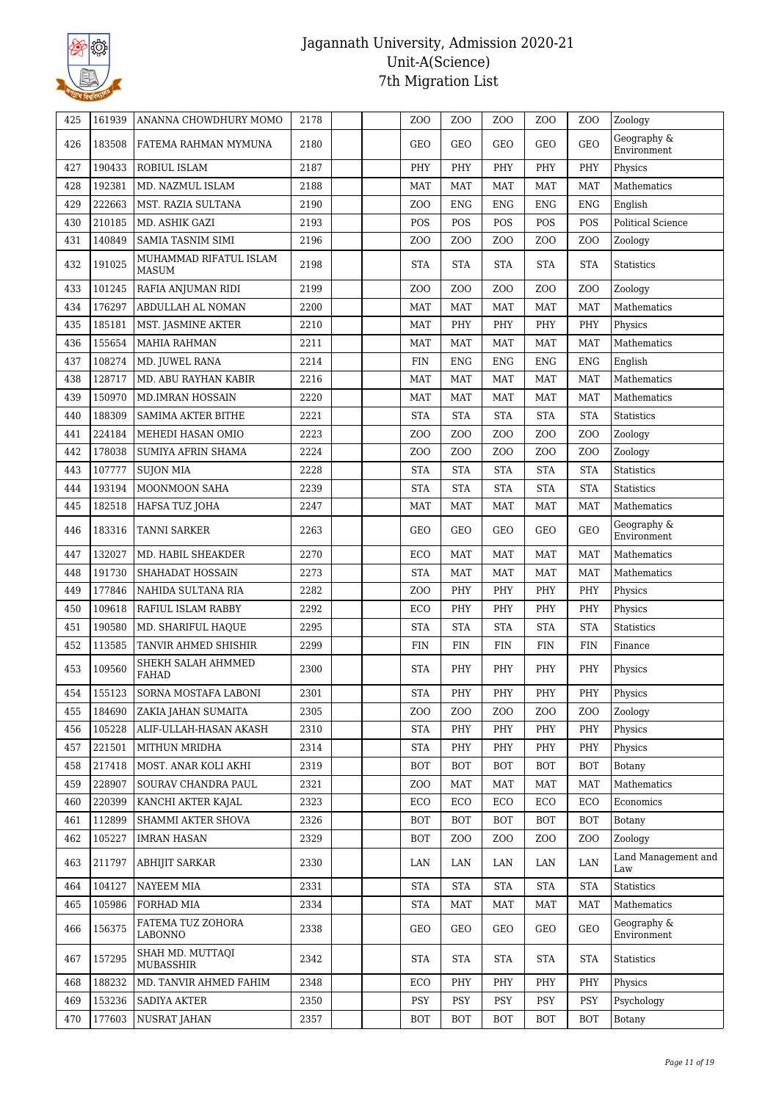

| 425 | 161939 | ANANNA CHOWDHURY MOMO                  | 2178 | Z <sub>00</sub>      | Z <sub>O</sub> O                                                        | ZO <sub>O</sub>                    | ZO <sub>O</sub>  | Z <sub>O</sub> O                   | Zoology                    |
|-----|--------|----------------------------------------|------|----------------------|-------------------------------------------------------------------------|------------------------------------|------------------|------------------------------------|----------------------------|
| 426 | 183508 | FATEMA RAHMAN MYMUNA                   | 2180 | GEO                  | GEO                                                                     | <b>GEO</b>                         | GEO              | <b>GEO</b>                         | Geography &<br>Environment |
| 427 | 190433 | ROBIUL ISLAM                           | 2187 | PHY                  | PHY                                                                     | PHY                                | PHY              | PHY                                | Physics                    |
| 428 | 192381 | MD. NAZMUL ISLAM                       | 2188 | <b>MAT</b>           | <b>MAT</b>                                                              | <b>MAT</b>                         | <b>MAT</b>       | <b>MAT</b>                         | <b>Mathematics</b>         |
| 429 | 222663 | MST. RAZIA SULTANA                     | 2190 | Z <sub>0</sub>       | <b>ENG</b>                                                              | <b>ENG</b>                         | <b>ENG</b>       | <b>ENG</b>                         | English                    |
| 430 | 210185 | MD. ASHIK GAZI                         | 2193 | POS                  | POS                                                                     | POS                                | POS              | POS                                | <b>Political Science</b>   |
| 431 | 140849 | <b>SAMIA TASNIM SIMI</b>               | 2196 | Z <sub>O</sub> O     | ZO <sub>O</sub>                                                         | ZOO                                | ZO <sub>O</sub>  | Z <sub>0</sub>                     | Zoology                    |
| 432 | 191025 | MUHAMMAD RIFATUL ISLAM<br><b>MASUM</b> | 2198 | <b>STA</b>           | <b>STA</b>                                                              | <b>STA</b>                         | <b>STA</b>       | <b>STA</b>                         | <b>Statistics</b>          |
| 433 | 101245 | RAFIA ANJUMAN RIDI                     | 2199 | Z <sub>O</sub> O     | ZO <sub>O</sub>                                                         | ZO <sub>O</sub>                    | ZO <sub>O</sub>  | Z <sub>O</sub> O                   | Zoology                    |
| 434 | 176297 | ABDULLAH AL NOMAN                      | 2200 | <b>MAT</b>           | <b>MAT</b>                                                              | <b>MAT</b>                         | MAT              | <b>MAT</b>                         | Mathematics                |
| 435 | 185181 | MST. JASMINE AKTER                     | 2210 | <b>MAT</b>           | PHY                                                                     | PHY                                | PHY              | PHY                                | Physics                    |
| 436 | 155654 | <b>MAHIA RAHMAN</b>                    | 2211 | <b>MAT</b>           | <b>MAT</b>                                                              | <b>MAT</b>                         | <b>MAT</b>       | <b>MAT</b>                         | Mathematics                |
| 437 | 108274 | MD. JUWEL RANA                         | 2214 | <b>FIN</b>           | <b>ENG</b>                                                              | <b>ENG</b>                         | <b>ENG</b>       | <b>ENG</b>                         | English                    |
| 438 | 128717 | MD. ABU RAYHAN KABIR                   | 2216 | <b>MAT</b>           | <b>MAT</b>                                                              | <b>MAT</b>                         | <b>MAT</b>       | <b>MAT</b>                         | Mathematics                |
| 439 | 150970 | <b>MD.IMRAN HOSSAIN</b>                | 2220 | <b>MAT</b>           | <b>MAT</b>                                                              | <b>MAT</b>                         | <b>MAT</b>       | <b>MAT</b>                         | <b>Mathematics</b>         |
| 440 | 188309 | <b>SAMIMA AKTER BITHE</b>              | 2221 | <b>STA</b>           | <b>STA</b>                                                              | <b>STA</b>                         | <b>STA</b>       | <b>STA</b>                         | <b>Statistics</b>          |
| 441 | 224184 | MEHEDI HASAN OMIO                      | 2223 | Z <sub>0</sub>       | ZO <sub>O</sub>                                                         | ZOO                                | Z <sub>0</sub>   | Z <sub>0</sub>                     | Zoology                    |
| 442 | 178038 | SUMIYA AFRIN SHAMA                     | 2224 | Z <sub>0</sub>       | ZO <sub>O</sub>                                                         | Z <sub>0</sub>                     | Z <sub>0</sub>   | Z <sub>0</sub>                     | Zoology                    |
| 443 | 107777 | <b>SUJON MIA</b>                       | 2228 | <b>STA</b>           | <b>STA</b>                                                              | <b>STA</b>                         | <b>STA</b>       | <b>STA</b>                         | Statistics                 |
| 444 | 193194 | MOONMOON SAHA                          | 2239 | <b>STA</b>           | <b>STA</b>                                                              | <b>STA</b>                         | <b>STA</b>       | <b>STA</b>                         | <b>Statistics</b>          |
| 445 | 182518 | HAFSA TUZ JOHA                         | 2247 | <b>MAT</b>           | <b>MAT</b>                                                              | <b>MAT</b>                         | MAT              | <b>MAT</b>                         | Mathematics                |
| 446 | 183316 | <b>TANNI SARKER</b>                    | 2263 | <b>GEO</b>           | <b>GEO</b>                                                              | <b>GEO</b>                         | <b>GEO</b>       | <b>GEO</b>                         | Geography &<br>Environment |
| 447 | 132027 | MD. HABIL SHEAKDER                     | 2270 | ECO                  | <b>MAT</b>                                                              | <b>MAT</b>                         | <b>MAT</b>       | <b>MAT</b>                         | Mathematics                |
| 448 | 191730 | SHAHADAT HOSSAIN                       | 2273 | <b>STA</b>           | <b>MAT</b>                                                              | <b>MAT</b>                         | <b>MAT</b>       | <b>MAT</b>                         | Mathematics                |
| 449 | 177846 | NAHIDA SULTANA RIA                     | 2282 | Z <sub>0</sub>       | PHY                                                                     | PHY                                | PHY              | PHY                                | Physics                    |
| 450 | 109618 | RAFIUL ISLAM RABBY                     | 2292 | ECO                  | PHY                                                                     | PHY                                | PHY              | PHY                                | Physics                    |
| 451 | 190580 | MD. SHARIFUL HAQUE                     | 2295 | <b>STA</b>           | <b>STA</b>                                                              | <b>STA</b>                         | <b>STA</b>       | <b>STA</b>                         | <b>Statistics</b>          |
| 452 | 113585 | TANVIR AHMED SHISHIR                   | 2299 | <b>FIN</b>           | <b>FIN</b>                                                              | <b>FIN</b>                         | <b>FIN</b>       | <b>FIN</b>                         | Finance                    |
| 453 | 109560 | SHEKH SALAH AHMMED<br>FAHAD            | 2300 | <b>STA</b>           | PHY                                                                     | PHY                                | PHY              | PHY                                | Physics                    |
| 454 | 155123 | SORNA MOSTAFA LABONI                   | 2301 | $\operatorname{STA}$ | $\ensuremath{\mathbf{P}}\ensuremath{\mathbf{H}}\ensuremath{\mathbf{Y}}$ | $\ensuremath{\mathsf{PHY}}\xspace$ | PHY              | $\ensuremath{\mathsf{PHY}}\xspace$ | Physics                    |
| 455 | 184690 | ZAKIA JAHAN SUMAITA                    | 2305 | Z <sub>O</sub> O     | ZOO                                                                     | Z <sub>O</sub> O                   | Z <sub>O</sub> O | Z <sub>0</sub>                     | Zoology                    |
| 456 | 105228 | ALIF-ULLAH-HASAN AKASH                 | 2310 | <b>STA</b>           | PHY                                                                     | PHY                                | PHY              | PHY                                | Physics                    |
| 457 | 221501 | MITHUN MRIDHA                          | 2314 | <b>STA</b>           | PHY                                                                     | PHY                                | PHY              | PHY                                | Physics                    |
| 458 | 217418 | MOST. ANAR KOLI AKHI                   | 2319 | <b>BOT</b>           | <b>BOT</b>                                                              | <b>BOT</b>                         | <b>BOT</b>       | <b>BOT</b>                         | Botany                     |
| 459 | 228907 | SOURAV CHANDRA PAUL                    | 2321 | Z <sub>O</sub> O     | <b>MAT</b>                                                              | <b>MAT</b>                         | MAT              | <b>MAT</b>                         | Mathematics                |
| 460 | 220399 | KANCHI AKTER KAJAL                     | 2323 | ECO                  | ECO                                                                     | ECO                                | ECO              | ECO                                | Economics                  |
| 461 | 112899 | SHAMMI AKTER SHOVA                     | 2326 | <b>BOT</b>           | <b>BOT</b>                                                              | <b>BOT</b>                         | <b>BOT</b>       | <b>BOT</b>                         | Botany                     |
| 462 | 105227 | <b>IMRAN HASAN</b>                     | 2329 | <b>BOT</b>           | ZOO                                                                     | Z <sub>0</sub>                     | ZOO              | ZOO                                | Zoology                    |
| 463 | 211797 | ABHIJIT SARKAR                         | 2330 | LAN                  | LAN                                                                     | LAN                                | LAN              | LAN                                | Land Management and<br>Law |
| 464 | 104127 | NAYEEM MIA                             | 2331 | <b>STA</b>           | <b>STA</b>                                                              | <b>STA</b>                         | <b>STA</b>       | <b>STA</b>                         | Statistics                 |
| 465 | 105986 | FORHAD MIA                             | 2334 | <b>STA</b>           | MAT                                                                     | MAT                                | MAT              | MAT                                | Mathematics                |
| 466 | 156375 | FATEMA TUZ ZOHORA<br>LABONNO           | 2338 | <b>GEO</b>           | GEO                                                                     | GEO                                | GEO              | GEO                                | Geography &<br>Environment |
| 467 | 157295 | SHAH MD. MUTTAQI<br>MUBASSHIR          | 2342 | <b>STA</b>           | <b>STA</b>                                                              | <b>STA</b>                         | <b>STA</b>       | <b>STA</b>                         | <b>Statistics</b>          |
| 468 | 188232 | MD. TANVIR AHMED FAHIM                 | 2348 | ECO                  | PHY                                                                     | PHY                                | PHY              | PHY                                | Physics                    |
| 469 | 153236 | <b>SADIYA AKTER</b>                    | 2350 | PSY                  | PSY                                                                     | PSY                                | <b>PSY</b>       | PSY                                | Psychology                 |
| 470 | 177603 | NUSRAT JAHAN                           | 2357 | <b>BOT</b>           | <b>BOT</b>                                                              | <b>BOT</b>                         | <b>BOT</b>       | <b>BOT</b>                         | Botany                     |
|     |        |                                        |      |                      |                                                                         |                                    |                  |                                    |                            |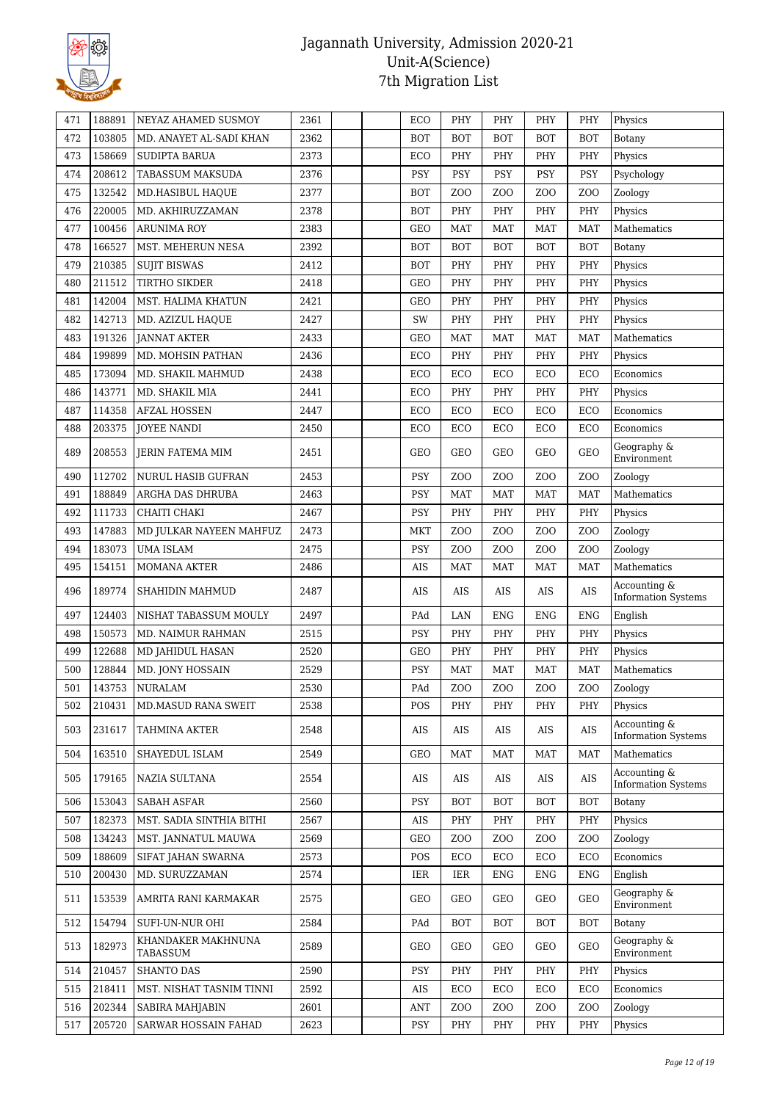

| 471 | 188891 | NEYAZ AHAMED SUSMOY            | 2361 | ECO        | PHY              | PHY              | PHY              | PHY              | Physics                                    |
|-----|--------|--------------------------------|------|------------|------------------|------------------|------------------|------------------|--------------------------------------------|
| 472 | 103805 | MD. ANAYET AL-SADI KHAN        | 2362 | <b>BOT</b> | <b>BOT</b>       | <b>BOT</b>       | <b>BOT</b>       | <b>BOT</b>       | Botany                                     |
| 473 | 158669 | <b>SUDIPTA BARUA</b>           | 2373 | ECO        | PHY              | PHY              | PHY              | PHY              | Physics                                    |
| 474 | 208612 | TABASSUM MAKSUDA               | 2376 | <b>PSY</b> | <b>PSY</b>       | <b>PSY</b>       | PSY              | <b>PSY</b>       | Psychology                                 |
|     | 132542 |                                | 2377 |            | Z <sub>O</sub> O |                  | Z <sub>O</sub> O |                  |                                            |
| 475 |        | MD.HASIBUL HAQUE               |      | <b>BOT</b> |                  | Z <sub>O</sub> O |                  | Z <sub>O</sub> O | Zoology                                    |
| 476 | 220005 | MD. AKHIRUZZAMAN               | 2378 | <b>BOT</b> | PHY              | PHY              | PHY              | PHY              | Physics                                    |
| 477 | 100456 | <b>ARUNIMA ROY</b>             | 2383 | <b>GEO</b> | <b>MAT</b>       | <b>MAT</b>       | <b>MAT</b>       | <b>MAT</b>       | Mathematics                                |
| 478 | 166527 | MST. MEHERUN NESA              | 2392 | <b>BOT</b> | <b>BOT</b>       | <b>BOT</b>       | BOT              | <b>BOT</b>       | Botany                                     |
| 479 | 210385 | <b>SUJIT BISWAS</b>            | 2412 | <b>BOT</b> | PHY              | PHY              | PHY              | PHY              | Physics                                    |
| 480 | 211512 | TIRTHO SIKDER                  | 2418 | <b>GEO</b> | PHY              | PHY              | PHY              | PHY              | Physics                                    |
| 481 | 142004 | MST. HALIMA KHATUN             | 2421 | GEO        | PHY              | PHY              | PHY              | PHY              | Physics                                    |
| 482 | 142713 | MD. AZIZUL HAQUE               | 2427 | SW         | PHY              | PHY              | PHY              | PHY              | Physics                                    |
| 483 | 191326 | <b>JANNAT AKTER</b>            | 2433 | <b>GEO</b> | <b>MAT</b>       | <b>MAT</b>       | <b>MAT</b>       | <b>MAT</b>       | Mathematics                                |
| 484 | 199899 | MD. MOHSIN PATHAN              | 2436 | ECO        | PHY              | PHY              | PHY              | PHY              | Physics                                    |
| 485 | 173094 | MD. SHAKIL MAHMUD              | 2438 | ECO        | ECO              | ECO              | ECO              | ECO              | Economics                                  |
| 486 | 143771 | MD. SHAKIL MIA                 | 2441 | ECO        | PHY              | PHY              | PHY              | PHY              | Physics                                    |
| 487 | 114358 | <b>AFZAL HOSSEN</b>            | 2447 | ECO        | ECO              | ECO              | ECO              | ECO              | Economics                                  |
| 488 | 203375 | <b>JOYEE NANDI</b>             | 2450 | ECO        | ECO              | ECO              | ECO              | ECO              | Economics                                  |
| 489 | 208553 | <b>JERIN FATEMA MIM</b>        | 2451 | <b>GEO</b> | <b>GEO</b>       | <b>GEO</b>       | <b>GEO</b>       | <b>GEO</b>       | Geography &<br>Environment                 |
| 490 | 112702 | <b>NURUL HASIB GUFRAN</b>      | 2453 | PSY        | ZO <sub>O</sub>  | Z <sub>O</sub> O | Z <sub>O</sub> O | Z <sub>O</sub> O | Zoology                                    |
| 491 | 188849 | ARGHA DAS DHRUBA               | 2463 | PSY        | <b>MAT</b>       | <b>MAT</b>       | <b>MAT</b>       | <b>MAT</b>       | Mathematics                                |
| 492 | 111733 | CHAITI CHAKI                   | 2467 | PSY        | PHY              | PHY              | PHY              | PHY              | Physics                                    |
| 493 | 147883 | MD JULKAR NAYEEN MAHFUZ        | 2473 | <b>MKT</b> | ZO <sub>O</sub>  | Z <sub>O</sub> O | Z <sub>0</sub>   | Z <sub>O</sub> O | Zoology                                    |
| 494 | 183073 | UMA ISLAM                      | 2475 | PSY        | ZO <sub>O</sub>  | Z <sub>O</sub> O | Z <sub>0</sub>   | Z <sub>O</sub> O | Zoology                                    |
| 495 | 154151 | <b>MOMANA AKTER</b>            | 2486 | AIS        | MAT              | <b>MAT</b>       | <b>MAT</b>       | <b>MAT</b>       | Mathematics                                |
| 496 | 189774 | SHAHIDIN MAHMUD                | 2487 | AIS        | AIS              | AIS              | AIS              | AIS              | Accounting &<br><b>Information Systems</b> |
| 497 | 124403 | NISHAT TABASSUM MOULY          | 2497 | PAd        | LAN              | <b>ENG</b>       | <b>ENG</b>       | ${\rm ENG}$      | English                                    |
| 498 | 150573 | MD. NAIMUR RAHMAN              | 2515 | PSY        | PHY              | PHY              | PHY              | PHY              | Physics                                    |
| 499 | 122688 | MD JAHIDUL HASAN               | 2520 | <b>GEO</b> | PHY              | PHY              | PHY              | PHY              | Physics                                    |
| 500 | 128844 | MD. JONY HOSSAIN               | 2529 | PSY        | <b>MAT</b>       | <b>MAT</b>       | <b>MAT</b>       | MAT              | Mathematics                                |
| 501 | 143753 | <b>NURALAM</b>                 | 2530 | PAd        | ZO <sub>O</sub>  | Z <sub>O</sub> O | Z <sub>O</sub> O | Z <sub>O</sub> O | Zoology                                    |
| 502 | 210431 | <b>MD.MASUD RANA SWEIT</b>     | 2538 | POS        | PHY              | PHY              | PHY              | PHY              | Physics                                    |
| 503 | 231617 | TAHMINA AKTER                  | 2548 | AIS        | AIS              | AIS              | AIS              | AIS              | Accounting &<br><b>Information Systems</b> |
| 504 | 163510 | SHAYEDUL ISLAM                 | 2549 | <b>GEO</b> | MAT              | <b>MAT</b>       | MAT              | <b>MAT</b>       | Mathematics                                |
| 505 | 179165 | NAZIA SULTANA                  | 2554 | AIS        | AIS              | AIS              | AIS              | AIS              | Accounting &<br><b>Information Systems</b> |
| 506 | 153043 | <b>SABAH ASFAR</b>             | 2560 | <b>PSY</b> | <b>BOT</b>       | <b>BOT</b>       | <b>BOT</b>       | <b>BOT</b>       | Botany                                     |
| 507 | 182373 | MST. SADIA SINTHIA BITHI       | 2567 | AIS        | PHY              | PHY              | PHY              | PHY              | Physics                                    |
| 508 | 134243 | MST. JANNATUL MAUWA            | 2569 | <b>GEO</b> | ZO <sub>O</sub>  | Z <sub>0</sub>   | Z <sub>0</sub>   | Z <sub>O</sub> O | Zoology                                    |
| 509 | 188609 | SIFAT JAHAN SWARNA             | 2573 | POS        | ECO              | ECO              | ECO              | ECO              | Economics                                  |
| 510 | 200430 | MD. SURUZZAMAN                 | 2574 | IER        | IER              | <b>ENG</b>       | ENG              | <b>ENG</b>       | English                                    |
| 511 | 153539 | AMRITA RANI KARMAKAR           | 2575 | <b>GEO</b> | GEO              | GEO              | GEO              | <b>GEO</b>       | Geography &<br>Environment                 |
| 512 | 154794 | SUFI-UN-NUR OHI                | 2584 | PAd        | <b>BOT</b>       | <b>BOT</b>       | <b>BOT</b>       | <b>BOT</b>       | Botany                                     |
| 513 | 182973 | KHANDAKER MAKHNUNA<br>TABASSUM | 2589 | <b>GEO</b> | GEO              | GEO              | GEO              | <b>GEO</b>       | Geography &<br>Environment                 |
| 514 | 210457 | SHANTO DAS                     | 2590 | <b>PSY</b> | PHY              | PHY              | PHY              | PHY              | Physics                                    |
| 515 | 218411 | MST. NISHAT TASNIM TINNI       | 2592 | AIS        | ECO              | ECO              | ECO              | ECO              | Economics                                  |
| 516 | 202344 | SABIRA MAHJABIN                | 2601 | <b>ANT</b> | ZO <sub>O</sub>  | Z <sub>O</sub> O | Z <sub>0</sub>   | Z <sub>O</sub> O | Zoology                                    |
| 517 | 205720 | SARWAR HOSSAIN FAHAD           | 2623 | PSY        | PHY              | PHY              | PHY              | PHY              | Physics                                    |
|     |        |                                |      |            |                  |                  |                  |                  |                                            |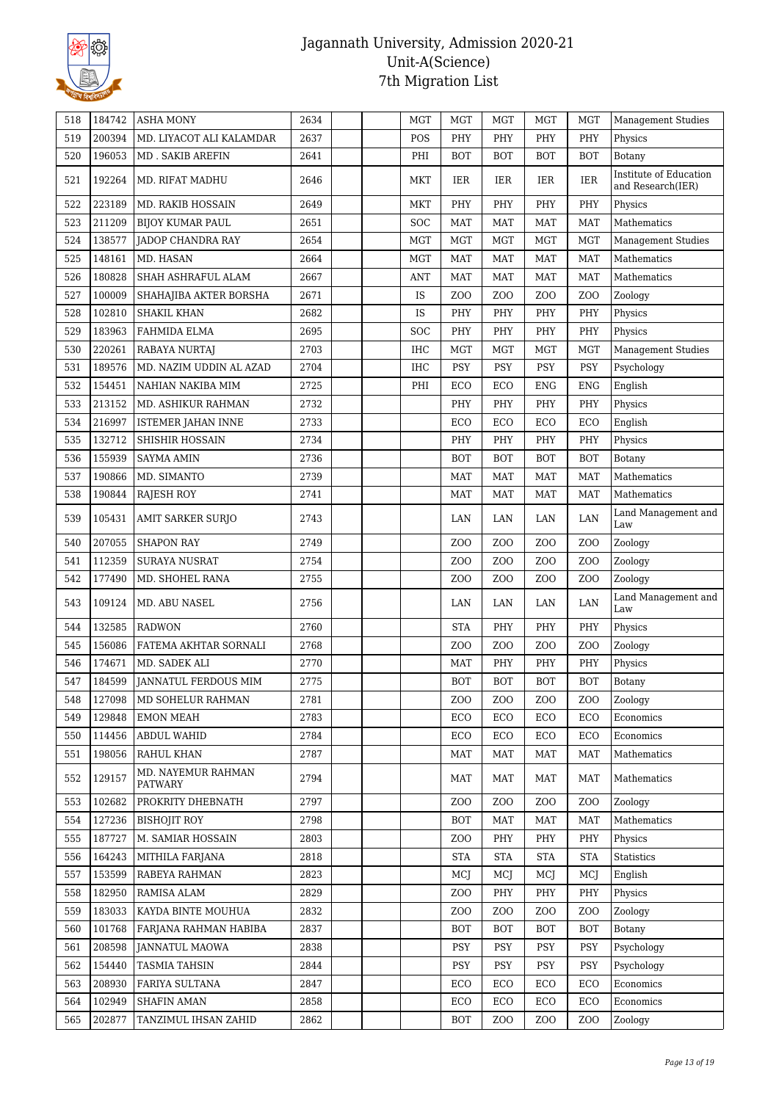

| 519<br>200394<br>2637<br>PHY<br>PHY<br>MD. LIYACOT ALI KALAMDAR<br>POS<br>PHY<br>PHY<br>Physics<br>520<br>196053<br>MD . SAKIB AREFIN<br>2641<br>PHI<br><b>BOT</b><br><b>BOT</b><br><b>BOT</b><br><b>BOT</b><br>Botany<br>Institute of Education<br>192264<br>2646<br>IER<br>IER<br>IER<br>521<br>MD. RIFAT MADHU<br>MKT<br>IER.<br>and Research(IER)<br>223189<br>MD. RAKIB HOSSAIN<br>2649<br>PHY<br>PHY<br>PHY<br>PHY<br>522<br>MKT<br>Physics<br>211209<br><b>MAT</b><br><b>MAT</b><br><b>MAT</b><br><b>MAT</b><br>Mathematics<br>523<br><b>BIJOY KUMAR PAUL</b><br>2651<br><b>SOC</b><br>138577<br>2654<br><b>MGT</b><br><b>MGT</b><br><b>MGT</b><br><b>MGT</b><br>524<br>JADOP CHANDRA RAY<br>MGT<br><b>Management Studies</b><br>148161<br>MD. HASAN<br>525<br>2664<br><b>MGT</b><br><b>MAT</b><br><b>MAT</b><br><b>MAT</b><br><b>MAT</b><br>Mathematics<br>180828<br>2667<br>SHAH ASHRAFUL ALAM<br><b>MAT</b><br><b>MAT</b><br><b>MAT</b><br><b>MAT</b><br>Mathematics<br>526<br>ANT<br>100009<br>2671<br>IS<br>Z <sub>O</sub> O<br>527<br>SHAHAJIBA AKTER BORSHA<br>Z <sub>0</sub><br>Z <sub>0</sub><br>ZOO<br>Zoology<br>102810<br>2682<br>528<br><b>SHAKIL KHAN</b><br>IS<br>PHY<br>PHY<br>PHY<br>PHY<br>Physics<br>183963<br>PHY<br>PHY<br>PHY<br>PHY<br>529<br>FAHMIDA ELMA<br>2695<br><b>SOC</b><br>Physics<br>220261<br>2703<br><b>MGT</b><br><b>MGT</b><br><b>MGT</b><br>530<br><b>RABAYA NURTAJ</b><br><b>IHC</b><br><b>MGT</b><br><b>Management Studies</b><br>189576<br>2704<br><b>PSY</b><br>PSY<br>PSY<br>PSY<br>531<br>MD. NAZIM UDDIN AL AZAD<br>IHC<br>Psychology<br>154451<br>2725<br>PHI<br>ECO<br>ECO<br>532<br>NAHIAN NAKIBA MIM<br><b>ENG</b><br><b>ENG</b><br>English<br>213152<br>2732<br>PHY<br>533<br>MD. ASHIKUR RAHMAN<br>PHY<br>PHY<br>PHY<br>Physics<br>2733<br>534<br>216997<br>ECO<br>ECO<br>ECO<br>ECO<br>English<br><b>ISTEMER JAHAN INNE</b><br>132712<br>535<br>SHISHIR HOSSAIN<br>2734<br>PHY<br>PHY<br>PHY<br>PHY<br>Physics<br>536<br>155939<br>2736<br><b>BOT</b><br><b>BOT</b><br><b>BOT</b><br><b>BOT</b><br><b>SAYMA AMIN</b><br>Botany<br>190866<br>2739<br>537<br>MD. SIMANTO<br><b>MAT</b><br><b>MAT</b><br><b>MAT</b><br><b>MAT</b><br>Mathematics<br>538<br>190844<br><b>RAJESH ROY</b><br>2741<br><b>MAT</b><br><b>MAT</b><br><b>MAT</b><br><b>MAT</b><br>Mathematics<br>Land Management and<br>539<br>105431<br>2743<br>LAN<br>LAN<br>LAN<br>LAN<br>AMIT SARKER SURJO<br>Law<br>207055<br><b>SHAPON RAY</b><br>2749<br>Z <sub>O</sub> O<br>Z <sub>O</sub> O<br>540<br>Z <sub>O</sub> O<br>Z <sub>O</sub> O<br>Zoology<br>112359<br>541<br><b>SURAYA NUSRAT</b><br>2754<br>Z <sub>0</sub><br>Z <sub>0</sub><br>Z <sub>0</sub><br>ZOO<br>Zoology<br>177490<br>MD. SHOHEL RANA<br>2755<br>Z <sub>0</sub><br>Z <sub>0</sub><br>Z <sub>0</sub><br>ZOO<br>Zoology<br>542<br>Land Management and<br>543<br>109124<br>MD. ABU NASEL<br>2756<br>LAN<br>LAN<br>LAN<br>LAN<br>Law<br>132585<br>2760<br><b>STA</b><br>PHY<br>PHY<br><b>RADWON</b><br>PHY<br>544<br>Physics<br>2768<br>Zoology<br>545<br>156086<br>FATEMA AKHTAR SORNALI<br>ZO <sub>O</sub><br>Z <sub>0</sub><br>Z <sub>O</sub> O<br>ZOO<br>174671<br>2770<br>PHY<br>546<br>MD. SADEK ALI<br><b>MAT</b><br>PHY<br>PHY<br>Physics<br>184599<br>2775<br><b>BOT</b><br><b>BOT</b><br><b>BOT</b><br><b>BOT</b><br>547<br><b>JANNATUL FERDOUS MIM</b><br>Botany<br>127098<br>MD SOHELUR RAHMAN<br>2781<br>Z <sub>0</sub><br>ZOO<br>Z <sub>0</sub><br>Z <sub>0</sub><br>Zoology<br>548<br>129848<br>2783<br>ECO<br>Economics<br>549<br><b>EMON MEAH</b><br>ECO<br>ECO<br>ECO<br>114456<br><b>ABDUL WAHID</b><br>2784<br>ECO<br>ECO<br>ECO<br>ECO<br>Economics<br>550<br>RAHUL KHAN<br>198056<br>2787<br><b>MAT</b><br><b>MAT</b><br><b>MAT</b><br><b>MAT</b><br>Mathematics<br>551<br>MD. NAYEMUR RAHMAN<br>129157<br>2794<br>Mathematics<br>552<br>MAT<br>MAT<br>MAT<br>MAT<br>PATWARY<br>2797<br>Zoology<br>102682<br>PROKRITY DHEBNATH<br>Z <sub>O</sub> O<br>Z <sub>O</sub> O<br>Z <sub>0</sub><br>Z <sub>O</sub> O<br>553<br>127236<br>554<br><b>BISHOJIT ROY</b><br>2798<br><b>BOT</b><br>MAT<br>MAT<br><b>MAT</b><br>Mathematics<br>187727<br>M. SAMIAR HOSSAIN<br>2803<br>Z <sub>0</sub><br>PHY<br>PHY<br>PHY<br>Physics<br>555<br>164243<br><b>STA</b><br>MITHILA FARJANA<br>2818<br><b>STA</b><br><b>STA</b><br><b>STA</b><br><b>Statistics</b><br>556<br>153599<br>557<br>RABEYA RAHMAN<br>2823<br>MCJ<br>MCJ<br>MCJ<br>English<br>MCJ | 518 | 184742 | <b>ASHA MONY</b> | 2634 | <b>MGT</b> | <b>MGT</b> | <b>MGT</b> | <b>MGT</b> | <b>MGT</b> | <b>Management Studies</b> |
|---------------------------------------------------------------------------------------------------------------------------------------------------------------------------------------------------------------------------------------------------------------------------------------------------------------------------------------------------------------------------------------------------------------------------------------------------------------------------------------------------------------------------------------------------------------------------------------------------------------------------------------------------------------------------------------------------------------------------------------------------------------------------------------------------------------------------------------------------------------------------------------------------------------------------------------------------------------------------------------------------------------------------------------------------------------------------------------------------------------------------------------------------------------------------------------------------------------------------------------------------------------------------------------------------------------------------------------------------------------------------------------------------------------------------------------------------------------------------------------------------------------------------------------------------------------------------------------------------------------------------------------------------------------------------------------------------------------------------------------------------------------------------------------------------------------------------------------------------------------------------------------------------------------------------------------------------------------------------------------------------------------------------------------------------------------------------------------------------------------------------------------------------------------------------------------------------------------------------------------------------------------------------------------------------------------------------------------------------------------------------------------------------------------------------------------------------------------------------------------------------------------------------------------------------------------------------------------------------------------------------------------------------------------------------------------------------------------------------------------------------------------------------------------------------------------------------------------------------------------------------------------------------------------------------------------------------------------------------------------------------------------------------------------------------------------------------------------------------------------------------------------------------------------------------------------------------------------------------------------------------------------------------------------------------------------------------------------------------------------------------------------------------------------------------------------------------------------------------------------------------------------------------------------------------------------------------------------------------------------------------------------------------------------------------------------------------------------------------------------------------------------------------------------------------------------------------------------------------------------------------------------------------------------------------------------------------------------------------------------------------------------------------------------------------------------------------------------------------------------------------------------------------------------------------------------------------------------------------------------------------------------------------------------------------------------------------------------------------------------------------------------------------------------------------------------------------------|-----|--------|------------------|------|------------|------------|------------|------------|------------|---------------------------|
|                                                                                                                                                                                                                                                                                                                                                                                                                                                                                                                                                                                                                                                                                                                                                                                                                                                                                                                                                                                                                                                                                                                                                                                                                                                                                                                                                                                                                                                                                                                                                                                                                                                                                                                                                                                                                                                                                                                                                                                                                                                                                                                                                                                                                                                                                                                                                                                                                                                                                                                                                                                                                                                                                                                                                                                                                                                                                                                                                                                                                                                                                                                                                                                                                                                                                                                                                                                                                                                                                                                                                                                                                                                                                                                                                                                                                                                                                                                                                                                                                                                                                                                                                                                                                                                                                                                                                                                                                                                         |     |        |                  |      |            |            |            |            |            |                           |
|                                                                                                                                                                                                                                                                                                                                                                                                                                                                                                                                                                                                                                                                                                                                                                                                                                                                                                                                                                                                                                                                                                                                                                                                                                                                                                                                                                                                                                                                                                                                                                                                                                                                                                                                                                                                                                                                                                                                                                                                                                                                                                                                                                                                                                                                                                                                                                                                                                                                                                                                                                                                                                                                                                                                                                                                                                                                                                                                                                                                                                                                                                                                                                                                                                                                                                                                                                                                                                                                                                                                                                                                                                                                                                                                                                                                                                                                                                                                                                                                                                                                                                                                                                                                                                                                                                                                                                                                                                                         |     |        |                  |      |            |            |            |            |            |                           |
|                                                                                                                                                                                                                                                                                                                                                                                                                                                                                                                                                                                                                                                                                                                                                                                                                                                                                                                                                                                                                                                                                                                                                                                                                                                                                                                                                                                                                                                                                                                                                                                                                                                                                                                                                                                                                                                                                                                                                                                                                                                                                                                                                                                                                                                                                                                                                                                                                                                                                                                                                                                                                                                                                                                                                                                                                                                                                                                                                                                                                                                                                                                                                                                                                                                                                                                                                                                                                                                                                                                                                                                                                                                                                                                                                                                                                                                                                                                                                                                                                                                                                                                                                                                                                                                                                                                                                                                                                                                         |     |        |                  |      |            |            |            |            |            |                           |
|                                                                                                                                                                                                                                                                                                                                                                                                                                                                                                                                                                                                                                                                                                                                                                                                                                                                                                                                                                                                                                                                                                                                                                                                                                                                                                                                                                                                                                                                                                                                                                                                                                                                                                                                                                                                                                                                                                                                                                                                                                                                                                                                                                                                                                                                                                                                                                                                                                                                                                                                                                                                                                                                                                                                                                                                                                                                                                                                                                                                                                                                                                                                                                                                                                                                                                                                                                                                                                                                                                                                                                                                                                                                                                                                                                                                                                                                                                                                                                                                                                                                                                                                                                                                                                                                                                                                                                                                                                                         |     |        |                  |      |            |            |            |            |            |                           |
|                                                                                                                                                                                                                                                                                                                                                                                                                                                                                                                                                                                                                                                                                                                                                                                                                                                                                                                                                                                                                                                                                                                                                                                                                                                                                                                                                                                                                                                                                                                                                                                                                                                                                                                                                                                                                                                                                                                                                                                                                                                                                                                                                                                                                                                                                                                                                                                                                                                                                                                                                                                                                                                                                                                                                                                                                                                                                                                                                                                                                                                                                                                                                                                                                                                                                                                                                                                                                                                                                                                                                                                                                                                                                                                                                                                                                                                                                                                                                                                                                                                                                                                                                                                                                                                                                                                                                                                                                                                         |     |        |                  |      |            |            |            |            |            |                           |
|                                                                                                                                                                                                                                                                                                                                                                                                                                                                                                                                                                                                                                                                                                                                                                                                                                                                                                                                                                                                                                                                                                                                                                                                                                                                                                                                                                                                                                                                                                                                                                                                                                                                                                                                                                                                                                                                                                                                                                                                                                                                                                                                                                                                                                                                                                                                                                                                                                                                                                                                                                                                                                                                                                                                                                                                                                                                                                                                                                                                                                                                                                                                                                                                                                                                                                                                                                                                                                                                                                                                                                                                                                                                                                                                                                                                                                                                                                                                                                                                                                                                                                                                                                                                                                                                                                                                                                                                                                                         |     |        |                  |      |            |            |            |            |            |                           |
|                                                                                                                                                                                                                                                                                                                                                                                                                                                                                                                                                                                                                                                                                                                                                                                                                                                                                                                                                                                                                                                                                                                                                                                                                                                                                                                                                                                                                                                                                                                                                                                                                                                                                                                                                                                                                                                                                                                                                                                                                                                                                                                                                                                                                                                                                                                                                                                                                                                                                                                                                                                                                                                                                                                                                                                                                                                                                                                                                                                                                                                                                                                                                                                                                                                                                                                                                                                                                                                                                                                                                                                                                                                                                                                                                                                                                                                                                                                                                                                                                                                                                                                                                                                                                                                                                                                                                                                                                                                         |     |        |                  |      |            |            |            |            |            |                           |
|                                                                                                                                                                                                                                                                                                                                                                                                                                                                                                                                                                                                                                                                                                                                                                                                                                                                                                                                                                                                                                                                                                                                                                                                                                                                                                                                                                                                                                                                                                                                                                                                                                                                                                                                                                                                                                                                                                                                                                                                                                                                                                                                                                                                                                                                                                                                                                                                                                                                                                                                                                                                                                                                                                                                                                                                                                                                                                                                                                                                                                                                                                                                                                                                                                                                                                                                                                                                                                                                                                                                                                                                                                                                                                                                                                                                                                                                                                                                                                                                                                                                                                                                                                                                                                                                                                                                                                                                                                                         |     |        |                  |      |            |            |            |            |            |                           |
|                                                                                                                                                                                                                                                                                                                                                                                                                                                                                                                                                                                                                                                                                                                                                                                                                                                                                                                                                                                                                                                                                                                                                                                                                                                                                                                                                                                                                                                                                                                                                                                                                                                                                                                                                                                                                                                                                                                                                                                                                                                                                                                                                                                                                                                                                                                                                                                                                                                                                                                                                                                                                                                                                                                                                                                                                                                                                                                                                                                                                                                                                                                                                                                                                                                                                                                                                                                                                                                                                                                                                                                                                                                                                                                                                                                                                                                                                                                                                                                                                                                                                                                                                                                                                                                                                                                                                                                                                                                         |     |        |                  |      |            |            |            |            |            |                           |
|                                                                                                                                                                                                                                                                                                                                                                                                                                                                                                                                                                                                                                                                                                                                                                                                                                                                                                                                                                                                                                                                                                                                                                                                                                                                                                                                                                                                                                                                                                                                                                                                                                                                                                                                                                                                                                                                                                                                                                                                                                                                                                                                                                                                                                                                                                                                                                                                                                                                                                                                                                                                                                                                                                                                                                                                                                                                                                                                                                                                                                                                                                                                                                                                                                                                                                                                                                                                                                                                                                                                                                                                                                                                                                                                                                                                                                                                                                                                                                                                                                                                                                                                                                                                                                                                                                                                                                                                                                                         |     |        |                  |      |            |            |            |            |            |                           |
|                                                                                                                                                                                                                                                                                                                                                                                                                                                                                                                                                                                                                                                                                                                                                                                                                                                                                                                                                                                                                                                                                                                                                                                                                                                                                                                                                                                                                                                                                                                                                                                                                                                                                                                                                                                                                                                                                                                                                                                                                                                                                                                                                                                                                                                                                                                                                                                                                                                                                                                                                                                                                                                                                                                                                                                                                                                                                                                                                                                                                                                                                                                                                                                                                                                                                                                                                                                                                                                                                                                                                                                                                                                                                                                                                                                                                                                                                                                                                                                                                                                                                                                                                                                                                                                                                                                                                                                                                                                         |     |        |                  |      |            |            |            |            |            |                           |
|                                                                                                                                                                                                                                                                                                                                                                                                                                                                                                                                                                                                                                                                                                                                                                                                                                                                                                                                                                                                                                                                                                                                                                                                                                                                                                                                                                                                                                                                                                                                                                                                                                                                                                                                                                                                                                                                                                                                                                                                                                                                                                                                                                                                                                                                                                                                                                                                                                                                                                                                                                                                                                                                                                                                                                                                                                                                                                                                                                                                                                                                                                                                                                                                                                                                                                                                                                                                                                                                                                                                                                                                                                                                                                                                                                                                                                                                                                                                                                                                                                                                                                                                                                                                                                                                                                                                                                                                                                                         |     |        |                  |      |            |            |            |            |            |                           |
|                                                                                                                                                                                                                                                                                                                                                                                                                                                                                                                                                                                                                                                                                                                                                                                                                                                                                                                                                                                                                                                                                                                                                                                                                                                                                                                                                                                                                                                                                                                                                                                                                                                                                                                                                                                                                                                                                                                                                                                                                                                                                                                                                                                                                                                                                                                                                                                                                                                                                                                                                                                                                                                                                                                                                                                                                                                                                                                                                                                                                                                                                                                                                                                                                                                                                                                                                                                                                                                                                                                                                                                                                                                                                                                                                                                                                                                                                                                                                                                                                                                                                                                                                                                                                                                                                                                                                                                                                                                         |     |        |                  |      |            |            |            |            |            |                           |
|                                                                                                                                                                                                                                                                                                                                                                                                                                                                                                                                                                                                                                                                                                                                                                                                                                                                                                                                                                                                                                                                                                                                                                                                                                                                                                                                                                                                                                                                                                                                                                                                                                                                                                                                                                                                                                                                                                                                                                                                                                                                                                                                                                                                                                                                                                                                                                                                                                                                                                                                                                                                                                                                                                                                                                                                                                                                                                                                                                                                                                                                                                                                                                                                                                                                                                                                                                                                                                                                                                                                                                                                                                                                                                                                                                                                                                                                                                                                                                                                                                                                                                                                                                                                                                                                                                                                                                                                                                                         |     |        |                  |      |            |            |            |            |            |                           |
|                                                                                                                                                                                                                                                                                                                                                                                                                                                                                                                                                                                                                                                                                                                                                                                                                                                                                                                                                                                                                                                                                                                                                                                                                                                                                                                                                                                                                                                                                                                                                                                                                                                                                                                                                                                                                                                                                                                                                                                                                                                                                                                                                                                                                                                                                                                                                                                                                                                                                                                                                                                                                                                                                                                                                                                                                                                                                                                                                                                                                                                                                                                                                                                                                                                                                                                                                                                                                                                                                                                                                                                                                                                                                                                                                                                                                                                                                                                                                                                                                                                                                                                                                                                                                                                                                                                                                                                                                                                         |     |        |                  |      |            |            |            |            |            |                           |
|                                                                                                                                                                                                                                                                                                                                                                                                                                                                                                                                                                                                                                                                                                                                                                                                                                                                                                                                                                                                                                                                                                                                                                                                                                                                                                                                                                                                                                                                                                                                                                                                                                                                                                                                                                                                                                                                                                                                                                                                                                                                                                                                                                                                                                                                                                                                                                                                                                                                                                                                                                                                                                                                                                                                                                                                                                                                                                                                                                                                                                                                                                                                                                                                                                                                                                                                                                                                                                                                                                                                                                                                                                                                                                                                                                                                                                                                                                                                                                                                                                                                                                                                                                                                                                                                                                                                                                                                                                                         |     |        |                  |      |            |            |            |            |            |                           |
|                                                                                                                                                                                                                                                                                                                                                                                                                                                                                                                                                                                                                                                                                                                                                                                                                                                                                                                                                                                                                                                                                                                                                                                                                                                                                                                                                                                                                                                                                                                                                                                                                                                                                                                                                                                                                                                                                                                                                                                                                                                                                                                                                                                                                                                                                                                                                                                                                                                                                                                                                                                                                                                                                                                                                                                                                                                                                                                                                                                                                                                                                                                                                                                                                                                                                                                                                                                                                                                                                                                                                                                                                                                                                                                                                                                                                                                                                                                                                                                                                                                                                                                                                                                                                                                                                                                                                                                                                                                         |     |        |                  |      |            |            |            |            |            |                           |
|                                                                                                                                                                                                                                                                                                                                                                                                                                                                                                                                                                                                                                                                                                                                                                                                                                                                                                                                                                                                                                                                                                                                                                                                                                                                                                                                                                                                                                                                                                                                                                                                                                                                                                                                                                                                                                                                                                                                                                                                                                                                                                                                                                                                                                                                                                                                                                                                                                                                                                                                                                                                                                                                                                                                                                                                                                                                                                                                                                                                                                                                                                                                                                                                                                                                                                                                                                                                                                                                                                                                                                                                                                                                                                                                                                                                                                                                                                                                                                                                                                                                                                                                                                                                                                                                                                                                                                                                                                                         |     |        |                  |      |            |            |            |            |            |                           |
|                                                                                                                                                                                                                                                                                                                                                                                                                                                                                                                                                                                                                                                                                                                                                                                                                                                                                                                                                                                                                                                                                                                                                                                                                                                                                                                                                                                                                                                                                                                                                                                                                                                                                                                                                                                                                                                                                                                                                                                                                                                                                                                                                                                                                                                                                                                                                                                                                                                                                                                                                                                                                                                                                                                                                                                                                                                                                                                                                                                                                                                                                                                                                                                                                                                                                                                                                                                                                                                                                                                                                                                                                                                                                                                                                                                                                                                                                                                                                                                                                                                                                                                                                                                                                                                                                                                                                                                                                                                         |     |        |                  |      |            |            |            |            |            |                           |
|                                                                                                                                                                                                                                                                                                                                                                                                                                                                                                                                                                                                                                                                                                                                                                                                                                                                                                                                                                                                                                                                                                                                                                                                                                                                                                                                                                                                                                                                                                                                                                                                                                                                                                                                                                                                                                                                                                                                                                                                                                                                                                                                                                                                                                                                                                                                                                                                                                                                                                                                                                                                                                                                                                                                                                                                                                                                                                                                                                                                                                                                                                                                                                                                                                                                                                                                                                                                                                                                                                                                                                                                                                                                                                                                                                                                                                                                                                                                                                                                                                                                                                                                                                                                                                                                                                                                                                                                                                                         |     |        |                  |      |            |            |            |            |            |                           |
|                                                                                                                                                                                                                                                                                                                                                                                                                                                                                                                                                                                                                                                                                                                                                                                                                                                                                                                                                                                                                                                                                                                                                                                                                                                                                                                                                                                                                                                                                                                                                                                                                                                                                                                                                                                                                                                                                                                                                                                                                                                                                                                                                                                                                                                                                                                                                                                                                                                                                                                                                                                                                                                                                                                                                                                                                                                                                                                                                                                                                                                                                                                                                                                                                                                                                                                                                                                                                                                                                                                                                                                                                                                                                                                                                                                                                                                                                                                                                                                                                                                                                                                                                                                                                                                                                                                                                                                                                                                         |     |        |                  |      |            |            |            |            |            |                           |
|                                                                                                                                                                                                                                                                                                                                                                                                                                                                                                                                                                                                                                                                                                                                                                                                                                                                                                                                                                                                                                                                                                                                                                                                                                                                                                                                                                                                                                                                                                                                                                                                                                                                                                                                                                                                                                                                                                                                                                                                                                                                                                                                                                                                                                                                                                                                                                                                                                                                                                                                                                                                                                                                                                                                                                                                                                                                                                                                                                                                                                                                                                                                                                                                                                                                                                                                                                                                                                                                                                                                                                                                                                                                                                                                                                                                                                                                                                                                                                                                                                                                                                                                                                                                                                                                                                                                                                                                                                                         |     |        |                  |      |            |            |            |            |            |                           |
|                                                                                                                                                                                                                                                                                                                                                                                                                                                                                                                                                                                                                                                                                                                                                                                                                                                                                                                                                                                                                                                                                                                                                                                                                                                                                                                                                                                                                                                                                                                                                                                                                                                                                                                                                                                                                                                                                                                                                                                                                                                                                                                                                                                                                                                                                                                                                                                                                                                                                                                                                                                                                                                                                                                                                                                                                                                                                                                                                                                                                                                                                                                                                                                                                                                                                                                                                                                                                                                                                                                                                                                                                                                                                                                                                                                                                                                                                                                                                                                                                                                                                                                                                                                                                                                                                                                                                                                                                                                         |     |        |                  |      |            |            |            |            |            |                           |
|                                                                                                                                                                                                                                                                                                                                                                                                                                                                                                                                                                                                                                                                                                                                                                                                                                                                                                                                                                                                                                                                                                                                                                                                                                                                                                                                                                                                                                                                                                                                                                                                                                                                                                                                                                                                                                                                                                                                                                                                                                                                                                                                                                                                                                                                                                                                                                                                                                                                                                                                                                                                                                                                                                                                                                                                                                                                                                                                                                                                                                                                                                                                                                                                                                                                                                                                                                                                                                                                                                                                                                                                                                                                                                                                                                                                                                                                                                                                                                                                                                                                                                                                                                                                                                                                                                                                                                                                                                                         |     |        |                  |      |            |            |            |            |            |                           |
|                                                                                                                                                                                                                                                                                                                                                                                                                                                                                                                                                                                                                                                                                                                                                                                                                                                                                                                                                                                                                                                                                                                                                                                                                                                                                                                                                                                                                                                                                                                                                                                                                                                                                                                                                                                                                                                                                                                                                                                                                                                                                                                                                                                                                                                                                                                                                                                                                                                                                                                                                                                                                                                                                                                                                                                                                                                                                                                                                                                                                                                                                                                                                                                                                                                                                                                                                                                                                                                                                                                                                                                                                                                                                                                                                                                                                                                                                                                                                                                                                                                                                                                                                                                                                                                                                                                                                                                                                                                         |     |        |                  |      |            |            |            |            |            |                           |
|                                                                                                                                                                                                                                                                                                                                                                                                                                                                                                                                                                                                                                                                                                                                                                                                                                                                                                                                                                                                                                                                                                                                                                                                                                                                                                                                                                                                                                                                                                                                                                                                                                                                                                                                                                                                                                                                                                                                                                                                                                                                                                                                                                                                                                                                                                                                                                                                                                                                                                                                                                                                                                                                                                                                                                                                                                                                                                                                                                                                                                                                                                                                                                                                                                                                                                                                                                                                                                                                                                                                                                                                                                                                                                                                                                                                                                                                                                                                                                                                                                                                                                                                                                                                                                                                                                                                                                                                                                                         |     |        |                  |      |            |            |            |            |            |                           |
|                                                                                                                                                                                                                                                                                                                                                                                                                                                                                                                                                                                                                                                                                                                                                                                                                                                                                                                                                                                                                                                                                                                                                                                                                                                                                                                                                                                                                                                                                                                                                                                                                                                                                                                                                                                                                                                                                                                                                                                                                                                                                                                                                                                                                                                                                                                                                                                                                                                                                                                                                                                                                                                                                                                                                                                                                                                                                                                                                                                                                                                                                                                                                                                                                                                                                                                                                                                                                                                                                                                                                                                                                                                                                                                                                                                                                                                                                                                                                                                                                                                                                                                                                                                                                                                                                                                                                                                                                                                         |     |        |                  |      |            |            |            |            |            |                           |
|                                                                                                                                                                                                                                                                                                                                                                                                                                                                                                                                                                                                                                                                                                                                                                                                                                                                                                                                                                                                                                                                                                                                                                                                                                                                                                                                                                                                                                                                                                                                                                                                                                                                                                                                                                                                                                                                                                                                                                                                                                                                                                                                                                                                                                                                                                                                                                                                                                                                                                                                                                                                                                                                                                                                                                                                                                                                                                                                                                                                                                                                                                                                                                                                                                                                                                                                                                                                                                                                                                                                                                                                                                                                                                                                                                                                                                                                                                                                                                                                                                                                                                                                                                                                                                                                                                                                                                                                                                                         |     |        |                  |      |            |            |            |            |            |                           |
|                                                                                                                                                                                                                                                                                                                                                                                                                                                                                                                                                                                                                                                                                                                                                                                                                                                                                                                                                                                                                                                                                                                                                                                                                                                                                                                                                                                                                                                                                                                                                                                                                                                                                                                                                                                                                                                                                                                                                                                                                                                                                                                                                                                                                                                                                                                                                                                                                                                                                                                                                                                                                                                                                                                                                                                                                                                                                                                                                                                                                                                                                                                                                                                                                                                                                                                                                                                                                                                                                                                                                                                                                                                                                                                                                                                                                                                                                                                                                                                                                                                                                                                                                                                                                                                                                                                                                                                                                                                         |     |        |                  |      |            |            |            |            |            |                           |
|                                                                                                                                                                                                                                                                                                                                                                                                                                                                                                                                                                                                                                                                                                                                                                                                                                                                                                                                                                                                                                                                                                                                                                                                                                                                                                                                                                                                                                                                                                                                                                                                                                                                                                                                                                                                                                                                                                                                                                                                                                                                                                                                                                                                                                                                                                                                                                                                                                                                                                                                                                                                                                                                                                                                                                                                                                                                                                                                                                                                                                                                                                                                                                                                                                                                                                                                                                                                                                                                                                                                                                                                                                                                                                                                                                                                                                                                                                                                                                                                                                                                                                                                                                                                                                                                                                                                                                                                                                                         |     |        |                  |      |            |            |            |            |            |                           |
|                                                                                                                                                                                                                                                                                                                                                                                                                                                                                                                                                                                                                                                                                                                                                                                                                                                                                                                                                                                                                                                                                                                                                                                                                                                                                                                                                                                                                                                                                                                                                                                                                                                                                                                                                                                                                                                                                                                                                                                                                                                                                                                                                                                                                                                                                                                                                                                                                                                                                                                                                                                                                                                                                                                                                                                                                                                                                                                                                                                                                                                                                                                                                                                                                                                                                                                                                                                                                                                                                                                                                                                                                                                                                                                                                                                                                                                                                                                                                                                                                                                                                                                                                                                                                                                                                                                                                                                                                                                         |     |        |                  |      |            |            |            |            |            |                           |
|                                                                                                                                                                                                                                                                                                                                                                                                                                                                                                                                                                                                                                                                                                                                                                                                                                                                                                                                                                                                                                                                                                                                                                                                                                                                                                                                                                                                                                                                                                                                                                                                                                                                                                                                                                                                                                                                                                                                                                                                                                                                                                                                                                                                                                                                                                                                                                                                                                                                                                                                                                                                                                                                                                                                                                                                                                                                                                                                                                                                                                                                                                                                                                                                                                                                                                                                                                                                                                                                                                                                                                                                                                                                                                                                                                                                                                                                                                                                                                                                                                                                                                                                                                                                                                                                                                                                                                                                                                                         |     |        |                  |      |            |            |            |            |            |                           |
|                                                                                                                                                                                                                                                                                                                                                                                                                                                                                                                                                                                                                                                                                                                                                                                                                                                                                                                                                                                                                                                                                                                                                                                                                                                                                                                                                                                                                                                                                                                                                                                                                                                                                                                                                                                                                                                                                                                                                                                                                                                                                                                                                                                                                                                                                                                                                                                                                                                                                                                                                                                                                                                                                                                                                                                                                                                                                                                                                                                                                                                                                                                                                                                                                                                                                                                                                                                                                                                                                                                                                                                                                                                                                                                                                                                                                                                                                                                                                                                                                                                                                                                                                                                                                                                                                                                                                                                                                                                         |     |        |                  |      |            |            |            |            |            |                           |
|                                                                                                                                                                                                                                                                                                                                                                                                                                                                                                                                                                                                                                                                                                                                                                                                                                                                                                                                                                                                                                                                                                                                                                                                                                                                                                                                                                                                                                                                                                                                                                                                                                                                                                                                                                                                                                                                                                                                                                                                                                                                                                                                                                                                                                                                                                                                                                                                                                                                                                                                                                                                                                                                                                                                                                                                                                                                                                                                                                                                                                                                                                                                                                                                                                                                                                                                                                                                                                                                                                                                                                                                                                                                                                                                                                                                                                                                                                                                                                                                                                                                                                                                                                                                                                                                                                                                                                                                                                                         |     |        |                  |      |            |            |            |            |            |                           |
|                                                                                                                                                                                                                                                                                                                                                                                                                                                                                                                                                                                                                                                                                                                                                                                                                                                                                                                                                                                                                                                                                                                                                                                                                                                                                                                                                                                                                                                                                                                                                                                                                                                                                                                                                                                                                                                                                                                                                                                                                                                                                                                                                                                                                                                                                                                                                                                                                                                                                                                                                                                                                                                                                                                                                                                                                                                                                                                                                                                                                                                                                                                                                                                                                                                                                                                                                                                                                                                                                                                                                                                                                                                                                                                                                                                                                                                                                                                                                                                                                                                                                                                                                                                                                                                                                                                                                                                                                                                         |     |        |                  |      |            |            |            |            |            |                           |
|                                                                                                                                                                                                                                                                                                                                                                                                                                                                                                                                                                                                                                                                                                                                                                                                                                                                                                                                                                                                                                                                                                                                                                                                                                                                                                                                                                                                                                                                                                                                                                                                                                                                                                                                                                                                                                                                                                                                                                                                                                                                                                                                                                                                                                                                                                                                                                                                                                                                                                                                                                                                                                                                                                                                                                                                                                                                                                                                                                                                                                                                                                                                                                                                                                                                                                                                                                                                                                                                                                                                                                                                                                                                                                                                                                                                                                                                                                                                                                                                                                                                                                                                                                                                                                                                                                                                                                                                                                                         |     |        |                  |      |            |            |            |            |            |                           |
|                                                                                                                                                                                                                                                                                                                                                                                                                                                                                                                                                                                                                                                                                                                                                                                                                                                                                                                                                                                                                                                                                                                                                                                                                                                                                                                                                                                                                                                                                                                                                                                                                                                                                                                                                                                                                                                                                                                                                                                                                                                                                                                                                                                                                                                                                                                                                                                                                                                                                                                                                                                                                                                                                                                                                                                                                                                                                                                                                                                                                                                                                                                                                                                                                                                                                                                                                                                                                                                                                                                                                                                                                                                                                                                                                                                                                                                                                                                                                                                                                                                                                                                                                                                                                                                                                                                                                                                                                                                         |     |        |                  |      |            |            |            |            |            |                           |
|                                                                                                                                                                                                                                                                                                                                                                                                                                                                                                                                                                                                                                                                                                                                                                                                                                                                                                                                                                                                                                                                                                                                                                                                                                                                                                                                                                                                                                                                                                                                                                                                                                                                                                                                                                                                                                                                                                                                                                                                                                                                                                                                                                                                                                                                                                                                                                                                                                                                                                                                                                                                                                                                                                                                                                                                                                                                                                                                                                                                                                                                                                                                                                                                                                                                                                                                                                                                                                                                                                                                                                                                                                                                                                                                                                                                                                                                                                                                                                                                                                                                                                                                                                                                                                                                                                                                                                                                                                                         |     |        |                  |      |            |            |            |            |            |                           |
|                                                                                                                                                                                                                                                                                                                                                                                                                                                                                                                                                                                                                                                                                                                                                                                                                                                                                                                                                                                                                                                                                                                                                                                                                                                                                                                                                                                                                                                                                                                                                                                                                                                                                                                                                                                                                                                                                                                                                                                                                                                                                                                                                                                                                                                                                                                                                                                                                                                                                                                                                                                                                                                                                                                                                                                                                                                                                                                                                                                                                                                                                                                                                                                                                                                                                                                                                                                                                                                                                                                                                                                                                                                                                                                                                                                                                                                                                                                                                                                                                                                                                                                                                                                                                                                                                                                                                                                                                                                         |     |        |                  |      |            |            |            |            |            |                           |
| 182950<br>2829<br>RAMISA ALAM<br>Z <sub>0</sub><br>PHY<br>PHY<br>PHY<br>Physics<br>558                                                                                                                                                                                                                                                                                                                                                                                                                                                                                                                                                                                                                                                                                                                                                                                                                                                                                                                                                                                                                                                                                                                                                                                                                                                                                                                                                                                                                                                                                                                                                                                                                                                                                                                                                                                                                                                                                                                                                                                                                                                                                                                                                                                                                                                                                                                                                                                                                                                                                                                                                                                                                                                                                                                                                                                                                                                                                                                                                                                                                                                                                                                                                                                                                                                                                                                                                                                                                                                                                                                                                                                                                                                                                                                                                                                                                                                                                                                                                                                                                                                                                                                                                                                                                                                                                                                                                                  |     |        |                  |      |            |            |            |            |            |                           |
| 183033<br>2832<br>KAYDA BINTE MOUHUA<br>Z <sub>O</sub> O<br>Z <sub>O</sub> O<br>Z <sub>0</sub><br>ZOO<br>Zoology<br>559                                                                                                                                                                                                                                                                                                                                                                                                                                                                                                                                                                                                                                                                                                                                                                                                                                                                                                                                                                                                                                                                                                                                                                                                                                                                                                                                                                                                                                                                                                                                                                                                                                                                                                                                                                                                                                                                                                                                                                                                                                                                                                                                                                                                                                                                                                                                                                                                                                                                                                                                                                                                                                                                                                                                                                                                                                                                                                                                                                                                                                                                                                                                                                                                                                                                                                                                                                                                                                                                                                                                                                                                                                                                                                                                                                                                                                                                                                                                                                                                                                                                                                                                                                                                                                                                                                                                 |     |        |                  |      |            |            |            |            |            |                           |
| 101768<br>2837<br>560<br>FARJANA RAHMAN HABIBA<br><b>BOT</b><br><b>BOT</b><br><b>BOT</b><br><b>BOT</b><br>Botany                                                                                                                                                                                                                                                                                                                                                                                                                                                                                                                                                                                                                                                                                                                                                                                                                                                                                                                                                                                                                                                                                                                                                                                                                                                                                                                                                                                                                                                                                                                                                                                                                                                                                                                                                                                                                                                                                                                                                                                                                                                                                                                                                                                                                                                                                                                                                                                                                                                                                                                                                                                                                                                                                                                                                                                                                                                                                                                                                                                                                                                                                                                                                                                                                                                                                                                                                                                                                                                                                                                                                                                                                                                                                                                                                                                                                                                                                                                                                                                                                                                                                                                                                                                                                                                                                                                                        |     |        |                  |      |            |            |            |            |            |                           |
| 208598<br><b>JANNATUL MAOWA</b><br>2838<br><b>PSY</b><br><b>PSY</b><br>PSY<br><b>PSY</b><br>Psychology<br>561                                                                                                                                                                                                                                                                                                                                                                                                                                                                                                                                                                                                                                                                                                                                                                                                                                                                                                                                                                                                                                                                                                                                                                                                                                                                                                                                                                                                                                                                                                                                                                                                                                                                                                                                                                                                                                                                                                                                                                                                                                                                                                                                                                                                                                                                                                                                                                                                                                                                                                                                                                                                                                                                                                                                                                                                                                                                                                                                                                                                                                                                                                                                                                                                                                                                                                                                                                                                                                                                                                                                                                                                                                                                                                                                                                                                                                                                                                                                                                                                                                                                                                                                                                                                                                                                                                                                           |     |        |                  |      |            |            |            |            |            |                           |
| 562<br>154440<br><b>TASMIA TAHSIN</b><br>2844<br>PSY<br><b>PSY</b><br>PSY<br><b>PSY</b><br>Psychology                                                                                                                                                                                                                                                                                                                                                                                                                                                                                                                                                                                                                                                                                                                                                                                                                                                                                                                                                                                                                                                                                                                                                                                                                                                                                                                                                                                                                                                                                                                                                                                                                                                                                                                                                                                                                                                                                                                                                                                                                                                                                                                                                                                                                                                                                                                                                                                                                                                                                                                                                                                                                                                                                                                                                                                                                                                                                                                                                                                                                                                                                                                                                                                                                                                                                                                                                                                                                                                                                                                                                                                                                                                                                                                                                                                                                                                                                                                                                                                                                                                                                                                                                                                                                                                                                                                                                   |     |        |                  |      |            |            |            |            |            |                           |
| 208930<br>ECO<br>563<br>FARIYA SULTANA<br>2847<br>ECO<br>ECO<br>ECO<br>Economics                                                                                                                                                                                                                                                                                                                                                                                                                                                                                                                                                                                                                                                                                                                                                                                                                                                                                                                                                                                                                                                                                                                                                                                                                                                                                                                                                                                                                                                                                                                                                                                                                                                                                                                                                                                                                                                                                                                                                                                                                                                                                                                                                                                                                                                                                                                                                                                                                                                                                                                                                                                                                                                                                                                                                                                                                                                                                                                                                                                                                                                                                                                                                                                                                                                                                                                                                                                                                                                                                                                                                                                                                                                                                                                                                                                                                                                                                                                                                                                                                                                                                                                                                                                                                                                                                                                                                                        |     |        |                  |      |            |            |            |            |            |                           |
| 102949<br><b>SHAFIN AMAN</b><br>2858<br>ECO<br>ECO<br>Economics<br>564<br>ECO<br>ECO                                                                                                                                                                                                                                                                                                                                                                                                                                                                                                                                                                                                                                                                                                                                                                                                                                                                                                                                                                                                                                                                                                                                                                                                                                                                                                                                                                                                                                                                                                                                                                                                                                                                                                                                                                                                                                                                                                                                                                                                                                                                                                                                                                                                                                                                                                                                                                                                                                                                                                                                                                                                                                                                                                                                                                                                                                                                                                                                                                                                                                                                                                                                                                                                                                                                                                                                                                                                                                                                                                                                                                                                                                                                                                                                                                                                                                                                                                                                                                                                                                                                                                                                                                                                                                                                                                                                                                    |     |        |                  |      |            |            |            |            |            |                           |
| 202877<br>TANZIMUL IHSAN ZAHID<br>2862<br><b>BOT</b><br>Z <sub>0</sub><br>565<br>Z <sub>0</sub><br>ZOO<br>Zoology                                                                                                                                                                                                                                                                                                                                                                                                                                                                                                                                                                                                                                                                                                                                                                                                                                                                                                                                                                                                                                                                                                                                                                                                                                                                                                                                                                                                                                                                                                                                                                                                                                                                                                                                                                                                                                                                                                                                                                                                                                                                                                                                                                                                                                                                                                                                                                                                                                                                                                                                                                                                                                                                                                                                                                                                                                                                                                                                                                                                                                                                                                                                                                                                                                                                                                                                                                                                                                                                                                                                                                                                                                                                                                                                                                                                                                                                                                                                                                                                                                                                                                                                                                                                                                                                                                                                       |     |        |                  |      |            |            |            |            |            |                           |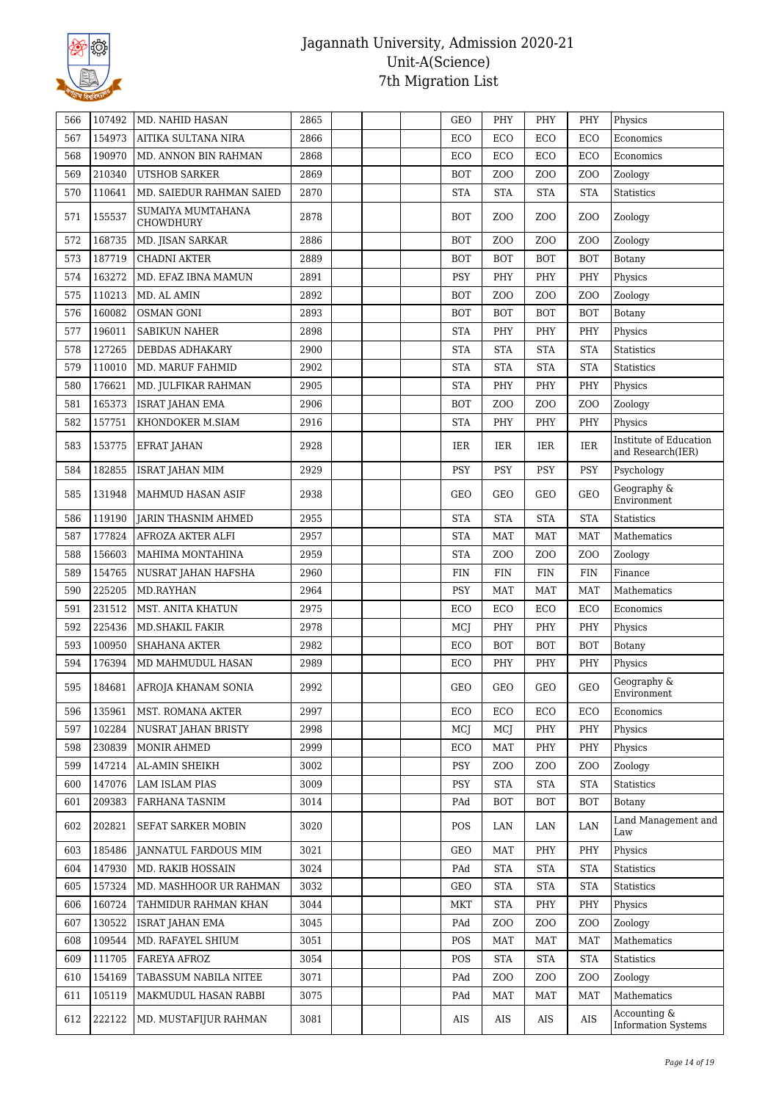

| 566 | 107492 | MD. NAHID HASAN                       | 2865 |  | <b>GEO</b> | PHY              | PHY              | PHY              | Physics                                     |
|-----|--------|---------------------------------------|------|--|------------|------------------|------------------|------------------|---------------------------------------------|
| 567 | 154973 | AITIKA SULTANA NIRA                   | 2866 |  | ECO        | ECO              | ECO              | ECO              | Economics                                   |
| 568 | 190970 | MD. ANNON BIN RAHMAN                  | 2868 |  | ECO        | ECO              | ECO              | ECO              | Economics                                   |
| 569 | 210340 | UTSHOB SARKER                         | 2869 |  | <b>BOT</b> | ZOO              | ZO <sub>O</sub>  | Z <sub>O</sub> O | Zoology                                     |
| 570 | 110641 | MD. SAIEDUR RAHMAN SAIED              | 2870 |  | <b>STA</b> | <b>STA</b>       | <b>STA</b>       | <b>STA</b>       | <b>Statistics</b>                           |
| 571 | 155537 | SUMAIYA MUMTAHANA<br><b>CHOWDHURY</b> | 2878 |  | <b>BOT</b> | ZOO              | ZO <sub>O</sub>  | Z <sub>O</sub> O | Zoology                                     |
| 572 | 168735 | MD. JISAN SARKAR                      | 2886 |  | <b>BOT</b> | Z <sub>O</sub> O | ZO <sub>O</sub>  | Z <sub>O</sub> O | Zoology                                     |
| 573 | 187719 | <b>CHADNI AKTER</b>                   | 2889 |  | <b>BOT</b> | <b>BOT</b>       | BOT              | <b>BOT</b>       | Botany                                      |
| 574 | 163272 | MD. EFAZ IBNA MAMUN                   | 2891 |  | <b>PSY</b> | PHY              | PHY              | PHY              | Physics                                     |
| 575 | 110213 | MD. AL AMIN                           | 2892 |  | <b>BOT</b> | Z <sub>O</sub> O | ZO <sub>O</sub>  | Z <sub>O</sub> O | Zoology                                     |
| 576 | 160082 | <b>OSMAN GONI</b>                     | 2893 |  | <b>BOT</b> | <b>BOT</b>       | <b>BOT</b>       | <b>BOT</b>       | Botany                                      |
| 577 | 196011 | <b>SABIKUN NAHER</b>                  | 2898 |  | <b>STA</b> | PHY              | PHY              | PHY              | Physics                                     |
| 578 | 127265 | DEBDAS ADHAKARY                       | 2900 |  | <b>STA</b> | <b>STA</b>       | <b>STA</b>       | <b>STA</b>       | <b>Statistics</b>                           |
| 579 | 110010 | MD. MARUF FAHMID                      | 2902 |  | <b>STA</b> | <b>STA</b>       | <b>STA</b>       | <b>STA</b>       | <b>Statistics</b>                           |
| 580 | 176621 | MD. JULFIKAR RAHMAN                   | 2905 |  | <b>STA</b> | PHY              | PHY              | PHY              | Physics                                     |
| 581 | 165373 | <b>ISRAT JAHAN EMA</b>                | 2906 |  | <b>BOT</b> | Z <sub>O</sub> O | Z <sub>0</sub>   | Z <sub>O</sub> O | Zoology                                     |
| 582 | 157751 | KHONDOKER M.SIAM                      | 2916 |  | <b>STA</b> | PHY              | PHY              | PHY              | Physics                                     |
| 583 | 153775 | EFRAT JAHAN                           | 2928 |  | IER        | IER              | IER              | IER              | Institute of Education<br>and Research(IER) |
| 584 | 182855 | ISRAT JAHAN MIM                       | 2929 |  | <b>PSY</b> | <b>PSY</b>       | <b>PSY</b>       | PSY              | Psychology                                  |
| 585 | 131948 | MAHMUD HASAN ASIF                     | 2938 |  | GEO        | GEO              | GEO              | <b>GEO</b>       | Geography &<br>Environment                  |
| 586 | 119190 | <b>JARIN THASNIM AHMED</b>            | 2955 |  | <b>STA</b> | <b>STA</b>       | <b>STA</b>       | <b>STA</b>       | <b>Statistics</b>                           |
| 587 | 177824 | AFROZA AKTER ALFI                     | 2957 |  | <b>STA</b> | <b>MAT</b>       | <b>MAT</b>       | <b>MAT</b>       | Mathematics                                 |
| 588 | 156603 | <b>MAHIMA MONTAHINA</b>               | 2959 |  | <b>STA</b> | ZOO              | ZO <sub>O</sub>  | Z <sub>O</sub> O | Zoology                                     |
| 589 | 154765 | NUSRAT JAHAN HAFSHA                   | 2960 |  | <b>FIN</b> | <b>FIN</b>       | <b>FIN</b>       | FIN              | Finance                                     |
| 590 | 225205 | MD.RAYHAN                             | 2964 |  | PSY        | <b>MAT</b>       | <b>MAT</b>       | <b>MAT</b>       | Mathematics                                 |
| 591 | 231512 | MST. ANITA KHATUN                     | 2975 |  | ECO        | ECO              | ECO              | ECO              | Economics                                   |
| 592 | 225436 | <b>MD.SHAKIL FAKIR</b>                | 2978 |  | MCJ        | PHY              | PHY              | PHY              | Physics                                     |
| 593 | 100950 | <b>SHAHANA AKTER</b>                  | 2982 |  | ECO        | <b>BOT</b>       | <b>BOT</b>       | <b>BOT</b>       | Botany                                      |
| 594 | 176394 | MD MAHMUDUL HASAN                     | 2989 |  | ECO        | PHY              | PHY              | PHY              | Physics                                     |
| 595 |        | 184681   AFROJA KHANAM SONIA          | 2992 |  | GEO        | <b>GEO</b>       | <b>GEO</b>       | GEO              | Geography &<br>Environment                  |
| 596 | 135961 | MST. ROMANA AKTER                     | 2997 |  | ECO        | ECO              | ECO              | ECO              | Economics                                   |
| 597 | 102284 | NUSRAT JAHAN BRISTY                   | 2998 |  | MCJ        | MCJ              | PHY              | PHY              | Physics                                     |
| 598 | 230839 | MONIR AHMED                           | 2999 |  | ECO        | <b>MAT</b>       | PHY              | PHY              | Physics                                     |
| 599 | 147214 | AL-AMIN SHEIKH                        | 3002 |  | PSY        | Z <sub>O</sub> O | Z <sub>O</sub> O | Z <sub>O</sub> O | Zoology                                     |
| 600 | 147076 | LAM ISLAM PIAS                        | 3009 |  | <b>PSY</b> | <b>STA</b>       | <b>STA</b>       | <b>STA</b>       | Statistics                                  |
| 601 | 209383 | FARHANA TASNIM                        | 3014 |  | PAd        | <b>BOT</b>       | <b>BOT</b>       | <b>BOT</b>       | Botany                                      |
| 602 | 202821 | SEFAT SARKER MOBIN                    | 3020 |  | POS        | LAN              | LAN              | LAN              | Land Management and<br>Law                  |
| 603 | 185486 | <b>JANNATUL FARDOUS MIM</b>           | 3021 |  | GEO        | MAT              | PHY              | PHY              | Physics                                     |
| 604 | 147930 | MD. RAKIB HOSSAIN                     | 3024 |  | PAd        | <b>STA</b>       | <b>STA</b>       | <b>STA</b>       | <b>Statistics</b>                           |
| 605 | 157324 | MD. MASHHOOR UR RAHMAN                | 3032 |  | GEO        | <b>STA</b>       | <b>STA</b>       | <b>STA</b>       | <b>Statistics</b>                           |
| 606 | 160724 | TAHMIDUR RAHMAN KHAN                  | 3044 |  | MKT        | <b>STA</b>       | PHY              | PHY              | Physics                                     |
| 607 | 130522 | <b>ISRAT JAHAN EMA</b>                | 3045 |  | PAd        | Z <sub>O</sub> O | ZOO              | Z <sub>O</sub> O | Zoology                                     |
| 608 | 109544 | MD. RAFAYEL SHIUM                     | 3051 |  | POS        | <b>MAT</b>       | MAT              | MAT              | Mathematics                                 |
| 609 | 111705 | FAREYA AFROZ                          | 3054 |  | POS        | <b>STA</b>       | <b>STA</b>       | <b>STA</b>       | Statistics                                  |
| 610 | 154169 | TABASSUM NABILA NITEE                 | 3071 |  | PAd        | Z <sub>O</sub> O | ZOO              | Z <sub>O</sub> O | Zoology                                     |
| 611 | 105119 | MAKMUDUL HASAN RABBI                  | 3075 |  | PAd        | MAT              | MAT              | <b>MAT</b>       | Mathematics                                 |
| 612 | 222122 | MD. MUSTAFIJUR RAHMAN                 | 3081 |  | AIS        | AIS              | AIS              | AIS              | Accounting &<br><b>Information Systems</b>  |
|     |        |                                       |      |  |            |                  |                  |                  |                                             |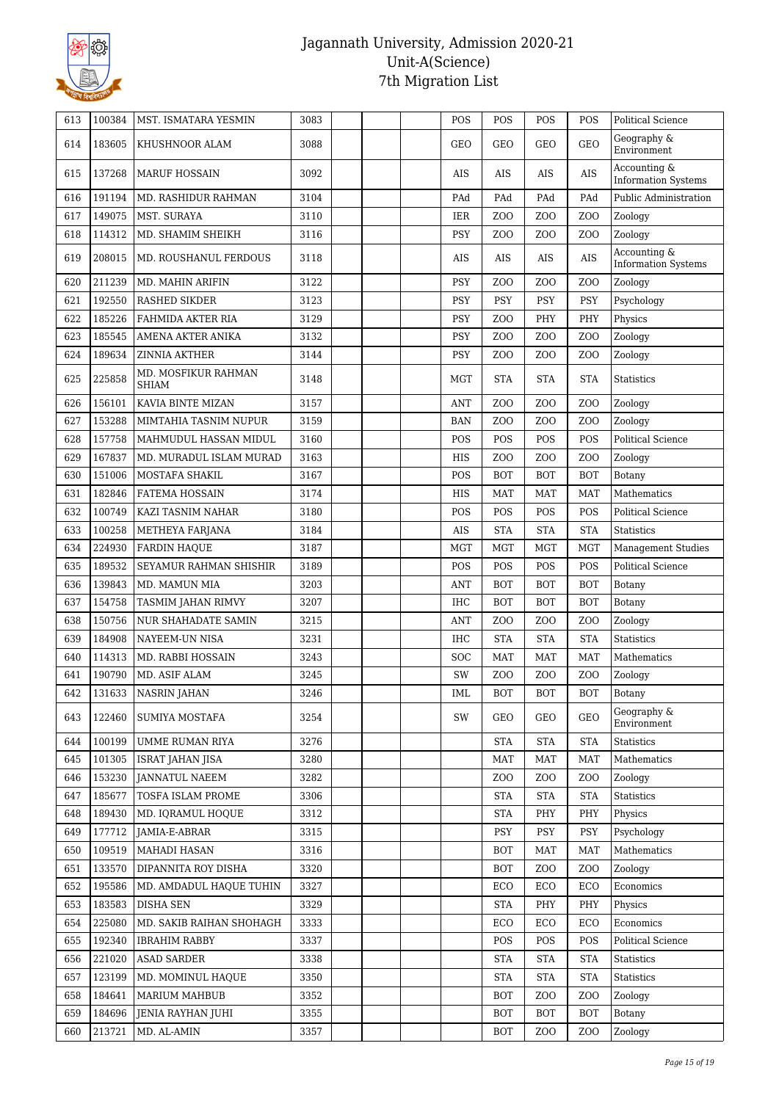

| Geography &<br><b>GEO</b><br>614<br>183605<br>KHUSHNOOR ALAM<br>3088<br>GEO<br><b>GEO</b><br>GEO<br>Environment<br>Accounting &<br><b>AIS</b><br>615<br>137268<br><b>MARUF HOSSAIN</b><br>3092<br><b>AIS</b><br>AIS<br><b>AIS</b><br><b>Information Systems</b><br>191194<br>3104<br>PAd<br>Public Administration<br>616<br>MD. RASHIDUR RAHMAN<br>PAd<br>PAd<br>PAd<br>617<br>149075<br>3110<br>Z <sub>O</sub> O<br>Zoology<br>MST. SURAYA<br>IER<br>Z <sub>O</sub> O<br>Z <sub>O</sub> O<br>618<br>114312<br>3116<br><b>PSY</b><br>MD. SHAMIM SHEIKH<br>Z <sub>O</sub> O<br>Z <sub>O</sub> O<br>Z <sub>O</sub> O<br>Zoology<br>Accounting &<br>619<br>208015<br>3118<br><b>AIS</b><br>MD. ROUSHANUL FERDOUS<br>AIS<br>AIS<br><b>AIS</b><br><b>Information Systems</b><br>211239<br>3122<br>620<br><b>PSY</b><br>ZO <sub>O</sub><br>Z <sub>O</sub> O<br>Z <sub>O</sub> O<br>Zoology<br><b>MD. MAHIN ARIFIN</b><br><b>RASHED SIKDER</b><br><b>PSY</b><br><b>PSY</b><br>PSY<br>621<br>192550<br>3123<br><b>PSY</b><br>Psychology<br>185226<br>622<br>FAHMIDA AKTER RIA<br>3129<br>PSY<br>ZO <sub>O</sub><br>PHY<br>PHY<br>Physics<br>185545<br>623<br>3132<br><b>PSY</b><br>Z <sub>O</sub> O<br>Z <sub>O</sub> O<br>Z <sub>O</sub> O<br>Zoology<br>AMENA AKTER ANIKA<br>189634<br>PSY<br>624<br>ZINNIA AKTHER<br>3144<br>Z <sub>0</sub><br>Z <sub>O</sub> O<br>ZOO<br>Zoology<br>MD. MOSFIKUR RAHMAN<br>625<br>225858<br>3148<br><b>MGT</b><br><b>STA</b><br><b>STA</b><br><b>STA</b><br><b>Statistics</b><br><b>SHIAM</b><br>626<br>156101<br>KAVIA BINTE MIZAN<br>3157<br><b>ANT</b><br>Z <sub>O</sub> O<br>Z <sub>O</sub> O<br>Z <sub>O</sub> O<br>Zoology<br>627<br>153288<br>MIMTAHIA TASNIM NUPUR<br>3159<br>Z <sub>O</sub> O<br>Z <sub>O</sub> O<br>Z <sub>O</sub> O<br><b>BAN</b><br>Zoology<br>157758<br>3160<br>POS<br>POS<br>POS<br><b>Political Science</b><br>628<br>MAHMUDUL HASSAN MIDUL<br>POS<br>167837<br>629<br>MD. MURADUL ISLAM MURAD<br>3163<br>HIS<br>Z <sub>0</sub><br>Z <sub>O</sub> O<br>ZOO<br>Zoology<br>630<br>151006<br>MOSTAFA SHAKIL<br>3167<br>POS<br><b>BOT</b><br><b>BOT</b><br><b>BOT</b><br>Botany<br>182846<br>631<br><b>FATEMA HOSSAIN</b><br>3174<br><b>HIS</b><br><b>MAT</b><br><b>MAT</b><br><b>MAT</b><br>Mathematics<br>100749<br>POS<br>POS<br>POS<br>POS<br>632<br>KAZI TASNIM NAHAR<br>3180<br><b>Political Science</b><br>633<br>100258<br>3184<br><b>STA</b><br><b>STA</b><br><b>STA</b><br><b>Statistics</b><br>METHEYA FARJANA<br>AIS<br>634<br>224930<br>3187<br><b>MGT</b><br><b>MGT</b><br><b>MGT</b><br><b>MGT</b><br><b>FARDIN HAQUE</b><br><b>Management Studies</b><br>635<br>189532<br>SEYAMUR RAHMAN SHISHIR<br>3189<br>POS<br>POS<br>POS<br>POS<br><b>Political Science</b><br>139843<br>636<br>MD. MAMUN MIA<br>3203<br><b>BOT</b><br><b>ANT</b><br><b>BOT</b><br><b>BOT</b><br>Botany<br>154758<br>637<br>3207<br><b>IHC</b><br><b>BOT</b><br><b>BOT</b><br><b>BOT</b><br>TASMIM JAHAN RIMVY<br>Botany<br>638<br>150756<br>3215<br><b>ANT</b><br>Z <sub>O</sub> O<br>Z <sub>O</sub> O<br>Z <sub>O</sub> O<br><b>NUR SHAHADATE SAMIN</b><br>Zoology<br>639<br>184908<br>NAYEEM-UN NISA<br>3231<br><b>IHC</b><br><b>STA</b><br><b>STA</b><br><b>STA</b><br><b>Statistics</b><br>640<br>114313<br>3243<br>SOC<br>MD. RABBI HOSSAIN<br><b>MAT</b><br><b>MAT</b><br><b>MAT</b><br>Mathematics<br>641<br>190790<br>3245<br>SW<br>ZO <sub>O</sub><br>ZO <sub>O</sub><br>Z <sub>O</sub> O<br>Zoology<br>MD. ASIF ALAM<br>642<br>131633<br><b>BOT</b><br><b>BOT</b><br>NASRIN JAHAN<br>3246<br><b>IML</b><br><b>BOT</b><br>Botany<br>Geography &<br>3254<br>SW<br>GEO<br>GEO<br>643<br>122460<br>SUMIYA MOSTAFA<br>GEO<br>Environment<br>100199<br>644<br>UMME RUMAN RIYA<br>3276<br><b>STA</b><br><b>STA</b><br><b>STA</b><br>Statistics<br>101305<br>645<br><b>ISRAT JAHAN JISA</b><br>3280<br>MAT<br>MAT<br><b>MAT</b><br>Mathematics<br>153230<br>3282<br><b>JANNATUL NAEEM</b><br>Z <sub>0</sub><br>Z <sub>0</sub><br>ZOO<br>Zoology<br>646<br>185677<br>647<br>TOSFA ISLAM PROME<br>3306<br><b>STA</b><br><b>STA</b><br><b>STA</b><br>Statistics<br>189430<br>648<br>MD. IQRAMUL HOQUE<br>3312<br><b>STA</b><br>PHY<br>PHY<br>Physics<br>177712<br>JAMIA-E-ABRAR<br>3315<br><b>PSY</b><br>PSY<br><b>PSY</b><br>Psychology<br>649<br>109519<br>3316<br>650<br><b>MAHADI HASAN</b><br><b>BOT</b><br><b>MAT</b><br>MAT<br>Mathematics<br>DIPANNITA ROY DISHA<br>3320<br>133570<br><b>BOT</b><br>Z <sub>0</sub><br>Z <sub>O</sub> O<br>Zoology<br>651<br>3327<br>195586<br>ECO<br>ECO<br>ECO<br>Economics<br>652<br>MD. AMDADUL HAQUE TUHIN<br>183583<br><b>DISHA SEN</b><br>3329<br><b>STA</b><br>PHY<br>PHY<br>Physics<br>653<br>225080<br>3333<br>ECO<br>ECO<br>ECO<br>654<br>MD. SAKIB RAIHAN SHOHAGH<br>Economics<br>192340<br>3337<br>POS<br><b>IBRAHIM RABBY</b><br>POS<br>POS<br>Political Science<br>655<br>221020<br><b>ASAD SARDER</b><br>3338<br><b>STA</b><br><b>STA</b><br><b>STA</b><br>656<br>Statistics<br>123199<br>MD. MOMINUL HAQUE<br>3350<br><b>STA</b><br><b>STA</b><br><b>STA</b><br>Statistics<br>657<br>184641<br>3352<br>658<br><b>MARIUM MAHBUB</b><br><b>BOT</b><br>Z <sub>0</sub><br>ZOO<br>Zoology<br>184696<br>3355<br><b>BOT</b><br><b>BOT</b><br>659<br>JENIA RAYHAN JUHI<br>BOT<br>Botany<br>213721<br>MD. AL-AMIN<br>3357<br><b>BOT</b><br>Z <sub>0</sub><br>Z <sub>O</sub> O<br>Zoology<br>660 | 613 | 100384 | MST. ISMATARA YESMIN | 3083 | POS | POS | POS | POS | <b>Political Science</b> |
|--------------------------------------------------------------------------------------------------------------------------------------------------------------------------------------------------------------------------------------------------------------------------------------------------------------------------------------------------------------------------------------------------------------------------------------------------------------------------------------------------------------------------------------------------------------------------------------------------------------------------------------------------------------------------------------------------------------------------------------------------------------------------------------------------------------------------------------------------------------------------------------------------------------------------------------------------------------------------------------------------------------------------------------------------------------------------------------------------------------------------------------------------------------------------------------------------------------------------------------------------------------------------------------------------------------------------------------------------------------------------------------------------------------------------------------------------------------------------------------------------------------------------------------------------------------------------------------------------------------------------------------------------------------------------------------------------------------------------------------------------------------------------------------------------------------------------------------------------------------------------------------------------------------------------------------------------------------------------------------------------------------------------------------------------------------------------------------------------------------------------------------------------------------------------------------------------------------------------------------------------------------------------------------------------------------------------------------------------------------------------------------------------------------------------------------------------------------------------------------------------------------------------------------------------------------------------------------------------------------------------------------------------------------------------------------------------------------------------------------------------------------------------------------------------------------------------------------------------------------------------------------------------------------------------------------------------------------------------------------------------------------------------------------------------------------------------------------------------------------------------------------------------------------------------------------------------------------------------------------------------------------------------------------------------------------------------------------------------------------------------------------------------------------------------------------------------------------------------------------------------------------------------------------------------------------------------------------------------------------------------------------------------------------------------------------------------------------------------------------------------------------------------------------------------------------------------------------------------------------------------------------------------------------------------------------------------------------------------------------------------------------------------------------------------------------------------------------------------------------------------------------------------------------------------------------------------------------------------------------------------------------------------------------------------------------------------------------------------------------------------------------------------------------------------------------------------------------------------------------------------------------------------------------------------------------------------------------------------------------------------------------------------------------------------------------------------------------------------------------------------------------------------------------------------------------------------------------------------------------------------------------------------------------------------------------------------------------------------------------------------------------------------------------------------------------------------------------------------------------------------------------------------------------------------------------------------------------------------------------------------------------------------------------------------------------------------------------------------------------------------------------------|-----|--------|----------------------|------|-----|-----|-----|-----|--------------------------|
|                                                                                                                                                                                                                                                                                                                                                                                                                                                                                                                                                                                                                                                                                                                                                                                                                                                                                                                                                                                                                                                                                                                                                                                                                                                                                                                                                                                                                                                                                                                                                                                                                                                                                                                                                                                                                                                                                                                                                                                                                                                                                                                                                                                                                                                                                                                                                                                                                                                                                                                                                                                                                                                                                                                                                                                                                                                                                                                                                                                                                                                                                                                                                                                                                                                                                                                                                                                                                                                                                                                                                                                                                                                                                                                                                                                                                                                                                                                                                                                                                                                                                                                                                                                                                                                                                                                                                                                                                                                                                                                                                                                                                                                                                                                                                                                                                                                                                                                                                                                                                                                                                                                                                                                                                                                                                                                                                                                            |     |        |                      |      |     |     |     |     |                          |
|                                                                                                                                                                                                                                                                                                                                                                                                                                                                                                                                                                                                                                                                                                                                                                                                                                                                                                                                                                                                                                                                                                                                                                                                                                                                                                                                                                                                                                                                                                                                                                                                                                                                                                                                                                                                                                                                                                                                                                                                                                                                                                                                                                                                                                                                                                                                                                                                                                                                                                                                                                                                                                                                                                                                                                                                                                                                                                                                                                                                                                                                                                                                                                                                                                                                                                                                                                                                                                                                                                                                                                                                                                                                                                                                                                                                                                                                                                                                                                                                                                                                                                                                                                                                                                                                                                                                                                                                                                                                                                                                                                                                                                                                                                                                                                                                                                                                                                                                                                                                                                                                                                                                                                                                                                                                                                                                                                                            |     |        |                      |      |     |     |     |     |                          |
|                                                                                                                                                                                                                                                                                                                                                                                                                                                                                                                                                                                                                                                                                                                                                                                                                                                                                                                                                                                                                                                                                                                                                                                                                                                                                                                                                                                                                                                                                                                                                                                                                                                                                                                                                                                                                                                                                                                                                                                                                                                                                                                                                                                                                                                                                                                                                                                                                                                                                                                                                                                                                                                                                                                                                                                                                                                                                                                                                                                                                                                                                                                                                                                                                                                                                                                                                                                                                                                                                                                                                                                                                                                                                                                                                                                                                                                                                                                                                                                                                                                                                                                                                                                                                                                                                                                                                                                                                                                                                                                                                                                                                                                                                                                                                                                                                                                                                                                                                                                                                                                                                                                                                                                                                                                                                                                                                                                            |     |        |                      |      |     |     |     |     |                          |
|                                                                                                                                                                                                                                                                                                                                                                                                                                                                                                                                                                                                                                                                                                                                                                                                                                                                                                                                                                                                                                                                                                                                                                                                                                                                                                                                                                                                                                                                                                                                                                                                                                                                                                                                                                                                                                                                                                                                                                                                                                                                                                                                                                                                                                                                                                                                                                                                                                                                                                                                                                                                                                                                                                                                                                                                                                                                                                                                                                                                                                                                                                                                                                                                                                                                                                                                                                                                                                                                                                                                                                                                                                                                                                                                                                                                                                                                                                                                                                                                                                                                                                                                                                                                                                                                                                                                                                                                                                                                                                                                                                                                                                                                                                                                                                                                                                                                                                                                                                                                                                                                                                                                                                                                                                                                                                                                                                                            |     |        |                      |      |     |     |     |     |                          |
|                                                                                                                                                                                                                                                                                                                                                                                                                                                                                                                                                                                                                                                                                                                                                                                                                                                                                                                                                                                                                                                                                                                                                                                                                                                                                                                                                                                                                                                                                                                                                                                                                                                                                                                                                                                                                                                                                                                                                                                                                                                                                                                                                                                                                                                                                                                                                                                                                                                                                                                                                                                                                                                                                                                                                                                                                                                                                                                                                                                                                                                                                                                                                                                                                                                                                                                                                                                                                                                                                                                                                                                                                                                                                                                                                                                                                                                                                                                                                                                                                                                                                                                                                                                                                                                                                                                                                                                                                                                                                                                                                                                                                                                                                                                                                                                                                                                                                                                                                                                                                                                                                                                                                                                                                                                                                                                                                                                            |     |        |                      |      |     |     |     |     |                          |
|                                                                                                                                                                                                                                                                                                                                                                                                                                                                                                                                                                                                                                                                                                                                                                                                                                                                                                                                                                                                                                                                                                                                                                                                                                                                                                                                                                                                                                                                                                                                                                                                                                                                                                                                                                                                                                                                                                                                                                                                                                                                                                                                                                                                                                                                                                                                                                                                                                                                                                                                                                                                                                                                                                                                                                                                                                                                                                                                                                                                                                                                                                                                                                                                                                                                                                                                                                                                                                                                                                                                                                                                                                                                                                                                                                                                                                                                                                                                                                                                                                                                                                                                                                                                                                                                                                                                                                                                                                                                                                                                                                                                                                                                                                                                                                                                                                                                                                                                                                                                                                                                                                                                                                                                                                                                                                                                                                                            |     |        |                      |      |     |     |     |     |                          |
|                                                                                                                                                                                                                                                                                                                                                                                                                                                                                                                                                                                                                                                                                                                                                                                                                                                                                                                                                                                                                                                                                                                                                                                                                                                                                                                                                                                                                                                                                                                                                                                                                                                                                                                                                                                                                                                                                                                                                                                                                                                                                                                                                                                                                                                                                                                                                                                                                                                                                                                                                                                                                                                                                                                                                                                                                                                                                                                                                                                                                                                                                                                                                                                                                                                                                                                                                                                                                                                                                                                                                                                                                                                                                                                                                                                                                                                                                                                                                                                                                                                                                                                                                                                                                                                                                                                                                                                                                                                                                                                                                                                                                                                                                                                                                                                                                                                                                                                                                                                                                                                                                                                                                                                                                                                                                                                                                                                            |     |        |                      |      |     |     |     |     |                          |
|                                                                                                                                                                                                                                                                                                                                                                                                                                                                                                                                                                                                                                                                                                                                                                                                                                                                                                                                                                                                                                                                                                                                                                                                                                                                                                                                                                                                                                                                                                                                                                                                                                                                                                                                                                                                                                                                                                                                                                                                                                                                                                                                                                                                                                                                                                                                                                                                                                                                                                                                                                                                                                                                                                                                                                                                                                                                                                                                                                                                                                                                                                                                                                                                                                                                                                                                                                                                                                                                                                                                                                                                                                                                                                                                                                                                                                                                                                                                                                                                                                                                                                                                                                                                                                                                                                                                                                                                                                                                                                                                                                                                                                                                                                                                                                                                                                                                                                                                                                                                                                                                                                                                                                                                                                                                                                                                                                                            |     |        |                      |      |     |     |     |     |                          |
|                                                                                                                                                                                                                                                                                                                                                                                                                                                                                                                                                                                                                                                                                                                                                                                                                                                                                                                                                                                                                                                                                                                                                                                                                                                                                                                                                                                                                                                                                                                                                                                                                                                                                                                                                                                                                                                                                                                                                                                                                                                                                                                                                                                                                                                                                                                                                                                                                                                                                                                                                                                                                                                                                                                                                                                                                                                                                                                                                                                                                                                                                                                                                                                                                                                                                                                                                                                                                                                                                                                                                                                                                                                                                                                                                                                                                                                                                                                                                                                                                                                                                                                                                                                                                                                                                                                                                                                                                                                                                                                                                                                                                                                                                                                                                                                                                                                                                                                                                                                                                                                                                                                                                                                                                                                                                                                                                                                            |     |        |                      |      |     |     |     |     |                          |
|                                                                                                                                                                                                                                                                                                                                                                                                                                                                                                                                                                                                                                                                                                                                                                                                                                                                                                                                                                                                                                                                                                                                                                                                                                                                                                                                                                                                                                                                                                                                                                                                                                                                                                                                                                                                                                                                                                                                                                                                                                                                                                                                                                                                                                                                                                                                                                                                                                                                                                                                                                                                                                                                                                                                                                                                                                                                                                                                                                                                                                                                                                                                                                                                                                                                                                                                                                                                                                                                                                                                                                                                                                                                                                                                                                                                                                                                                                                                                                                                                                                                                                                                                                                                                                                                                                                                                                                                                                                                                                                                                                                                                                                                                                                                                                                                                                                                                                                                                                                                                                                                                                                                                                                                                                                                                                                                                                                            |     |        |                      |      |     |     |     |     |                          |
|                                                                                                                                                                                                                                                                                                                                                                                                                                                                                                                                                                                                                                                                                                                                                                                                                                                                                                                                                                                                                                                                                                                                                                                                                                                                                                                                                                                                                                                                                                                                                                                                                                                                                                                                                                                                                                                                                                                                                                                                                                                                                                                                                                                                                                                                                                                                                                                                                                                                                                                                                                                                                                                                                                                                                                                                                                                                                                                                                                                                                                                                                                                                                                                                                                                                                                                                                                                                                                                                                                                                                                                                                                                                                                                                                                                                                                                                                                                                                                                                                                                                                                                                                                                                                                                                                                                                                                                                                                                                                                                                                                                                                                                                                                                                                                                                                                                                                                                                                                                                                                                                                                                                                                                                                                                                                                                                                                                            |     |        |                      |      |     |     |     |     |                          |
|                                                                                                                                                                                                                                                                                                                                                                                                                                                                                                                                                                                                                                                                                                                                                                                                                                                                                                                                                                                                                                                                                                                                                                                                                                                                                                                                                                                                                                                                                                                                                                                                                                                                                                                                                                                                                                                                                                                                                                                                                                                                                                                                                                                                                                                                                                                                                                                                                                                                                                                                                                                                                                                                                                                                                                                                                                                                                                                                                                                                                                                                                                                                                                                                                                                                                                                                                                                                                                                                                                                                                                                                                                                                                                                                                                                                                                                                                                                                                                                                                                                                                                                                                                                                                                                                                                                                                                                                                                                                                                                                                                                                                                                                                                                                                                                                                                                                                                                                                                                                                                                                                                                                                                                                                                                                                                                                                                                            |     |        |                      |      |     |     |     |     |                          |
|                                                                                                                                                                                                                                                                                                                                                                                                                                                                                                                                                                                                                                                                                                                                                                                                                                                                                                                                                                                                                                                                                                                                                                                                                                                                                                                                                                                                                                                                                                                                                                                                                                                                                                                                                                                                                                                                                                                                                                                                                                                                                                                                                                                                                                                                                                                                                                                                                                                                                                                                                                                                                                                                                                                                                                                                                                                                                                                                                                                                                                                                                                                                                                                                                                                                                                                                                                                                                                                                                                                                                                                                                                                                                                                                                                                                                                                                                                                                                                                                                                                                                                                                                                                                                                                                                                                                                                                                                                                                                                                                                                                                                                                                                                                                                                                                                                                                                                                                                                                                                                                                                                                                                                                                                                                                                                                                                                                            |     |        |                      |      |     |     |     |     |                          |
|                                                                                                                                                                                                                                                                                                                                                                                                                                                                                                                                                                                                                                                                                                                                                                                                                                                                                                                                                                                                                                                                                                                                                                                                                                                                                                                                                                                                                                                                                                                                                                                                                                                                                                                                                                                                                                                                                                                                                                                                                                                                                                                                                                                                                                                                                                                                                                                                                                                                                                                                                                                                                                                                                                                                                                                                                                                                                                                                                                                                                                                                                                                                                                                                                                                                                                                                                                                                                                                                                                                                                                                                                                                                                                                                                                                                                                                                                                                                                                                                                                                                                                                                                                                                                                                                                                                                                                                                                                                                                                                                                                                                                                                                                                                                                                                                                                                                                                                                                                                                                                                                                                                                                                                                                                                                                                                                                                                            |     |        |                      |      |     |     |     |     |                          |
|                                                                                                                                                                                                                                                                                                                                                                                                                                                                                                                                                                                                                                                                                                                                                                                                                                                                                                                                                                                                                                                                                                                                                                                                                                                                                                                                                                                                                                                                                                                                                                                                                                                                                                                                                                                                                                                                                                                                                                                                                                                                                                                                                                                                                                                                                                                                                                                                                                                                                                                                                                                                                                                                                                                                                                                                                                                                                                                                                                                                                                                                                                                                                                                                                                                                                                                                                                                                                                                                                                                                                                                                                                                                                                                                                                                                                                                                                                                                                                                                                                                                                                                                                                                                                                                                                                                                                                                                                                                                                                                                                                                                                                                                                                                                                                                                                                                                                                                                                                                                                                                                                                                                                                                                                                                                                                                                                                                            |     |        |                      |      |     |     |     |     |                          |
|                                                                                                                                                                                                                                                                                                                                                                                                                                                                                                                                                                                                                                                                                                                                                                                                                                                                                                                                                                                                                                                                                                                                                                                                                                                                                                                                                                                                                                                                                                                                                                                                                                                                                                                                                                                                                                                                                                                                                                                                                                                                                                                                                                                                                                                                                                                                                                                                                                                                                                                                                                                                                                                                                                                                                                                                                                                                                                                                                                                                                                                                                                                                                                                                                                                                                                                                                                                                                                                                                                                                                                                                                                                                                                                                                                                                                                                                                                                                                                                                                                                                                                                                                                                                                                                                                                                                                                                                                                                                                                                                                                                                                                                                                                                                                                                                                                                                                                                                                                                                                                                                                                                                                                                                                                                                                                                                                                                            |     |        |                      |      |     |     |     |     |                          |
|                                                                                                                                                                                                                                                                                                                                                                                                                                                                                                                                                                                                                                                                                                                                                                                                                                                                                                                                                                                                                                                                                                                                                                                                                                                                                                                                                                                                                                                                                                                                                                                                                                                                                                                                                                                                                                                                                                                                                                                                                                                                                                                                                                                                                                                                                                                                                                                                                                                                                                                                                                                                                                                                                                                                                                                                                                                                                                                                                                                                                                                                                                                                                                                                                                                                                                                                                                                                                                                                                                                                                                                                                                                                                                                                                                                                                                                                                                                                                                                                                                                                                                                                                                                                                                                                                                                                                                                                                                                                                                                                                                                                                                                                                                                                                                                                                                                                                                                                                                                                                                                                                                                                                                                                                                                                                                                                                                                            |     |        |                      |      |     |     |     |     |                          |
|                                                                                                                                                                                                                                                                                                                                                                                                                                                                                                                                                                                                                                                                                                                                                                                                                                                                                                                                                                                                                                                                                                                                                                                                                                                                                                                                                                                                                                                                                                                                                                                                                                                                                                                                                                                                                                                                                                                                                                                                                                                                                                                                                                                                                                                                                                                                                                                                                                                                                                                                                                                                                                                                                                                                                                                                                                                                                                                                                                                                                                                                                                                                                                                                                                                                                                                                                                                                                                                                                                                                                                                                                                                                                                                                                                                                                                                                                                                                                                                                                                                                                                                                                                                                                                                                                                                                                                                                                                                                                                                                                                                                                                                                                                                                                                                                                                                                                                                                                                                                                                                                                                                                                                                                                                                                                                                                                                                            |     |        |                      |      |     |     |     |     |                          |
|                                                                                                                                                                                                                                                                                                                                                                                                                                                                                                                                                                                                                                                                                                                                                                                                                                                                                                                                                                                                                                                                                                                                                                                                                                                                                                                                                                                                                                                                                                                                                                                                                                                                                                                                                                                                                                                                                                                                                                                                                                                                                                                                                                                                                                                                                                                                                                                                                                                                                                                                                                                                                                                                                                                                                                                                                                                                                                                                                                                                                                                                                                                                                                                                                                                                                                                                                                                                                                                                                                                                                                                                                                                                                                                                                                                                                                                                                                                                                                                                                                                                                                                                                                                                                                                                                                                                                                                                                                                                                                                                                                                                                                                                                                                                                                                                                                                                                                                                                                                                                                                                                                                                                                                                                                                                                                                                                                                            |     |        |                      |      |     |     |     |     |                          |
|                                                                                                                                                                                                                                                                                                                                                                                                                                                                                                                                                                                                                                                                                                                                                                                                                                                                                                                                                                                                                                                                                                                                                                                                                                                                                                                                                                                                                                                                                                                                                                                                                                                                                                                                                                                                                                                                                                                                                                                                                                                                                                                                                                                                                                                                                                                                                                                                                                                                                                                                                                                                                                                                                                                                                                                                                                                                                                                                                                                                                                                                                                                                                                                                                                                                                                                                                                                                                                                                                                                                                                                                                                                                                                                                                                                                                                                                                                                                                                                                                                                                                                                                                                                                                                                                                                                                                                                                                                                                                                                                                                                                                                                                                                                                                                                                                                                                                                                                                                                                                                                                                                                                                                                                                                                                                                                                                                                            |     |        |                      |      |     |     |     |     |                          |
|                                                                                                                                                                                                                                                                                                                                                                                                                                                                                                                                                                                                                                                                                                                                                                                                                                                                                                                                                                                                                                                                                                                                                                                                                                                                                                                                                                                                                                                                                                                                                                                                                                                                                                                                                                                                                                                                                                                                                                                                                                                                                                                                                                                                                                                                                                                                                                                                                                                                                                                                                                                                                                                                                                                                                                                                                                                                                                                                                                                                                                                                                                                                                                                                                                                                                                                                                                                                                                                                                                                                                                                                                                                                                                                                                                                                                                                                                                                                                                                                                                                                                                                                                                                                                                                                                                                                                                                                                                                                                                                                                                                                                                                                                                                                                                                                                                                                                                                                                                                                                                                                                                                                                                                                                                                                                                                                                                                            |     |        |                      |      |     |     |     |     |                          |
|                                                                                                                                                                                                                                                                                                                                                                                                                                                                                                                                                                                                                                                                                                                                                                                                                                                                                                                                                                                                                                                                                                                                                                                                                                                                                                                                                                                                                                                                                                                                                                                                                                                                                                                                                                                                                                                                                                                                                                                                                                                                                                                                                                                                                                                                                                                                                                                                                                                                                                                                                                                                                                                                                                                                                                                                                                                                                                                                                                                                                                                                                                                                                                                                                                                                                                                                                                                                                                                                                                                                                                                                                                                                                                                                                                                                                                                                                                                                                                                                                                                                                                                                                                                                                                                                                                                                                                                                                                                                                                                                                                                                                                                                                                                                                                                                                                                                                                                                                                                                                                                                                                                                                                                                                                                                                                                                                                                            |     |        |                      |      |     |     |     |     |                          |
|                                                                                                                                                                                                                                                                                                                                                                                                                                                                                                                                                                                                                                                                                                                                                                                                                                                                                                                                                                                                                                                                                                                                                                                                                                                                                                                                                                                                                                                                                                                                                                                                                                                                                                                                                                                                                                                                                                                                                                                                                                                                                                                                                                                                                                                                                                                                                                                                                                                                                                                                                                                                                                                                                                                                                                                                                                                                                                                                                                                                                                                                                                                                                                                                                                                                                                                                                                                                                                                                                                                                                                                                                                                                                                                                                                                                                                                                                                                                                                                                                                                                                                                                                                                                                                                                                                                                                                                                                                                                                                                                                                                                                                                                                                                                                                                                                                                                                                                                                                                                                                                                                                                                                                                                                                                                                                                                                                                            |     |        |                      |      |     |     |     |     |                          |
|                                                                                                                                                                                                                                                                                                                                                                                                                                                                                                                                                                                                                                                                                                                                                                                                                                                                                                                                                                                                                                                                                                                                                                                                                                                                                                                                                                                                                                                                                                                                                                                                                                                                                                                                                                                                                                                                                                                                                                                                                                                                                                                                                                                                                                                                                                                                                                                                                                                                                                                                                                                                                                                                                                                                                                                                                                                                                                                                                                                                                                                                                                                                                                                                                                                                                                                                                                                                                                                                                                                                                                                                                                                                                                                                                                                                                                                                                                                                                                                                                                                                                                                                                                                                                                                                                                                                                                                                                                                                                                                                                                                                                                                                                                                                                                                                                                                                                                                                                                                                                                                                                                                                                                                                                                                                                                                                                                                            |     |        |                      |      |     |     |     |     |                          |
|                                                                                                                                                                                                                                                                                                                                                                                                                                                                                                                                                                                                                                                                                                                                                                                                                                                                                                                                                                                                                                                                                                                                                                                                                                                                                                                                                                                                                                                                                                                                                                                                                                                                                                                                                                                                                                                                                                                                                                                                                                                                                                                                                                                                                                                                                                                                                                                                                                                                                                                                                                                                                                                                                                                                                                                                                                                                                                                                                                                                                                                                                                                                                                                                                                                                                                                                                                                                                                                                                                                                                                                                                                                                                                                                                                                                                                                                                                                                                                                                                                                                                                                                                                                                                                                                                                                                                                                                                                                                                                                                                                                                                                                                                                                                                                                                                                                                                                                                                                                                                                                                                                                                                                                                                                                                                                                                                                                            |     |        |                      |      |     |     |     |     |                          |
|                                                                                                                                                                                                                                                                                                                                                                                                                                                                                                                                                                                                                                                                                                                                                                                                                                                                                                                                                                                                                                                                                                                                                                                                                                                                                                                                                                                                                                                                                                                                                                                                                                                                                                                                                                                                                                                                                                                                                                                                                                                                                                                                                                                                                                                                                                                                                                                                                                                                                                                                                                                                                                                                                                                                                                                                                                                                                                                                                                                                                                                                                                                                                                                                                                                                                                                                                                                                                                                                                                                                                                                                                                                                                                                                                                                                                                                                                                                                                                                                                                                                                                                                                                                                                                                                                                                                                                                                                                                                                                                                                                                                                                                                                                                                                                                                                                                                                                                                                                                                                                                                                                                                                                                                                                                                                                                                                                                            |     |        |                      |      |     |     |     |     |                          |
|                                                                                                                                                                                                                                                                                                                                                                                                                                                                                                                                                                                                                                                                                                                                                                                                                                                                                                                                                                                                                                                                                                                                                                                                                                                                                                                                                                                                                                                                                                                                                                                                                                                                                                                                                                                                                                                                                                                                                                                                                                                                                                                                                                                                                                                                                                                                                                                                                                                                                                                                                                                                                                                                                                                                                                                                                                                                                                                                                                                                                                                                                                                                                                                                                                                                                                                                                                                                                                                                                                                                                                                                                                                                                                                                                                                                                                                                                                                                                                                                                                                                                                                                                                                                                                                                                                                                                                                                                                                                                                                                                                                                                                                                                                                                                                                                                                                                                                                                                                                                                                                                                                                                                                                                                                                                                                                                                                                            |     |        |                      |      |     |     |     |     |                          |
|                                                                                                                                                                                                                                                                                                                                                                                                                                                                                                                                                                                                                                                                                                                                                                                                                                                                                                                                                                                                                                                                                                                                                                                                                                                                                                                                                                                                                                                                                                                                                                                                                                                                                                                                                                                                                                                                                                                                                                                                                                                                                                                                                                                                                                                                                                                                                                                                                                                                                                                                                                                                                                                                                                                                                                                                                                                                                                                                                                                                                                                                                                                                                                                                                                                                                                                                                                                                                                                                                                                                                                                                                                                                                                                                                                                                                                                                                                                                                                                                                                                                                                                                                                                                                                                                                                                                                                                                                                                                                                                                                                                                                                                                                                                                                                                                                                                                                                                                                                                                                                                                                                                                                                                                                                                                                                                                                                                            |     |        |                      |      |     |     |     |     |                          |
|                                                                                                                                                                                                                                                                                                                                                                                                                                                                                                                                                                                                                                                                                                                                                                                                                                                                                                                                                                                                                                                                                                                                                                                                                                                                                                                                                                                                                                                                                                                                                                                                                                                                                                                                                                                                                                                                                                                                                                                                                                                                                                                                                                                                                                                                                                                                                                                                                                                                                                                                                                                                                                                                                                                                                                                                                                                                                                                                                                                                                                                                                                                                                                                                                                                                                                                                                                                                                                                                                                                                                                                                                                                                                                                                                                                                                                                                                                                                                                                                                                                                                                                                                                                                                                                                                                                                                                                                                                                                                                                                                                                                                                                                                                                                                                                                                                                                                                                                                                                                                                                                                                                                                                                                                                                                                                                                                                                            |     |        |                      |      |     |     |     |     |                          |
|                                                                                                                                                                                                                                                                                                                                                                                                                                                                                                                                                                                                                                                                                                                                                                                                                                                                                                                                                                                                                                                                                                                                                                                                                                                                                                                                                                                                                                                                                                                                                                                                                                                                                                                                                                                                                                                                                                                                                                                                                                                                                                                                                                                                                                                                                                                                                                                                                                                                                                                                                                                                                                                                                                                                                                                                                                                                                                                                                                                                                                                                                                                                                                                                                                                                                                                                                                                                                                                                                                                                                                                                                                                                                                                                                                                                                                                                                                                                                                                                                                                                                                                                                                                                                                                                                                                                                                                                                                                                                                                                                                                                                                                                                                                                                                                                                                                                                                                                                                                                                                                                                                                                                                                                                                                                                                                                                                                            |     |        |                      |      |     |     |     |     |                          |
|                                                                                                                                                                                                                                                                                                                                                                                                                                                                                                                                                                                                                                                                                                                                                                                                                                                                                                                                                                                                                                                                                                                                                                                                                                                                                                                                                                                                                                                                                                                                                                                                                                                                                                                                                                                                                                                                                                                                                                                                                                                                                                                                                                                                                                                                                                                                                                                                                                                                                                                                                                                                                                                                                                                                                                                                                                                                                                                                                                                                                                                                                                                                                                                                                                                                                                                                                                                                                                                                                                                                                                                                                                                                                                                                                                                                                                                                                                                                                                                                                                                                                                                                                                                                                                                                                                                                                                                                                                                                                                                                                                                                                                                                                                                                                                                                                                                                                                                                                                                                                                                                                                                                                                                                                                                                                                                                                                                            |     |        |                      |      |     |     |     |     |                          |
|                                                                                                                                                                                                                                                                                                                                                                                                                                                                                                                                                                                                                                                                                                                                                                                                                                                                                                                                                                                                                                                                                                                                                                                                                                                                                                                                                                                                                                                                                                                                                                                                                                                                                                                                                                                                                                                                                                                                                                                                                                                                                                                                                                                                                                                                                                                                                                                                                                                                                                                                                                                                                                                                                                                                                                                                                                                                                                                                                                                                                                                                                                                                                                                                                                                                                                                                                                                                                                                                                                                                                                                                                                                                                                                                                                                                                                                                                                                                                                                                                                                                                                                                                                                                                                                                                                                                                                                                                                                                                                                                                                                                                                                                                                                                                                                                                                                                                                                                                                                                                                                                                                                                                                                                                                                                                                                                                                                            |     |        |                      |      |     |     |     |     |                          |
|                                                                                                                                                                                                                                                                                                                                                                                                                                                                                                                                                                                                                                                                                                                                                                                                                                                                                                                                                                                                                                                                                                                                                                                                                                                                                                                                                                                                                                                                                                                                                                                                                                                                                                                                                                                                                                                                                                                                                                                                                                                                                                                                                                                                                                                                                                                                                                                                                                                                                                                                                                                                                                                                                                                                                                                                                                                                                                                                                                                                                                                                                                                                                                                                                                                                                                                                                                                                                                                                                                                                                                                                                                                                                                                                                                                                                                                                                                                                                                                                                                                                                                                                                                                                                                                                                                                                                                                                                                                                                                                                                                                                                                                                                                                                                                                                                                                                                                                                                                                                                                                                                                                                                                                                                                                                                                                                                                                            |     |        |                      |      |     |     |     |     |                          |
|                                                                                                                                                                                                                                                                                                                                                                                                                                                                                                                                                                                                                                                                                                                                                                                                                                                                                                                                                                                                                                                                                                                                                                                                                                                                                                                                                                                                                                                                                                                                                                                                                                                                                                                                                                                                                                                                                                                                                                                                                                                                                                                                                                                                                                                                                                                                                                                                                                                                                                                                                                                                                                                                                                                                                                                                                                                                                                                                                                                                                                                                                                                                                                                                                                                                                                                                                                                                                                                                                                                                                                                                                                                                                                                                                                                                                                                                                                                                                                                                                                                                                                                                                                                                                                                                                                                                                                                                                                                                                                                                                                                                                                                                                                                                                                                                                                                                                                                                                                                                                                                                                                                                                                                                                                                                                                                                                                                            |     |        |                      |      |     |     |     |     |                          |
|                                                                                                                                                                                                                                                                                                                                                                                                                                                                                                                                                                                                                                                                                                                                                                                                                                                                                                                                                                                                                                                                                                                                                                                                                                                                                                                                                                                                                                                                                                                                                                                                                                                                                                                                                                                                                                                                                                                                                                                                                                                                                                                                                                                                                                                                                                                                                                                                                                                                                                                                                                                                                                                                                                                                                                                                                                                                                                                                                                                                                                                                                                                                                                                                                                                                                                                                                                                                                                                                                                                                                                                                                                                                                                                                                                                                                                                                                                                                                                                                                                                                                                                                                                                                                                                                                                                                                                                                                                                                                                                                                                                                                                                                                                                                                                                                                                                                                                                                                                                                                                                                                                                                                                                                                                                                                                                                                                                            |     |        |                      |      |     |     |     |     |                          |
|                                                                                                                                                                                                                                                                                                                                                                                                                                                                                                                                                                                                                                                                                                                                                                                                                                                                                                                                                                                                                                                                                                                                                                                                                                                                                                                                                                                                                                                                                                                                                                                                                                                                                                                                                                                                                                                                                                                                                                                                                                                                                                                                                                                                                                                                                                                                                                                                                                                                                                                                                                                                                                                                                                                                                                                                                                                                                                                                                                                                                                                                                                                                                                                                                                                                                                                                                                                                                                                                                                                                                                                                                                                                                                                                                                                                                                                                                                                                                                                                                                                                                                                                                                                                                                                                                                                                                                                                                                                                                                                                                                                                                                                                                                                                                                                                                                                                                                                                                                                                                                                                                                                                                                                                                                                                                                                                                                                            |     |        |                      |      |     |     |     |     |                          |
|                                                                                                                                                                                                                                                                                                                                                                                                                                                                                                                                                                                                                                                                                                                                                                                                                                                                                                                                                                                                                                                                                                                                                                                                                                                                                                                                                                                                                                                                                                                                                                                                                                                                                                                                                                                                                                                                                                                                                                                                                                                                                                                                                                                                                                                                                                                                                                                                                                                                                                                                                                                                                                                                                                                                                                                                                                                                                                                                                                                                                                                                                                                                                                                                                                                                                                                                                                                                                                                                                                                                                                                                                                                                                                                                                                                                                                                                                                                                                                                                                                                                                                                                                                                                                                                                                                                                                                                                                                                                                                                                                                                                                                                                                                                                                                                                                                                                                                                                                                                                                                                                                                                                                                                                                                                                                                                                                                                            |     |        |                      |      |     |     |     |     |                          |
|                                                                                                                                                                                                                                                                                                                                                                                                                                                                                                                                                                                                                                                                                                                                                                                                                                                                                                                                                                                                                                                                                                                                                                                                                                                                                                                                                                                                                                                                                                                                                                                                                                                                                                                                                                                                                                                                                                                                                                                                                                                                                                                                                                                                                                                                                                                                                                                                                                                                                                                                                                                                                                                                                                                                                                                                                                                                                                                                                                                                                                                                                                                                                                                                                                                                                                                                                                                                                                                                                                                                                                                                                                                                                                                                                                                                                                                                                                                                                                                                                                                                                                                                                                                                                                                                                                                                                                                                                                                                                                                                                                                                                                                                                                                                                                                                                                                                                                                                                                                                                                                                                                                                                                                                                                                                                                                                                                                            |     |        |                      |      |     |     |     |     |                          |
|                                                                                                                                                                                                                                                                                                                                                                                                                                                                                                                                                                                                                                                                                                                                                                                                                                                                                                                                                                                                                                                                                                                                                                                                                                                                                                                                                                                                                                                                                                                                                                                                                                                                                                                                                                                                                                                                                                                                                                                                                                                                                                                                                                                                                                                                                                                                                                                                                                                                                                                                                                                                                                                                                                                                                                                                                                                                                                                                                                                                                                                                                                                                                                                                                                                                                                                                                                                                                                                                                                                                                                                                                                                                                                                                                                                                                                                                                                                                                                                                                                                                                                                                                                                                                                                                                                                                                                                                                                                                                                                                                                                                                                                                                                                                                                                                                                                                                                                                                                                                                                                                                                                                                                                                                                                                                                                                                                                            |     |        |                      |      |     |     |     |     |                          |
|                                                                                                                                                                                                                                                                                                                                                                                                                                                                                                                                                                                                                                                                                                                                                                                                                                                                                                                                                                                                                                                                                                                                                                                                                                                                                                                                                                                                                                                                                                                                                                                                                                                                                                                                                                                                                                                                                                                                                                                                                                                                                                                                                                                                                                                                                                                                                                                                                                                                                                                                                                                                                                                                                                                                                                                                                                                                                                                                                                                                                                                                                                                                                                                                                                                                                                                                                                                                                                                                                                                                                                                                                                                                                                                                                                                                                                                                                                                                                                                                                                                                                                                                                                                                                                                                                                                                                                                                                                                                                                                                                                                                                                                                                                                                                                                                                                                                                                                                                                                                                                                                                                                                                                                                                                                                                                                                                                                            |     |        |                      |      |     |     |     |     |                          |
|                                                                                                                                                                                                                                                                                                                                                                                                                                                                                                                                                                                                                                                                                                                                                                                                                                                                                                                                                                                                                                                                                                                                                                                                                                                                                                                                                                                                                                                                                                                                                                                                                                                                                                                                                                                                                                                                                                                                                                                                                                                                                                                                                                                                                                                                                                                                                                                                                                                                                                                                                                                                                                                                                                                                                                                                                                                                                                                                                                                                                                                                                                                                                                                                                                                                                                                                                                                                                                                                                                                                                                                                                                                                                                                                                                                                                                                                                                                                                                                                                                                                                                                                                                                                                                                                                                                                                                                                                                                                                                                                                                                                                                                                                                                                                                                                                                                                                                                                                                                                                                                                                                                                                                                                                                                                                                                                                                                            |     |        |                      |      |     |     |     |     |                          |
|                                                                                                                                                                                                                                                                                                                                                                                                                                                                                                                                                                                                                                                                                                                                                                                                                                                                                                                                                                                                                                                                                                                                                                                                                                                                                                                                                                                                                                                                                                                                                                                                                                                                                                                                                                                                                                                                                                                                                                                                                                                                                                                                                                                                                                                                                                                                                                                                                                                                                                                                                                                                                                                                                                                                                                                                                                                                                                                                                                                                                                                                                                                                                                                                                                                                                                                                                                                                                                                                                                                                                                                                                                                                                                                                                                                                                                                                                                                                                                                                                                                                                                                                                                                                                                                                                                                                                                                                                                                                                                                                                                                                                                                                                                                                                                                                                                                                                                                                                                                                                                                                                                                                                                                                                                                                                                                                                                                            |     |        |                      |      |     |     |     |     |                          |
|                                                                                                                                                                                                                                                                                                                                                                                                                                                                                                                                                                                                                                                                                                                                                                                                                                                                                                                                                                                                                                                                                                                                                                                                                                                                                                                                                                                                                                                                                                                                                                                                                                                                                                                                                                                                                                                                                                                                                                                                                                                                                                                                                                                                                                                                                                                                                                                                                                                                                                                                                                                                                                                                                                                                                                                                                                                                                                                                                                                                                                                                                                                                                                                                                                                                                                                                                                                                                                                                                                                                                                                                                                                                                                                                                                                                                                                                                                                                                                                                                                                                                                                                                                                                                                                                                                                                                                                                                                                                                                                                                                                                                                                                                                                                                                                                                                                                                                                                                                                                                                                                                                                                                                                                                                                                                                                                                                                            |     |        |                      |      |     |     |     |     |                          |
|                                                                                                                                                                                                                                                                                                                                                                                                                                                                                                                                                                                                                                                                                                                                                                                                                                                                                                                                                                                                                                                                                                                                                                                                                                                                                                                                                                                                                                                                                                                                                                                                                                                                                                                                                                                                                                                                                                                                                                                                                                                                                                                                                                                                                                                                                                                                                                                                                                                                                                                                                                                                                                                                                                                                                                                                                                                                                                                                                                                                                                                                                                                                                                                                                                                                                                                                                                                                                                                                                                                                                                                                                                                                                                                                                                                                                                                                                                                                                                                                                                                                                                                                                                                                                                                                                                                                                                                                                                                                                                                                                                                                                                                                                                                                                                                                                                                                                                                                                                                                                                                                                                                                                                                                                                                                                                                                                                                            |     |        |                      |      |     |     |     |     |                          |
|                                                                                                                                                                                                                                                                                                                                                                                                                                                                                                                                                                                                                                                                                                                                                                                                                                                                                                                                                                                                                                                                                                                                                                                                                                                                                                                                                                                                                                                                                                                                                                                                                                                                                                                                                                                                                                                                                                                                                                                                                                                                                                                                                                                                                                                                                                                                                                                                                                                                                                                                                                                                                                                                                                                                                                                                                                                                                                                                                                                                                                                                                                                                                                                                                                                                                                                                                                                                                                                                                                                                                                                                                                                                                                                                                                                                                                                                                                                                                                                                                                                                                                                                                                                                                                                                                                                                                                                                                                                                                                                                                                                                                                                                                                                                                                                                                                                                                                                                                                                                                                                                                                                                                                                                                                                                                                                                                                                            |     |        |                      |      |     |     |     |     |                          |
|                                                                                                                                                                                                                                                                                                                                                                                                                                                                                                                                                                                                                                                                                                                                                                                                                                                                                                                                                                                                                                                                                                                                                                                                                                                                                                                                                                                                                                                                                                                                                                                                                                                                                                                                                                                                                                                                                                                                                                                                                                                                                                                                                                                                                                                                                                                                                                                                                                                                                                                                                                                                                                                                                                                                                                                                                                                                                                                                                                                                                                                                                                                                                                                                                                                                                                                                                                                                                                                                                                                                                                                                                                                                                                                                                                                                                                                                                                                                                                                                                                                                                                                                                                                                                                                                                                                                                                                                                                                                                                                                                                                                                                                                                                                                                                                                                                                                                                                                                                                                                                                                                                                                                                                                                                                                                                                                                                                            |     |        |                      |      |     |     |     |     |                          |
|                                                                                                                                                                                                                                                                                                                                                                                                                                                                                                                                                                                                                                                                                                                                                                                                                                                                                                                                                                                                                                                                                                                                                                                                                                                                                                                                                                                                                                                                                                                                                                                                                                                                                                                                                                                                                                                                                                                                                                                                                                                                                                                                                                                                                                                                                                                                                                                                                                                                                                                                                                                                                                                                                                                                                                                                                                                                                                                                                                                                                                                                                                                                                                                                                                                                                                                                                                                                                                                                                                                                                                                                                                                                                                                                                                                                                                                                                                                                                                                                                                                                                                                                                                                                                                                                                                                                                                                                                                                                                                                                                                                                                                                                                                                                                                                                                                                                                                                                                                                                                                                                                                                                                                                                                                                                                                                                                                                            |     |        |                      |      |     |     |     |     |                          |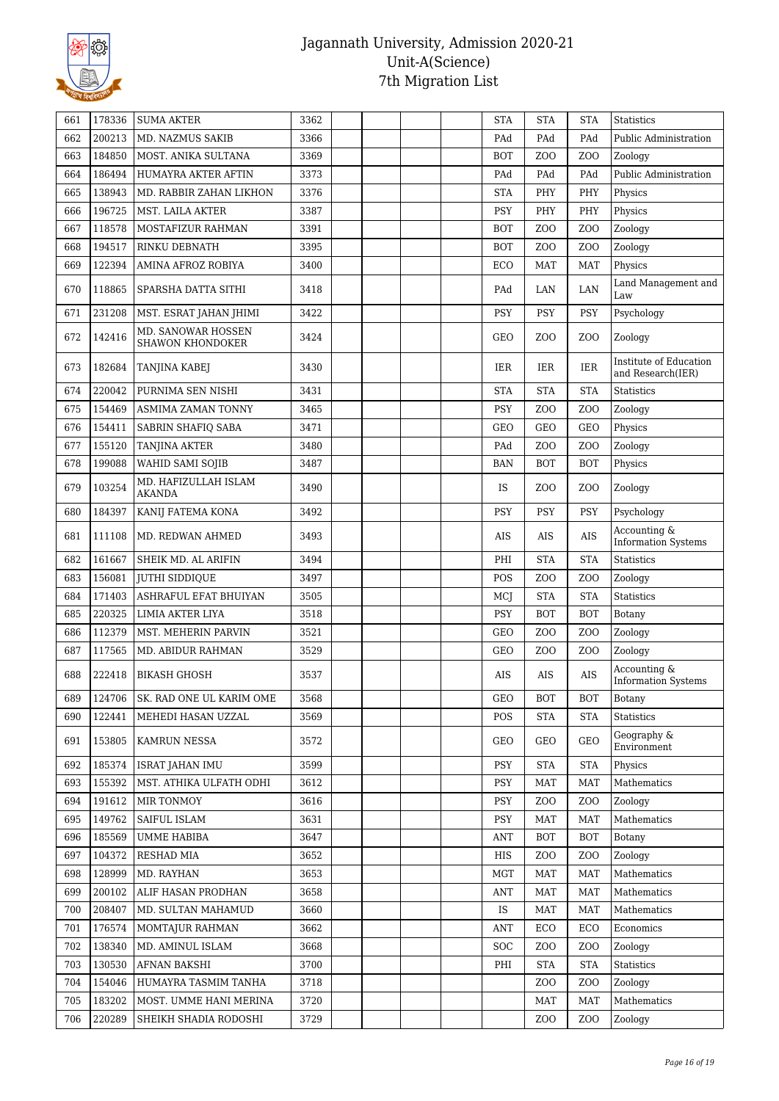

| 200213<br>MD. NAZMUS SAKIB<br>3366<br>Public Administration<br>662<br>PAd<br>PAd<br>PAd<br>184850<br>MOST. ANIKA SULTANA<br>3369<br><b>BOT</b><br>Z <sub>O</sub> O<br>Z <sub>0</sub><br>Zoology<br>663<br>664<br>186494<br>HUMAYRA AKTER AFTIN<br>3373<br>PAd<br>PAd<br>PAd<br>Public Administration<br>665<br>138943<br>MD. RABBIR ZAHAN LIKHON<br>3376<br>PHY<br>PHY<br><b>STA</b><br>Physics<br>196725<br>666<br>MST. LAILA AKTER<br>3387<br>PSY<br>PHY<br>PHY<br>Physics<br>667<br>118578<br>MOSTAFIZUR RAHMAN<br>3391<br><b>BOT</b><br>Z <sub>O</sub> O<br>Z <sub>0</sub><br>Zoology<br>194517<br>RINKU DEBNATH<br>3395<br>Zoology<br>668<br><b>BOT</b><br>Z <sub>0</sub><br>ZOO<br>122394<br>3400<br>669<br>AMINA AFROZ ROBIYA<br>ECO<br><b>MAT</b><br><b>MAT</b><br>Physics<br>Land Management and<br>118865<br>670<br>SPARSHA DATTA SITHI<br>3418<br>LAN<br>PAd<br>LAN<br>Law<br>231208<br>3422<br><b>PSY</b><br>671<br>MST. ESRAT JAHAN JHIMI<br><b>PSY</b><br><b>PSY</b><br>Psychology<br>MD. SANOWAR HOSSEN<br>672<br>142416<br>3424<br><b>GEO</b><br>Z <sub>0</sub><br>Z <sub>O</sub> O<br>Zoology<br>SHAWON KHONDOKER<br>Institute of Education<br>3430<br><b>IER</b><br>673<br>182684<br>IER<br>IER<br>TANJINA KABEJ<br>and Research(IER)<br>220042<br>PURNIMA SEN NISHI<br>3431<br><b>STA</b><br><b>STA</b><br><b>STA</b><br>674<br><b>Statistics</b><br>PSY<br>675<br>154469<br><b>ASMIMA ZAMAN TONNY</b><br>3465<br>Z <sub>O</sub> O<br>Z <sub>O</sub> O<br>Zoology<br>676<br>154411<br>SABRIN SHAFIQ SABA<br><b>GEO</b><br><b>GEO</b><br>3471<br>GEO<br>Physics<br>677<br>155120<br><b>TANJINA AKTER</b><br>3480<br>Z <sub>O</sub> O<br>Z <sub>O</sub> O<br>Zoology<br>PAd<br>199088<br>WAHID SAMI SOJIB<br>3487<br>678<br><b>BAN</b><br><b>BOT</b><br><b>BOT</b><br>Physics<br>MD. HAFIZULLAH ISLAM<br>103254<br>679<br>3490<br><b>IS</b><br>Z <sub>0</sub><br>Z <sub>O</sub> O<br>Zoology<br><b>AKANDA</b><br>184397<br>680<br>KANIJ FATEMA KONA<br>3492<br><b>PSY</b><br><b>PSY</b><br><b>PSY</b><br>Psychology<br>Accounting &<br><b>AIS</b><br>681<br>111108<br>MD. REDWAN AHMED<br>3493<br>AIS<br><b>AIS</b><br><b>Information Systems</b><br>161667<br>3494<br><b>STA</b><br><b>STA</b><br><b>Statistics</b><br>682<br>SHEIK MD. AL ARIFIN<br>PHI<br>683<br>156081<br>3497<br>POS<br>JUTHI SIDDIQUE<br>Z <sub>O</sub> O<br>Z <sub>0</sub><br>Zoology<br>171403<br>ASHRAFUL EFAT BHUIYAN<br><b>STA</b><br>684<br>3505<br>MCJ<br><b>STA</b><br><b>Statistics</b><br>220325<br>685<br>LIMIA AKTER LIYA<br>3518<br>PSY<br><b>BOT</b><br><b>BOT</b><br>Botany<br>112379<br>3521<br>Z <sub>O</sub> O<br>686<br>MST. MEHERIN PARVIN<br>GEO<br>Z <sub>0</sub><br>Zoology<br>117565<br>687<br>MD. ABIDUR RAHMAN<br>3529<br>GEO<br>Z <sub>0</sub><br>Z <sub>0</sub><br>Zoology<br>Accounting &<br><b>AIS</b><br>688<br>222418<br><b>BIKASH GHOSH</b><br>3537<br>AIS<br>AIS<br><b>Information Systems</b><br>124706<br>SK. RAD ONE UL KARIM OME<br>3568<br><b>BOT</b><br><b>BOT</b><br>689<br>GEO<br>Botany<br>122441<br>3569<br><b>STA</b><br><b>STA</b><br><b>Statistics</b><br>690<br>MEHEDI HASAN UZZAL<br>POS<br>Geography &<br>691<br>153805<br><b>KAMRUN NESSA</b><br>3572<br>GEO<br>GEO<br>GEO<br>Environment<br>185374<br>3599<br>692<br><b>ISRAT JAHAN IMU</b><br>PSY<br><b>STA</b><br><b>STA</b><br>Physics<br>155392<br>3612<br>Mathematics<br>693<br>MST. ATHIKA ULFATH ODHI<br>PSY<br><b>MAT</b><br><b>MAT</b><br>191612<br>MIR TONMOY<br>3616<br><b>PSY</b><br>Z <sub>0</sub><br>Z <sub>O</sub> O<br>Zoology<br>694<br>149762<br>3631<br>Mathematics<br>695<br>SAIFUL ISLAM<br>PSY<br><b>MAT</b><br><b>MAT</b><br>3647<br>696<br>185569<br><b>UMME HABIBA</b><br><b>ANT</b><br><b>BOT</b><br><b>BOT</b><br>Botany<br>104372<br><b>RESHAD MIA</b><br>3652<br>HIS<br>Z <sub>0</sub><br>Z <sub>O</sub> O<br>Zoology<br>697<br>128999<br>698<br>MD. RAYHAN<br>3653<br><b>MGT</b><br><b>MAT</b><br>Mathematics<br>MAT<br>200102<br>3658<br>Mathematics<br>699<br>ALIF HASAN PRODHAN<br>ANT<br>MAT<br><b>MAT</b><br>208407<br>3660<br>700<br>MD. SULTAN MAHAMUD<br>IS<br><b>MAT</b><br><b>MAT</b><br>Mathematics<br>176574<br>3662<br>ECO<br>Economics<br>701<br>MOMTAJUR RAHMAN<br>ECO<br>ANT<br>138340<br>702<br>MD. AMINUL ISLAM<br>3668<br><b>SOC</b><br>Z <sub>0</sub><br>Z <sub>0</sub><br>Zoology<br>703<br>130530<br><b>AFNAN BAKSHI</b><br>3700<br>PHI<br><b>STA</b><br><b>STA</b><br>Statistics<br>154046<br>704<br>HUMAYRA TASMIM TANHA<br>3718<br>Z <sub>0</sub><br>Z <sub>O</sub> O<br>Zoology<br>705<br>183202<br>MOST. UMME HANI MERINA<br>3720<br><b>MAT</b><br><b>MAT</b><br>Mathematics<br>3729<br>220289<br>Z <sub>0</sub><br>Z <sub>0</sub><br>Zoology<br>706<br>SHEIKH SHADIA RODOSHI | 661 | 178336 | <b>SUMA AKTER</b> | 3362 |  | <b>STA</b> | <b>STA</b> | <b>STA</b> | <b>Statistics</b> |
|-----------------------------------------------------------------------------------------------------------------------------------------------------------------------------------------------------------------------------------------------------------------------------------------------------------------------------------------------------------------------------------------------------------------------------------------------------------------------------------------------------------------------------------------------------------------------------------------------------------------------------------------------------------------------------------------------------------------------------------------------------------------------------------------------------------------------------------------------------------------------------------------------------------------------------------------------------------------------------------------------------------------------------------------------------------------------------------------------------------------------------------------------------------------------------------------------------------------------------------------------------------------------------------------------------------------------------------------------------------------------------------------------------------------------------------------------------------------------------------------------------------------------------------------------------------------------------------------------------------------------------------------------------------------------------------------------------------------------------------------------------------------------------------------------------------------------------------------------------------------------------------------------------------------------------------------------------------------------------------------------------------------------------------------------------------------------------------------------------------------------------------------------------------------------------------------------------------------------------------------------------------------------------------------------------------------------------------------------------------------------------------------------------------------------------------------------------------------------------------------------------------------------------------------------------------------------------------------------------------------------------------------------------------------------------------------------------------------------------------------------------------------------------------------------------------------------------------------------------------------------------------------------------------------------------------------------------------------------------------------------------------------------------------------------------------------------------------------------------------------------------------------------------------------------------------------------------------------------------------------------------------------------------------------------------------------------------------------------------------------------------------------------------------------------------------------------------------------------------------------------------------------------------------------------------------------------------------------------------------------------------------------------------------------------------------------------------------------------------------------------------------------------------------------------------------------------------------------------------------------------------------------------------------------------------------------------------------------------------------------------------------------------------------------------------------------------------------------------------------------------------------------------------------------------------------------------------------------------------------------------------------------------------------------------------------------------------------------------------------------------------------------------------------------------------------------------------------------------------------------------------------------------------------------------------------------------------------------------------------------------------------------------------------------------------------------------------------------------------------|-----|--------|-------------------|------|--|------------|------------|------------|-------------------|
|                                                                                                                                                                                                                                                                                                                                                                                                                                                                                                                                                                                                                                                                                                                                                                                                                                                                                                                                                                                                                                                                                                                                                                                                                                                                                                                                                                                                                                                                                                                                                                                                                                                                                                                                                                                                                                                                                                                                                                                                                                                                                                                                                                                                                                                                                                                                                                                                                                                                                                                                                                                                                                                                                                                                                                                                                                                                                                                                                                                                                                                                                                                                                                                                                                                                                                                                                                                                                                                                                                                                                                                                                                                                                                                                                                                                                                                                                                                                                                                                                                                                                                                                                                                                                                                                                                                                                                                                                                                                                                                                                                                                                                                                                                                                   |     |        |                   |      |  |            |            |            |                   |
|                                                                                                                                                                                                                                                                                                                                                                                                                                                                                                                                                                                                                                                                                                                                                                                                                                                                                                                                                                                                                                                                                                                                                                                                                                                                                                                                                                                                                                                                                                                                                                                                                                                                                                                                                                                                                                                                                                                                                                                                                                                                                                                                                                                                                                                                                                                                                                                                                                                                                                                                                                                                                                                                                                                                                                                                                                                                                                                                                                                                                                                                                                                                                                                                                                                                                                                                                                                                                                                                                                                                                                                                                                                                                                                                                                                                                                                                                                                                                                                                                                                                                                                                                                                                                                                                                                                                                                                                                                                                                                                                                                                                                                                                                                                                   |     |        |                   |      |  |            |            |            |                   |
|                                                                                                                                                                                                                                                                                                                                                                                                                                                                                                                                                                                                                                                                                                                                                                                                                                                                                                                                                                                                                                                                                                                                                                                                                                                                                                                                                                                                                                                                                                                                                                                                                                                                                                                                                                                                                                                                                                                                                                                                                                                                                                                                                                                                                                                                                                                                                                                                                                                                                                                                                                                                                                                                                                                                                                                                                                                                                                                                                                                                                                                                                                                                                                                                                                                                                                                                                                                                                                                                                                                                                                                                                                                                                                                                                                                                                                                                                                                                                                                                                                                                                                                                                                                                                                                                                                                                                                                                                                                                                                                                                                                                                                                                                                                                   |     |        |                   |      |  |            |            |            |                   |
|                                                                                                                                                                                                                                                                                                                                                                                                                                                                                                                                                                                                                                                                                                                                                                                                                                                                                                                                                                                                                                                                                                                                                                                                                                                                                                                                                                                                                                                                                                                                                                                                                                                                                                                                                                                                                                                                                                                                                                                                                                                                                                                                                                                                                                                                                                                                                                                                                                                                                                                                                                                                                                                                                                                                                                                                                                                                                                                                                                                                                                                                                                                                                                                                                                                                                                                                                                                                                                                                                                                                                                                                                                                                                                                                                                                                                                                                                                                                                                                                                                                                                                                                                                                                                                                                                                                                                                                                                                                                                                                                                                                                                                                                                                                                   |     |        |                   |      |  |            |            |            |                   |
|                                                                                                                                                                                                                                                                                                                                                                                                                                                                                                                                                                                                                                                                                                                                                                                                                                                                                                                                                                                                                                                                                                                                                                                                                                                                                                                                                                                                                                                                                                                                                                                                                                                                                                                                                                                                                                                                                                                                                                                                                                                                                                                                                                                                                                                                                                                                                                                                                                                                                                                                                                                                                                                                                                                                                                                                                                                                                                                                                                                                                                                                                                                                                                                                                                                                                                                                                                                                                                                                                                                                                                                                                                                                                                                                                                                                                                                                                                                                                                                                                                                                                                                                                                                                                                                                                                                                                                                                                                                                                                                                                                                                                                                                                                                                   |     |        |                   |      |  |            |            |            |                   |
|                                                                                                                                                                                                                                                                                                                                                                                                                                                                                                                                                                                                                                                                                                                                                                                                                                                                                                                                                                                                                                                                                                                                                                                                                                                                                                                                                                                                                                                                                                                                                                                                                                                                                                                                                                                                                                                                                                                                                                                                                                                                                                                                                                                                                                                                                                                                                                                                                                                                                                                                                                                                                                                                                                                                                                                                                                                                                                                                                                                                                                                                                                                                                                                                                                                                                                                                                                                                                                                                                                                                                                                                                                                                                                                                                                                                                                                                                                                                                                                                                                                                                                                                                                                                                                                                                                                                                                                                                                                                                                                                                                                                                                                                                                                                   |     |        |                   |      |  |            |            |            |                   |
|                                                                                                                                                                                                                                                                                                                                                                                                                                                                                                                                                                                                                                                                                                                                                                                                                                                                                                                                                                                                                                                                                                                                                                                                                                                                                                                                                                                                                                                                                                                                                                                                                                                                                                                                                                                                                                                                                                                                                                                                                                                                                                                                                                                                                                                                                                                                                                                                                                                                                                                                                                                                                                                                                                                                                                                                                                                                                                                                                                                                                                                                                                                                                                                                                                                                                                                                                                                                                                                                                                                                                                                                                                                                                                                                                                                                                                                                                                                                                                                                                                                                                                                                                                                                                                                                                                                                                                                                                                                                                                                                                                                                                                                                                                                                   |     |        |                   |      |  |            |            |            |                   |
|                                                                                                                                                                                                                                                                                                                                                                                                                                                                                                                                                                                                                                                                                                                                                                                                                                                                                                                                                                                                                                                                                                                                                                                                                                                                                                                                                                                                                                                                                                                                                                                                                                                                                                                                                                                                                                                                                                                                                                                                                                                                                                                                                                                                                                                                                                                                                                                                                                                                                                                                                                                                                                                                                                                                                                                                                                                                                                                                                                                                                                                                                                                                                                                                                                                                                                                                                                                                                                                                                                                                                                                                                                                                                                                                                                                                                                                                                                                                                                                                                                                                                                                                                                                                                                                                                                                                                                                                                                                                                                                                                                                                                                                                                                                                   |     |        |                   |      |  |            |            |            |                   |
|                                                                                                                                                                                                                                                                                                                                                                                                                                                                                                                                                                                                                                                                                                                                                                                                                                                                                                                                                                                                                                                                                                                                                                                                                                                                                                                                                                                                                                                                                                                                                                                                                                                                                                                                                                                                                                                                                                                                                                                                                                                                                                                                                                                                                                                                                                                                                                                                                                                                                                                                                                                                                                                                                                                                                                                                                                                                                                                                                                                                                                                                                                                                                                                                                                                                                                                                                                                                                                                                                                                                                                                                                                                                                                                                                                                                                                                                                                                                                                                                                                                                                                                                                                                                                                                                                                                                                                                                                                                                                                                                                                                                                                                                                                                                   |     |        |                   |      |  |            |            |            |                   |
|                                                                                                                                                                                                                                                                                                                                                                                                                                                                                                                                                                                                                                                                                                                                                                                                                                                                                                                                                                                                                                                                                                                                                                                                                                                                                                                                                                                                                                                                                                                                                                                                                                                                                                                                                                                                                                                                                                                                                                                                                                                                                                                                                                                                                                                                                                                                                                                                                                                                                                                                                                                                                                                                                                                                                                                                                                                                                                                                                                                                                                                                                                                                                                                                                                                                                                                                                                                                                                                                                                                                                                                                                                                                                                                                                                                                                                                                                                                                                                                                                                                                                                                                                                                                                                                                                                                                                                                                                                                                                                                                                                                                                                                                                                                                   |     |        |                   |      |  |            |            |            |                   |
|                                                                                                                                                                                                                                                                                                                                                                                                                                                                                                                                                                                                                                                                                                                                                                                                                                                                                                                                                                                                                                                                                                                                                                                                                                                                                                                                                                                                                                                                                                                                                                                                                                                                                                                                                                                                                                                                                                                                                                                                                                                                                                                                                                                                                                                                                                                                                                                                                                                                                                                                                                                                                                                                                                                                                                                                                                                                                                                                                                                                                                                                                                                                                                                                                                                                                                                                                                                                                                                                                                                                                                                                                                                                                                                                                                                                                                                                                                                                                                                                                                                                                                                                                                                                                                                                                                                                                                                                                                                                                                                                                                                                                                                                                                                                   |     |        |                   |      |  |            |            |            |                   |
|                                                                                                                                                                                                                                                                                                                                                                                                                                                                                                                                                                                                                                                                                                                                                                                                                                                                                                                                                                                                                                                                                                                                                                                                                                                                                                                                                                                                                                                                                                                                                                                                                                                                                                                                                                                                                                                                                                                                                                                                                                                                                                                                                                                                                                                                                                                                                                                                                                                                                                                                                                                                                                                                                                                                                                                                                                                                                                                                                                                                                                                                                                                                                                                                                                                                                                                                                                                                                                                                                                                                                                                                                                                                                                                                                                                                                                                                                                                                                                                                                                                                                                                                                                                                                                                                                                                                                                                                                                                                                                                                                                                                                                                                                                                                   |     |        |                   |      |  |            |            |            |                   |
|                                                                                                                                                                                                                                                                                                                                                                                                                                                                                                                                                                                                                                                                                                                                                                                                                                                                                                                                                                                                                                                                                                                                                                                                                                                                                                                                                                                                                                                                                                                                                                                                                                                                                                                                                                                                                                                                                                                                                                                                                                                                                                                                                                                                                                                                                                                                                                                                                                                                                                                                                                                                                                                                                                                                                                                                                                                                                                                                                                                                                                                                                                                                                                                                                                                                                                                                                                                                                                                                                                                                                                                                                                                                                                                                                                                                                                                                                                                                                                                                                                                                                                                                                                                                                                                                                                                                                                                                                                                                                                                                                                                                                                                                                                                                   |     |        |                   |      |  |            |            |            |                   |
|                                                                                                                                                                                                                                                                                                                                                                                                                                                                                                                                                                                                                                                                                                                                                                                                                                                                                                                                                                                                                                                                                                                                                                                                                                                                                                                                                                                                                                                                                                                                                                                                                                                                                                                                                                                                                                                                                                                                                                                                                                                                                                                                                                                                                                                                                                                                                                                                                                                                                                                                                                                                                                                                                                                                                                                                                                                                                                                                                                                                                                                                                                                                                                                                                                                                                                                                                                                                                                                                                                                                                                                                                                                                                                                                                                                                                                                                                                                                                                                                                                                                                                                                                                                                                                                                                                                                                                                                                                                                                                                                                                                                                                                                                                                                   |     |        |                   |      |  |            |            |            |                   |
|                                                                                                                                                                                                                                                                                                                                                                                                                                                                                                                                                                                                                                                                                                                                                                                                                                                                                                                                                                                                                                                                                                                                                                                                                                                                                                                                                                                                                                                                                                                                                                                                                                                                                                                                                                                                                                                                                                                                                                                                                                                                                                                                                                                                                                                                                                                                                                                                                                                                                                                                                                                                                                                                                                                                                                                                                                                                                                                                                                                                                                                                                                                                                                                                                                                                                                                                                                                                                                                                                                                                                                                                                                                                                                                                                                                                                                                                                                                                                                                                                                                                                                                                                                                                                                                                                                                                                                                                                                                                                                                                                                                                                                                                                                                                   |     |        |                   |      |  |            |            |            |                   |
|                                                                                                                                                                                                                                                                                                                                                                                                                                                                                                                                                                                                                                                                                                                                                                                                                                                                                                                                                                                                                                                                                                                                                                                                                                                                                                                                                                                                                                                                                                                                                                                                                                                                                                                                                                                                                                                                                                                                                                                                                                                                                                                                                                                                                                                                                                                                                                                                                                                                                                                                                                                                                                                                                                                                                                                                                                                                                                                                                                                                                                                                                                                                                                                                                                                                                                                                                                                                                                                                                                                                                                                                                                                                                                                                                                                                                                                                                                                                                                                                                                                                                                                                                                                                                                                                                                                                                                                                                                                                                                                                                                                                                                                                                                                                   |     |        |                   |      |  |            |            |            |                   |
|                                                                                                                                                                                                                                                                                                                                                                                                                                                                                                                                                                                                                                                                                                                                                                                                                                                                                                                                                                                                                                                                                                                                                                                                                                                                                                                                                                                                                                                                                                                                                                                                                                                                                                                                                                                                                                                                                                                                                                                                                                                                                                                                                                                                                                                                                                                                                                                                                                                                                                                                                                                                                                                                                                                                                                                                                                                                                                                                                                                                                                                                                                                                                                                                                                                                                                                                                                                                                                                                                                                                                                                                                                                                                                                                                                                                                                                                                                                                                                                                                                                                                                                                                                                                                                                                                                                                                                                                                                                                                                                                                                                                                                                                                                                                   |     |        |                   |      |  |            |            |            |                   |
|                                                                                                                                                                                                                                                                                                                                                                                                                                                                                                                                                                                                                                                                                                                                                                                                                                                                                                                                                                                                                                                                                                                                                                                                                                                                                                                                                                                                                                                                                                                                                                                                                                                                                                                                                                                                                                                                                                                                                                                                                                                                                                                                                                                                                                                                                                                                                                                                                                                                                                                                                                                                                                                                                                                                                                                                                                                                                                                                                                                                                                                                                                                                                                                                                                                                                                                                                                                                                                                                                                                                                                                                                                                                                                                                                                                                                                                                                                                                                                                                                                                                                                                                                                                                                                                                                                                                                                                                                                                                                                                                                                                                                                                                                                                                   |     |        |                   |      |  |            |            |            |                   |
|                                                                                                                                                                                                                                                                                                                                                                                                                                                                                                                                                                                                                                                                                                                                                                                                                                                                                                                                                                                                                                                                                                                                                                                                                                                                                                                                                                                                                                                                                                                                                                                                                                                                                                                                                                                                                                                                                                                                                                                                                                                                                                                                                                                                                                                                                                                                                                                                                                                                                                                                                                                                                                                                                                                                                                                                                                                                                                                                                                                                                                                                                                                                                                                                                                                                                                                                                                                                                                                                                                                                                                                                                                                                                                                                                                                                                                                                                                                                                                                                                                                                                                                                                                                                                                                                                                                                                                                                                                                                                                                                                                                                                                                                                                                                   |     |        |                   |      |  |            |            |            |                   |
|                                                                                                                                                                                                                                                                                                                                                                                                                                                                                                                                                                                                                                                                                                                                                                                                                                                                                                                                                                                                                                                                                                                                                                                                                                                                                                                                                                                                                                                                                                                                                                                                                                                                                                                                                                                                                                                                                                                                                                                                                                                                                                                                                                                                                                                                                                                                                                                                                                                                                                                                                                                                                                                                                                                                                                                                                                                                                                                                                                                                                                                                                                                                                                                                                                                                                                                                                                                                                                                                                                                                                                                                                                                                                                                                                                                                                                                                                                                                                                                                                                                                                                                                                                                                                                                                                                                                                                                                                                                                                                                                                                                                                                                                                                                                   |     |        |                   |      |  |            |            |            |                   |
|                                                                                                                                                                                                                                                                                                                                                                                                                                                                                                                                                                                                                                                                                                                                                                                                                                                                                                                                                                                                                                                                                                                                                                                                                                                                                                                                                                                                                                                                                                                                                                                                                                                                                                                                                                                                                                                                                                                                                                                                                                                                                                                                                                                                                                                                                                                                                                                                                                                                                                                                                                                                                                                                                                                                                                                                                                                                                                                                                                                                                                                                                                                                                                                                                                                                                                                                                                                                                                                                                                                                                                                                                                                                                                                                                                                                                                                                                                                                                                                                                                                                                                                                                                                                                                                                                                                                                                                                                                                                                                                                                                                                                                                                                                                                   |     |        |                   |      |  |            |            |            |                   |
|                                                                                                                                                                                                                                                                                                                                                                                                                                                                                                                                                                                                                                                                                                                                                                                                                                                                                                                                                                                                                                                                                                                                                                                                                                                                                                                                                                                                                                                                                                                                                                                                                                                                                                                                                                                                                                                                                                                                                                                                                                                                                                                                                                                                                                                                                                                                                                                                                                                                                                                                                                                                                                                                                                                                                                                                                                                                                                                                                                                                                                                                                                                                                                                                                                                                                                                                                                                                                                                                                                                                                                                                                                                                                                                                                                                                                                                                                                                                                                                                                                                                                                                                                                                                                                                                                                                                                                                                                                                                                                                                                                                                                                                                                                                                   |     |        |                   |      |  |            |            |            |                   |
|                                                                                                                                                                                                                                                                                                                                                                                                                                                                                                                                                                                                                                                                                                                                                                                                                                                                                                                                                                                                                                                                                                                                                                                                                                                                                                                                                                                                                                                                                                                                                                                                                                                                                                                                                                                                                                                                                                                                                                                                                                                                                                                                                                                                                                                                                                                                                                                                                                                                                                                                                                                                                                                                                                                                                                                                                                                                                                                                                                                                                                                                                                                                                                                                                                                                                                                                                                                                                                                                                                                                                                                                                                                                                                                                                                                                                                                                                                                                                                                                                                                                                                                                                                                                                                                                                                                                                                                                                                                                                                                                                                                                                                                                                                                                   |     |        |                   |      |  |            |            |            |                   |
|                                                                                                                                                                                                                                                                                                                                                                                                                                                                                                                                                                                                                                                                                                                                                                                                                                                                                                                                                                                                                                                                                                                                                                                                                                                                                                                                                                                                                                                                                                                                                                                                                                                                                                                                                                                                                                                                                                                                                                                                                                                                                                                                                                                                                                                                                                                                                                                                                                                                                                                                                                                                                                                                                                                                                                                                                                                                                                                                                                                                                                                                                                                                                                                                                                                                                                                                                                                                                                                                                                                                                                                                                                                                                                                                                                                                                                                                                                                                                                                                                                                                                                                                                                                                                                                                                                                                                                                                                                                                                                                                                                                                                                                                                                                                   |     |        |                   |      |  |            |            |            |                   |
|                                                                                                                                                                                                                                                                                                                                                                                                                                                                                                                                                                                                                                                                                                                                                                                                                                                                                                                                                                                                                                                                                                                                                                                                                                                                                                                                                                                                                                                                                                                                                                                                                                                                                                                                                                                                                                                                                                                                                                                                                                                                                                                                                                                                                                                                                                                                                                                                                                                                                                                                                                                                                                                                                                                                                                                                                                                                                                                                                                                                                                                                                                                                                                                                                                                                                                                                                                                                                                                                                                                                                                                                                                                                                                                                                                                                                                                                                                                                                                                                                                                                                                                                                                                                                                                                                                                                                                                                                                                                                                                                                                                                                                                                                                                                   |     |        |                   |      |  |            |            |            |                   |
|                                                                                                                                                                                                                                                                                                                                                                                                                                                                                                                                                                                                                                                                                                                                                                                                                                                                                                                                                                                                                                                                                                                                                                                                                                                                                                                                                                                                                                                                                                                                                                                                                                                                                                                                                                                                                                                                                                                                                                                                                                                                                                                                                                                                                                                                                                                                                                                                                                                                                                                                                                                                                                                                                                                                                                                                                                                                                                                                                                                                                                                                                                                                                                                                                                                                                                                                                                                                                                                                                                                                                                                                                                                                                                                                                                                                                                                                                                                                                                                                                                                                                                                                                                                                                                                                                                                                                                                                                                                                                                                                                                                                                                                                                                                                   |     |        |                   |      |  |            |            |            |                   |
|                                                                                                                                                                                                                                                                                                                                                                                                                                                                                                                                                                                                                                                                                                                                                                                                                                                                                                                                                                                                                                                                                                                                                                                                                                                                                                                                                                                                                                                                                                                                                                                                                                                                                                                                                                                                                                                                                                                                                                                                                                                                                                                                                                                                                                                                                                                                                                                                                                                                                                                                                                                                                                                                                                                                                                                                                                                                                                                                                                                                                                                                                                                                                                                                                                                                                                                                                                                                                                                                                                                                                                                                                                                                                                                                                                                                                                                                                                                                                                                                                                                                                                                                                                                                                                                                                                                                                                                                                                                                                                                                                                                                                                                                                                                                   |     |        |                   |      |  |            |            |            |                   |
|                                                                                                                                                                                                                                                                                                                                                                                                                                                                                                                                                                                                                                                                                                                                                                                                                                                                                                                                                                                                                                                                                                                                                                                                                                                                                                                                                                                                                                                                                                                                                                                                                                                                                                                                                                                                                                                                                                                                                                                                                                                                                                                                                                                                                                                                                                                                                                                                                                                                                                                                                                                                                                                                                                                                                                                                                                                                                                                                                                                                                                                                                                                                                                                                                                                                                                                                                                                                                                                                                                                                                                                                                                                                                                                                                                                                                                                                                                                                                                                                                                                                                                                                                                                                                                                                                                                                                                                                                                                                                                                                                                                                                                                                                                                                   |     |        |                   |      |  |            |            |            |                   |
|                                                                                                                                                                                                                                                                                                                                                                                                                                                                                                                                                                                                                                                                                                                                                                                                                                                                                                                                                                                                                                                                                                                                                                                                                                                                                                                                                                                                                                                                                                                                                                                                                                                                                                                                                                                                                                                                                                                                                                                                                                                                                                                                                                                                                                                                                                                                                                                                                                                                                                                                                                                                                                                                                                                                                                                                                                                                                                                                                                                                                                                                                                                                                                                                                                                                                                                                                                                                                                                                                                                                                                                                                                                                                                                                                                                                                                                                                                                                                                                                                                                                                                                                                                                                                                                                                                                                                                                                                                                                                                                                                                                                                                                                                                                                   |     |        |                   |      |  |            |            |            |                   |
|                                                                                                                                                                                                                                                                                                                                                                                                                                                                                                                                                                                                                                                                                                                                                                                                                                                                                                                                                                                                                                                                                                                                                                                                                                                                                                                                                                                                                                                                                                                                                                                                                                                                                                                                                                                                                                                                                                                                                                                                                                                                                                                                                                                                                                                                                                                                                                                                                                                                                                                                                                                                                                                                                                                                                                                                                                                                                                                                                                                                                                                                                                                                                                                                                                                                                                                                                                                                                                                                                                                                                                                                                                                                                                                                                                                                                                                                                                                                                                                                                                                                                                                                                                                                                                                                                                                                                                                                                                                                                                                                                                                                                                                                                                                                   |     |        |                   |      |  |            |            |            |                   |
|                                                                                                                                                                                                                                                                                                                                                                                                                                                                                                                                                                                                                                                                                                                                                                                                                                                                                                                                                                                                                                                                                                                                                                                                                                                                                                                                                                                                                                                                                                                                                                                                                                                                                                                                                                                                                                                                                                                                                                                                                                                                                                                                                                                                                                                                                                                                                                                                                                                                                                                                                                                                                                                                                                                                                                                                                                                                                                                                                                                                                                                                                                                                                                                                                                                                                                                                                                                                                                                                                                                                                                                                                                                                                                                                                                                                                                                                                                                                                                                                                                                                                                                                                                                                                                                                                                                                                                                                                                                                                                                                                                                                                                                                                                                                   |     |        |                   |      |  |            |            |            |                   |
|                                                                                                                                                                                                                                                                                                                                                                                                                                                                                                                                                                                                                                                                                                                                                                                                                                                                                                                                                                                                                                                                                                                                                                                                                                                                                                                                                                                                                                                                                                                                                                                                                                                                                                                                                                                                                                                                                                                                                                                                                                                                                                                                                                                                                                                                                                                                                                                                                                                                                                                                                                                                                                                                                                                                                                                                                                                                                                                                                                                                                                                                                                                                                                                                                                                                                                                                                                                                                                                                                                                                                                                                                                                                                                                                                                                                                                                                                                                                                                                                                                                                                                                                                                                                                                                                                                                                                                                                                                                                                                                                                                                                                                                                                                                                   |     |        |                   |      |  |            |            |            |                   |
|                                                                                                                                                                                                                                                                                                                                                                                                                                                                                                                                                                                                                                                                                                                                                                                                                                                                                                                                                                                                                                                                                                                                                                                                                                                                                                                                                                                                                                                                                                                                                                                                                                                                                                                                                                                                                                                                                                                                                                                                                                                                                                                                                                                                                                                                                                                                                                                                                                                                                                                                                                                                                                                                                                                                                                                                                                                                                                                                                                                                                                                                                                                                                                                                                                                                                                                                                                                                                                                                                                                                                                                                                                                                                                                                                                                                                                                                                                                                                                                                                                                                                                                                                                                                                                                                                                                                                                                                                                                                                                                                                                                                                                                                                                                                   |     |        |                   |      |  |            |            |            |                   |
|                                                                                                                                                                                                                                                                                                                                                                                                                                                                                                                                                                                                                                                                                                                                                                                                                                                                                                                                                                                                                                                                                                                                                                                                                                                                                                                                                                                                                                                                                                                                                                                                                                                                                                                                                                                                                                                                                                                                                                                                                                                                                                                                                                                                                                                                                                                                                                                                                                                                                                                                                                                                                                                                                                                                                                                                                                                                                                                                                                                                                                                                                                                                                                                                                                                                                                                                                                                                                                                                                                                                                                                                                                                                                                                                                                                                                                                                                                                                                                                                                                                                                                                                                                                                                                                                                                                                                                                                                                                                                                                                                                                                                                                                                                                                   |     |        |                   |      |  |            |            |            |                   |
|                                                                                                                                                                                                                                                                                                                                                                                                                                                                                                                                                                                                                                                                                                                                                                                                                                                                                                                                                                                                                                                                                                                                                                                                                                                                                                                                                                                                                                                                                                                                                                                                                                                                                                                                                                                                                                                                                                                                                                                                                                                                                                                                                                                                                                                                                                                                                                                                                                                                                                                                                                                                                                                                                                                                                                                                                                                                                                                                                                                                                                                                                                                                                                                                                                                                                                                                                                                                                                                                                                                                                                                                                                                                                                                                                                                                                                                                                                                                                                                                                                                                                                                                                                                                                                                                                                                                                                                                                                                                                                                                                                                                                                                                                                                                   |     |        |                   |      |  |            |            |            |                   |
|                                                                                                                                                                                                                                                                                                                                                                                                                                                                                                                                                                                                                                                                                                                                                                                                                                                                                                                                                                                                                                                                                                                                                                                                                                                                                                                                                                                                                                                                                                                                                                                                                                                                                                                                                                                                                                                                                                                                                                                                                                                                                                                                                                                                                                                                                                                                                                                                                                                                                                                                                                                                                                                                                                                                                                                                                                                                                                                                                                                                                                                                                                                                                                                                                                                                                                                                                                                                                                                                                                                                                                                                                                                                                                                                                                                                                                                                                                                                                                                                                                                                                                                                                                                                                                                                                                                                                                                                                                                                                                                                                                                                                                                                                                                                   |     |        |                   |      |  |            |            |            |                   |
|                                                                                                                                                                                                                                                                                                                                                                                                                                                                                                                                                                                                                                                                                                                                                                                                                                                                                                                                                                                                                                                                                                                                                                                                                                                                                                                                                                                                                                                                                                                                                                                                                                                                                                                                                                                                                                                                                                                                                                                                                                                                                                                                                                                                                                                                                                                                                                                                                                                                                                                                                                                                                                                                                                                                                                                                                                                                                                                                                                                                                                                                                                                                                                                                                                                                                                                                                                                                                                                                                                                                                                                                                                                                                                                                                                                                                                                                                                                                                                                                                                                                                                                                                                                                                                                                                                                                                                                                                                                                                                                                                                                                                                                                                                                                   |     |        |                   |      |  |            |            |            |                   |
|                                                                                                                                                                                                                                                                                                                                                                                                                                                                                                                                                                                                                                                                                                                                                                                                                                                                                                                                                                                                                                                                                                                                                                                                                                                                                                                                                                                                                                                                                                                                                                                                                                                                                                                                                                                                                                                                                                                                                                                                                                                                                                                                                                                                                                                                                                                                                                                                                                                                                                                                                                                                                                                                                                                                                                                                                                                                                                                                                                                                                                                                                                                                                                                                                                                                                                                                                                                                                                                                                                                                                                                                                                                                                                                                                                                                                                                                                                                                                                                                                                                                                                                                                                                                                                                                                                                                                                                                                                                                                                                                                                                                                                                                                                                                   |     |        |                   |      |  |            |            |            |                   |
|                                                                                                                                                                                                                                                                                                                                                                                                                                                                                                                                                                                                                                                                                                                                                                                                                                                                                                                                                                                                                                                                                                                                                                                                                                                                                                                                                                                                                                                                                                                                                                                                                                                                                                                                                                                                                                                                                                                                                                                                                                                                                                                                                                                                                                                                                                                                                                                                                                                                                                                                                                                                                                                                                                                                                                                                                                                                                                                                                                                                                                                                                                                                                                                                                                                                                                                                                                                                                                                                                                                                                                                                                                                                                                                                                                                                                                                                                                                                                                                                                                                                                                                                                                                                                                                                                                                                                                                                                                                                                                                                                                                                                                                                                                                                   |     |        |                   |      |  |            |            |            |                   |
|                                                                                                                                                                                                                                                                                                                                                                                                                                                                                                                                                                                                                                                                                                                                                                                                                                                                                                                                                                                                                                                                                                                                                                                                                                                                                                                                                                                                                                                                                                                                                                                                                                                                                                                                                                                                                                                                                                                                                                                                                                                                                                                                                                                                                                                                                                                                                                                                                                                                                                                                                                                                                                                                                                                                                                                                                                                                                                                                                                                                                                                                                                                                                                                                                                                                                                                                                                                                                                                                                                                                                                                                                                                                                                                                                                                                                                                                                                                                                                                                                                                                                                                                                                                                                                                                                                                                                                                                                                                                                                                                                                                                                                                                                                                                   |     |        |                   |      |  |            |            |            |                   |
|                                                                                                                                                                                                                                                                                                                                                                                                                                                                                                                                                                                                                                                                                                                                                                                                                                                                                                                                                                                                                                                                                                                                                                                                                                                                                                                                                                                                                                                                                                                                                                                                                                                                                                                                                                                                                                                                                                                                                                                                                                                                                                                                                                                                                                                                                                                                                                                                                                                                                                                                                                                                                                                                                                                                                                                                                                                                                                                                                                                                                                                                                                                                                                                                                                                                                                                                                                                                                                                                                                                                                                                                                                                                                                                                                                                                                                                                                                                                                                                                                                                                                                                                                                                                                                                                                                                                                                                                                                                                                                                                                                                                                                                                                                                                   |     |        |                   |      |  |            |            |            |                   |
|                                                                                                                                                                                                                                                                                                                                                                                                                                                                                                                                                                                                                                                                                                                                                                                                                                                                                                                                                                                                                                                                                                                                                                                                                                                                                                                                                                                                                                                                                                                                                                                                                                                                                                                                                                                                                                                                                                                                                                                                                                                                                                                                                                                                                                                                                                                                                                                                                                                                                                                                                                                                                                                                                                                                                                                                                                                                                                                                                                                                                                                                                                                                                                                                                                                                                                                                                                                                                                                                                                                                                                                                                                                                                                                                                                                                                                                                                                                                                                                                                                                                                                                                                                                                                                                                                                                                                                                                                                                                                                                                                                                                                                                                                                                                   |     |        |                   |      |  |            |            |            |                   |
|                                                                                                                                                                                                                                                                                                                                                                                                                                                                                                                                                                                                                                                                                                                                                                                                                                                                                                                                                                                                                                                                                                                                                                                                                                                                                                                                                                                                                                                                                                                                                                                                                                                                                                                                                                                                                                                                                                                                                                                                                                                                                                                                                                                                                                                                                                                                                                                                                                                                                                                                                                                                                                                                                                                                                                                                                                                                                                                                                                                                                                                                                                                                                                                                                                                                                                                                                                                                                                                                                                                                                                                                                                                                                                                                                                                                                                                                                                                                                                                                                                                                                                                                                                                                                                                                                                                                                                                                                                                                                                                                                                                                                                                                                                                                   |     |        |                   |      |  |            |            |            |                   |
|                                                                                                                                                                                                                                                                                                                                                                                                                                                                                                                                                                                                                                                                                                                                                                                                                                                                                                                                                                                                                                                                                                                                                                                                                                                                                                                                                                                                                                                                                                                                                                                                                                                                                                                                                                                                                                                                                                                                                                                                                                                                                                                                                                                                                                                                                                                                                                                                                                                                                                                                                                                                                                                                                                                                                                                                                                                                                                                                                                                                                                                                                                                                                                                                                                                                                                                                                                                                                                                                                                                                                                                                                                                                                                                                                                                                                                                                                                                                                                                                                                                                                                                                                                                                                                                                                                                                                                                                                                                                                                                                                                                                                                                                                                                                   |     |        |                   |      |  |            |            |            |                   |
|                                                                                                                                                                                                                                                                                                                                                                                                                                                                                                                                                                                                                                                                                                                                                                                                                                                                                                                                                                                                                                                                                                                                                                                                                                                                                                                                                                                                                                                                                                                                                                                                                                                                                                                                                                                                                                                                                                                                                                                                                                                                                                                                                                                                                                                                                                                                                                                                                                                                                                                                                                                                                                                                                                                                                                                                                                                                                                                                                                                                                                                                                                                                                                                                                                                                                                                                                                                                                                                                                                                                                                                                                                                                                                                                                                                                                                                                                                                                                                                                                                                                                                                                                                                                                                                                                                                                                                                                                                                                                                                                                                                                                                                                                                                                   |     |        |                   |      |  |            |            |            |                   |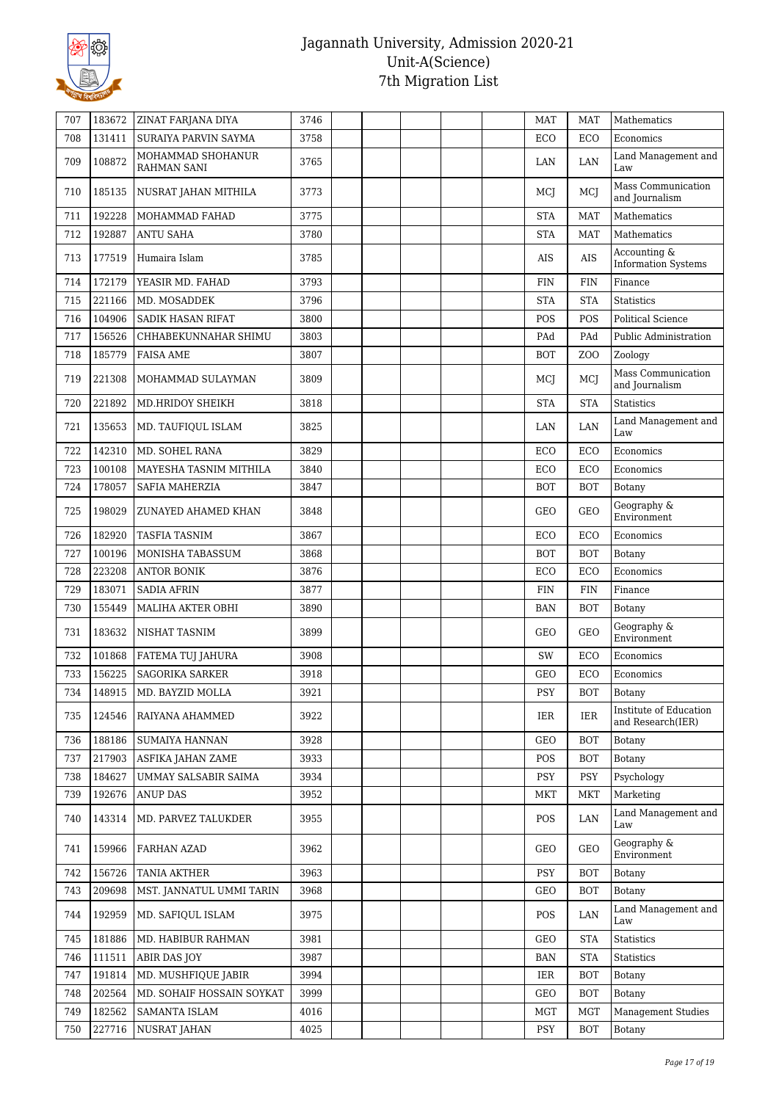

| 707 | 183672 | <b>ZINAT FARJANA DIYA</b>        | 3746 |  | <b>MAT</b> | <b>MAT</b>       | Mathematics                                 |
|-----|--------|----------------------------------|------|--|------------|------------------|---------------------------------------------|
| 708 | 131411 | SURAIYA PARVIN SAYMA             | 3758 |  | ECO        | ECO              | Economics                                   |
| 709 | 108872 | MOHAMMAD SHOHANUR<br>RAHMAN SANI | 3765 |  | LAN        | LAN              | Land Management and<br>Law                  |
| 710 | 185135 | NUSRAT JAHAN MITHILA             | 3773 |  | MCJ        | MCI              | Mass Communication<br>and Journalism        |
| 711 | 192228 | MOHAMMAD FAHAD                   | 3775 |  | <b>STA</b> | <b>MAT</b>       | Mathematics                                 |
| 712 | 192887 | <b>ANTU SAHA</b>                 | 3780 |  | <b>STA</b> | <b>MAT</b>       | Mathematics                                 |
| 713 | 177519 | Humaira Islam                    | 3785 |  | <b>AIS</b> | AIS              | Accounting &<br><b>Information Systems</b>  |
| 714 | 172179 | YEASIR MD. FAHAD                 | 3793 |  | <b>FIN</b> | <b>FIN</b>       | Finance                                     |
| 715 | 221166 | MD. MOSADDEK                     | 3796 |  | <b>STA</b> | <b>STA</b>       | <b>Statistics</b>                           |
| 716 | 104906 | SADIK HASAN RIFAT                | 3800 |  | POS        | POS              | <b>Political Science</b>                    |
| 717 | 156526 | CHHABEKUNNAHAR SHIMU             | 3803 |  | PAd        | PAd              | Public Administration                       |
| 718 | 185779 | <b>FAISA AME</b>                 | 3807 |  | <b>BOT</b> | Z <sub>O</sub> O | Zoology                                     |
| 719 | 221308 | MOHAMMAD SULAYMAN                | 3809 |  | MCJ        | <b>MC</b>        | Mass Communication<br>and Journalism        |
| 720 | 221892 | MD.HRIDOY SHEIKH                 | 3818 |  | <b>STA</b> | <b>STA</b>       | <b>Statistics</b>                           |
| 721 | 135653 | MD. TAUFIQUL ISLAM               | 3825 |  | LAN        | LAN              | Land Management and<br>Law                  |
| 722 | 142310 | MD. SOHEL RANA                   | 3829 |  | ECO        | ECO              | Economics                                   |
| 723 | 100108 | MAYESHA TASNIM MITHILA           | 3840 |  | ECO        | ECO              | Economics                                   |
| 724 | 178057 | SAFIA MAHERZIA                   | 3847 |  | <b>BOT</b> | <b>BOT</b>       | Botany                                      |
| 725 | 198029 | ZUNAYED AHAMED KHAN              | 3848 |  | GEO        | <b>GEO</b>       | Geography &<br>Environment                  |
| 726 | 182920 | <b>TASFIA TASNIM</b>             | 3867 |  | ECO        | ECO              | Economics                                   |
| 727 | 100196 | MONISHA TABASSUM                 | 3868 |  | <b>BOT</b> | <b>BOT</b>       | Botany                                      |
| 728 | 223208 | <b>ANTOR BONIK</b>               | 3876 |  | ECO        | ECO              | Economics                                   |
| 729 | 183071 | <b>SADIA AFRIN</b>               | 3877 |  | <b>FIN</b> | <b>FIN</b>       | Finance                                     |
| 730 | 155449 | MALIHA AKTER OBHI                | 3890 |  | <b>BAN</b> | <b>BOT</b>       | Botany                                      |
| 731 | 183632 | NISHAT TASNIM                    | 3899 |  | GEO        | <b>GEO</b>       | Geography &<br>Environment                  |
| 732 | 101868 | FATEMA TUJ JAHURA                | 3908 |  | SW         | ECO              | Economics                                   |
| 733 | 156225 | <b>SAGORIKA SARKER</b>           | 3918 |  | GEO        | ECO              | Economics                                   |
| 734 | 148915 | MD. BAYZID MOLLA                 | 3921 |  | PSY        | <b>BOT</b>       | Botany                                      |
| 735 | 124546 | RAIYANA AHAMMED                  | 3922 |  | IER        | IER              | Institute of Education<br>and Research(IER) |
| 736 | 188186 | <b>SUMAIYA HANNAN</b>            | 3928 |  | <b>GEO</b> | <b>BOT</b>       | Botany                                      |
| 737 | 217903 | ASFIKA JAHAN ZAME                | 3933 |  | POS        | <b>BOT</b>       | Botany                                      |
| 738 | 184627 | UMMAY SALSABIR SAIMA             | 3934 |  | <b>PSY</b> | <b>PSY</b>       | Psychology                                  |
| 739 | 192676 | <b>ANUP DAS</b>                  | 3952 |  | <b>MKT</b> | <b>MKT</b>       | Marketing                                   |
| 740 | 143314 | MD. PARVEZ TALUKDER              | 3955 |  | POS        | LAN              | Land Management and<br>Law                  |
| 741 | 159966 | FARHAN AZAD                      | 3962 |  | GEO        | <b>GEO</b>       | Geography &<br>Environment                  |
| 742 | 156726 | <b>TANIA AKTHER</b>              | 3963 |  | <b>PSY</b> | <b>BOT</b>       | Botany                                      |
| 743 | 209698 | MST. JANNATUL UMMI TARIN         | 3968 |  | GEO        | <b>BOT</b>       | Botany                                      |
| 744 | 192959 | MD. SAFIQUL ISLAM                | 3975 |  | <b>POS</b> | LAN              | Land Management and<br>Law                  |
| 745 | 181886 | MD. HABIBUR RAHMAN               | 3981 |  | GEO        | <b>STA</b>       | Statistics                                  |
| 746 | 111511 | <b>ABIR DAS JOY</b>              | 3987 |  | <b>BAN</b> | <b>STA</b>       | Statistics                                  |
| 747 | 191814 | MD. MUSHFIQUE JABIR              | 3994 |  | IER        | <b>BOT</b>       | Botany                                      |
| 748 | 202564 | MD. SOHAIF HOSSAIN SOYKAT        | 3999 |  | GEO        | <b>BOT</b>       | Botany                                      |
| 749 | 182562 | <b>SAMANTA ISLAM</b>             | 4016 |  | <b>MGT</b> | MGT              | <b>Management Studies</b>                   |
| 750 | 227716 | NUSRAT JAHAN                     | 4025 |  | <b>PSY</b> | <b>BOT</b>       | Botany                                      |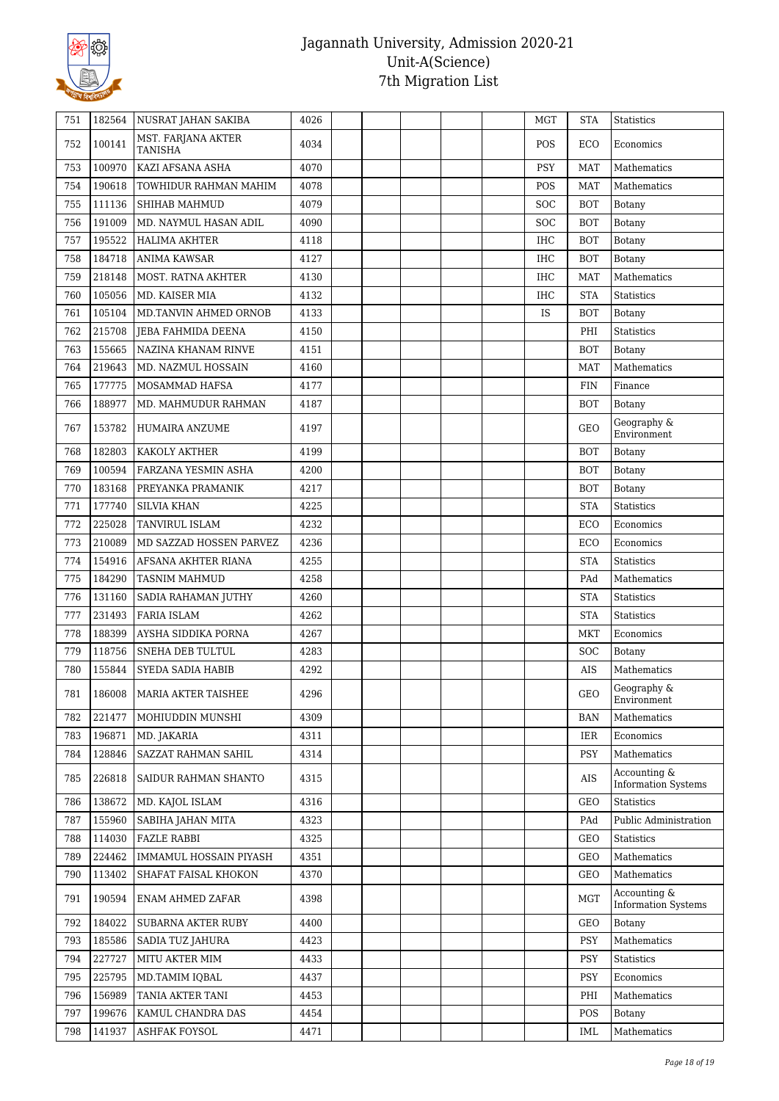

| 751 | 182564 | NUSRAT JAHAN SAKIBA           | 4026 |  |  | MGT        | <b>STA</b> | <b>Statistics</b>                          |
|-----|--------|-------------------------------|------|--|--|------------|------------|--------------------------------------------|
| 752 | 100141 | MST. FARJANA AKTER<br>TANISHA | 4034 |  |  | POS        | ECO        | Economics                                  |
| 753 | 100970 | KAZI AFSANA ASHA              | 4070 |  |  | <b>PSY</b> | <b>MAT</b> | Mathematics                                |
| 754 | 190618 | TOWHIDUR RAHMAN MAHIM         | 4078 |  |  | POS        | <b>MAT</b> | Mathematics                                |
| 755 | 111136 | SHIHAB MAHMUD                 | 4079 |  |  | <b>SOC</b> | <b>BOT</b> | Botany                                     |
| 756 | 191009 | MD. NAYMUL HASAN ADIL         | 4090 |  |  | <b>SOC</b> | <b>BOT</b> | Botany                                     |
| 757 | 195522 | <b>HALIMA AKHTER</b>          | 4118 |  |  | <b>IHC</b> | <b>BOT</b> | Botany                                     |
| 758 | 184718 | <b>ANIMA KAWSAR</b>           | 4127 |  |  | <b>IHC</b> | <b>BOT</b> | Botany                                     |
| 759 | 218148 | MOST. RATNA AKHTER            | 4130 |  |  | <b>IHC</b> | MAT        | Mathematics                                |
| 760 | 105056 | MD. KAISER MIA                | 4132 |  |  | <b>IHC</b> | <b>STA</b> | <b>Statistics</b>                          |
| 761 | 105104 | MD.TANVIN AHMED ORNOB         | 4133 |  |  | IS         | <b>BOT</b> | Botany                                     |
| 762 | 215708 | JEBA FAHMIDA DEENA            | 4150 |  |  |            | PHI        | <b>Statistics</b>                          |
| 763 | 155665 | NAZINA KHANAM RINVE           | 4151 |  |  |            | <b>BOT</b> | Botany                                     |
| 764 | 219643 | MD. NAZMUL HOSSAIN            | 4160 |  |  |            | <b>MAT</b> | Mathematics                                |
| 765 | 177775 | MOSAMMAD HAFSA                | 4177 |  |  |            | FIN        | Finance                                    |
| 766 | 188977 | MD. MAHMUDUR RAHMAN           | 4187 |  |  |            | <b>BOT</b> | Botany                                     |
|     |        |                               |      |  |  |            |            | Geography &                                |
| 767 | 153782 | HUMAIRA ANZUME                | 4197 |  |  |            | <b>GEO</b> | Environment                                |
| 768 | 182803 | KAKOLY AKTHER                 | 4199 |  |  |            | <b>BOT</b> | Botany                                     |
| 769 | 100594 | FARZANA YESMIN ASHA           | 4200 |  |  |            | <b>BOT</b> | Botany                                     |
| 770 | 183168 | PREYANKA PRAMANIK             | 4217 |  |  |            | <b>BOT</b> | Botany                                     |
| 771 | 177740 | <b>SILVIA KHAN</b>            | 4225 |  |  |            | <b>STA</b> | <b>Statistics</b>                          |
| 772 | 225028 | TANVIRUL ISLAM                | 4232 |  |  |            | ECO        | Economics                                  |
| 773 | 210089 | MD SAZZAD HOSSEN PARVEZ       | 4236 |  |  |            | ECO        | Economics                                  |
| 774 | 154916 | AFSANA AKHTER RIANA           | 4255 |  |  |            | <b>STA</b> | <b>Statistics</b>                          |
| 775 | 184290 | <b>TASNIM MAHMUD</b>          | 4258 |  |  |            | PAd        | Mathematics                                |
| 776 | 131160 | SADIA RAHAMAN JUTHY           | 4260 |  |  |            | <b>STA</b> | <b>Statistics</b>                          |
| 777 | 231493 | <b>FARIA ISLAM</b>            | 4262 |  |  |            | <b>STA</b> | <b>Statistics</b>                          |
| 778 | 188399 | AYSHA SIDDIKA PORNA           | 4267 |  |  |            | <b>MKT</b> | Economics                                  |
| 779 | 118756 | SNEHA DEB TULTUL              | 4283 |  |  |            | <b>SOC</b> | Botany                                     |
| 780 | 155844 | <b>SYEDA SADIA HABIB</b>      | 4292 |  |  |            | <b>AIS</b> | Mathematics                                |
| 781 | 186008 | MARIA AKTER TAISHEE           | 4296 |  |  |            | GEO        | Geography &<br>Environment                 |
| 782 | 221477 | MOHIUDDIN MUNSHI              | 4309 |  |  |            | <b>BAN</b> | Mathematics                                |
| 783 | 196871 | MD. JAKARIA                   | 4311 |  |  |            | IER        | Economics                                  |
| 784 | 128846 | SAZZAT RAHMAN SAHIL           | 4314 |  |  |            | <b>PSY</b> | Mathematics                                |
| 785 | 226818 | SAIDUR RAHMAN SHANTO          | 4315 |  |  |            | AIS        | Accounting &<br><b>Information Systems</b> |
| 786 | 138672 | MD. KAJOL ISLAM               | 4316 |  |  |            | <b>GEO</b> | Statistics                                 |
| 787 | 155960 | SABIHA JAHAN MITA             | 4323 |  |  |            | PAd        | Public Administration                      |
| 788 | 114030 | <b>FAZLE RABBI</b>            | 4325 |  |  |            | <b>GEO</b> | <b>Statistics</b>                          |
| 789 | 224462 | IMMAMUL HOSSAIN PIYASH        | 4351 |  |  |            | <b>GEO</b> | Mathematics                                |
| 790 | 113402 | SHAFAT FAISAL KHOKON          | 4370 |  |  |            | GEO        | Mathematics                                |
| 791 | 190594 | ENAM AHMED ZAFAR              | 4398 |  |  |            | <b>MGT</b> | Accounting &<br><b>Information Systems</b> |
| 792 | 184022 | <b>SUBARNA AKTER RUBY</b>     | 4400 |  |  |            | <b>GEO</b> | Botany                                     |
| 793 | 185586 | SADIA TUZ JAHURA              | 4423 |  |  |            | <b>PSY</b> | Mathematics                                |
| 794 | 227727 | MITU AKTER MIM                | 4433 |  |  |            | <b>PSY</b> | Statistics                                 |
| 795 | 225795 | MD.TAMIM IQBAL                | 4437 |  |  |            | <b>PSY</b> | Economics                                  |
| 796 | 156989 | TANIA AKTER TANI              | 4453 |  |  |            | PHI        | Mathematics                                |
| 797 | 199676 | KAMUL CHANDRA DAS             | 4454 |  |  |            | POS        | Botany                                     |
| 798 | 141937 | ASHFAK FOYSOL                 | 4471 |  |  |            | IML        | Mathematics                                |
|     |        |                               |      |  |  |            |            |                                            |